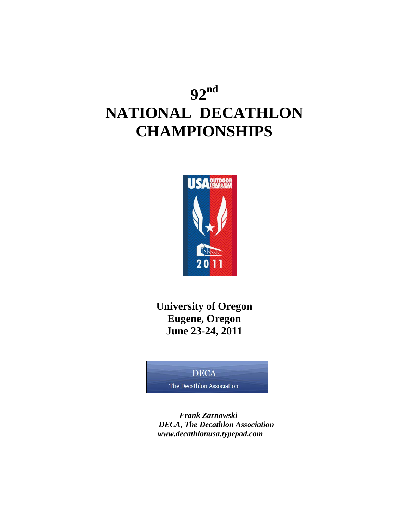# **92 nd NATIONAL DECATHLON CHAMPIONSHIPS**



**University of Oregon Eugene, Oregon June 23-24, 2011**

#### **DECA**

The Decathlon Association

 *Frank Zarnowski DECA, The Decathlon Association www.decathlonusa.typepad.com*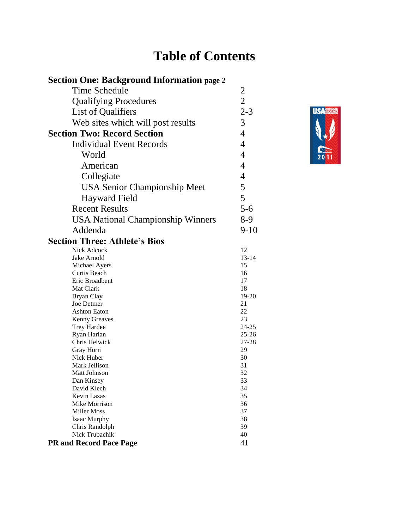# **Table of Contents**

| <b>Section One: Background Information page 2</b> |                        |
|---------------------------------------------------|------------------------|
| Time Schedule                                     | $\overline{2}$         |
| <b>Qualifying Procedures</b>                      | $\overline{2}$         |
| List of Qualifiers                                | $2 - 3$                |
|                                                   |                        |
| Web sites which will post results                 | 3                      |
| <b>Section Two: Record Section</b>                | $\overline{4}$         |
| <b>Individual Event Records</b>                   | $\overline{4}$         |
| World                                             | $\overline{4}$         |
| American                                          | $\overline{4}$         |
| Collegiate                                        | $\overline{4}$         |
| <b>USA Senior Championship Meet</b>               | 5                      |
| <b>Hayward Field</b>                              | 5                      |
| <b>Recent Results</b>                             | $5 - 6$                |
| <b>USA National Championship Winners</b>          | $8-9$                  |
| Addenda                                           | $9-10$                 |
|                                                   |                        |
| <b>Section Three: Athlete's Bios</b>              |                        |
| Nick Adcock                                       | 12                     |
| Jake Arnold                                       | $13 - 14$              |
| Michael Ayers                                     | 15                     |
| Curtis Beach                                      | 16                     |
| Eric Broadbent                                    | 17                     |
| Mat Clark                                         | 18                     |
| <b>Bryan Clay</b><br>Joe Detmer                   | 19-20                  |
|                                                   | 21                     |
| <b>Ashton Eaton</b>                               | 22                     |
| <b>Kenny Greaves</b>                              | 23                     |
| Trey Hardee<br>Ryan Harlan                        | $24 - 25$<br>$25 - 26$ |
| Chris Helwick                                     | 27-28                  |
|                                                   | 29                     |
| Gray Horn<br>Nick Huber                           | 30                     |
| Mark Jellison                                     | 31                     |
|                                                   |                        |
| Matt Johnson<br>Dan Kinsey                        | 32<br>33               |
| David Klech                                       | 34                     |
| Kevin Lazas                                       | 35                     |
| Mike Morrison                                     | 36                     |
| <b>Miller Moss</b>                                | 37                     |
| Isaac Murphy                                      | 38                     |
| Chris Randolph                                    | 39                     |
| Nick Trubachik                                    | 40                     |
| <b>PR and Record Pace Page</b>                    | 41                     |
|                                                   |                        |

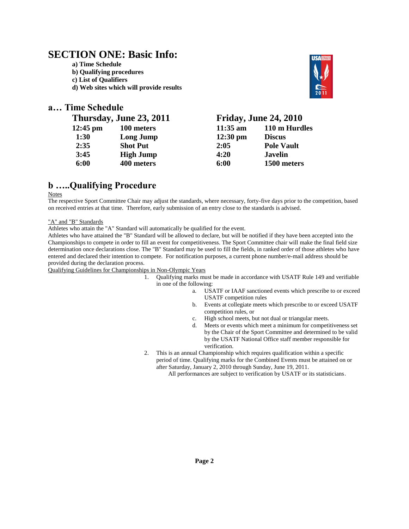### **SECTION ONE: Basic Info:**

**a) Time Schedule b) Qualifying procedures c) List of Qualifiers** 

**d) Web sites which will provide results** 

#### **a… Time Schedule**

### **Thursday, June 23, 2011 Friday, June 24, 2010**

|                  |                    | $110 \text{ m H}$ ur |
|------------------|--------------------|----------------------|
| Long Jump        | $12:30 \text{ pm}$ | <b>Discus</b>        |
| <b>Shot Put</b>  | 2:05               | <b>Pole Vault</b>    |
| <b>High Jump</b> | 4:20               | <b>Javelin</b>       |
| 400 meters       | 6:00               | 1500 meter           |
|                  | 100 meters         | $11:35$ am           |

| 100 meters       | $11:35$ am         | 110 m Hurdles     |
|------------------|--------------------|-------------------|
| Long Jump        | $12:30 \text{ pm}$ | <b>Discus</b>     |
| <b>Shot Put</b>  | 2:05               | <b>Pole Vault</b> |
| <b>High Jump</b> | 4:20               | <b>Javelin</b>    |
| 400 meters       | 6:00               | 1500 meters       |
|                  |                    |                   |

### **b …..Qualifying Procedure**

Notes

The respective Sport Committee Chair may adjust the standards, where necessary, forty-five days prior to the competition, based on received entries at that time. Therefore, early submission of an entry close to the standards is advised.

#### "A" and "B" Standards

Athletes who attain the "A" Standard will automatically be qualified for the event.

Athletes who have attained the "B" Standard will be allowed to declare, but will be notified if they have been accepted into the Championships to compete in order to fill an event for competitiveness. The Sport Committee chair will make the final field size determination once declarations close. The "B" Standard may be used to fill the fields, in ranked order of those athletes who have entered and declared their intention to compete. For notification purposes, a current phone number/e-mail address should be provided during the declaration process.

Qualifying Guidelines for Championships in Non-Olympic Years

- 1. Qualifying marks must be made in accordance with USATF Rule 149 and verifiable in one of the following:
	- a. USATF or IAAF sanctioned events which prescribe to or exceed USATF competition rules
		- b. Events at collegiate meets which prescribe to or exceed USATF competition rules, or
	- c. High school meets, but not dual or triangular meets.
	- d. Meets or events which meet a minimum for competitiveness set by the Chair of the Sport Committee and determined to be valid by the USATF National Office staff member responsible for verification.
- 2. This is an annual Championship which requires qualification within a specific period of time. Qualifying marks for the Combined Events must be attained on or after Saturday, January 2, 2010 through Sunday, June 19, 2011.

All performances are subject to verification by USATF or its statisticians.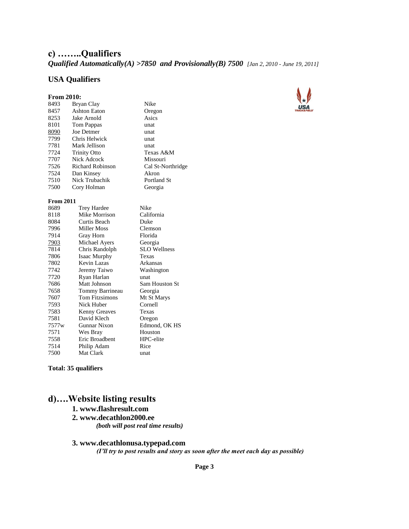### **c) ……..Qualifiers**

*Qualified Automatically(A) >7850 and Provisionally(B) 7500 [Jan 2, 2010 - June 19, 2011]*

#### **USA Qualifiers**

| <b>From 2010:</b> |                         |                     |
|-------------------|-------------------------|---------------------|
| 8493              | Bryan Clay              | Nike                |
| 8457              | <b>Ashton Eaton</b>     | Oregon              |
| 8253              | Jake Arnold             | Asics               |
| 8101              | Tom Pappas              | unat                |
| 8090              | Joe Detmer              | unat                |
| 7799              | Chris Helwick           | unat                |
| 7781              | Mark Jellison           | unat                |
| 7724              | <b>Trinity Otto</b>     | Texas A&M           |
| 7707              | Nick Adcock             | Missouri            |
| 7526              | <b>Richard Robinson</b> | Cal St-Northridge   |
| 7524              | Dan Kinsey              | Akron               |
| 7510              | Nick Trubachik          | Portland St         |
| 7500              | Cory Holman             | Georgia             |
| <b>From 2011</b>  |                         |                     |
| 8689              | <b>Trey Hardee</b>      | Nike                |
| 8118              | Mike Morrison           | California          |
| 8084              | Curtis Beach            | Duke                |
| 7996              | <b>Miller Moss</b>      | Clemson             |
| 7914              | Gray Horn               | Florida             |
| 7903              | Michael Ayers           | Georgia             |
| 7814              | Chris Randolph          | <b>SLO</b> Wellness |
| 7806              | <b>Isaac Murphy</b>     | Texas               |
| 7802              | Kevin Lazas             | Arkansas            |
| 7742              | Jeremy Taiwo            | Washington          |
| 7720              | Ryan Harlan             | unat                |
| 7686              | Matt Johnson            | Sam Houston St      |
| 7658              | Tommy Barrineau         | Georgia             |
| 7607              | Tom Fitzsimons          | Mt St Marys         |
| 7593              | Nick Huber              | Cornell             |
| 7583              | <b>Kenny Greaves</b>    | Texas               |
| 7581              | David Klech             | Oregon              |
| 7577 <sub>w</sub> | Gunnar Nixon            | Edmond, OK HS       |
| 7571              | Wes Bray                | Houston             |
| 7558              | Eric Broadbent          | HPC-elite           |
| 7514              | Philip Adam             | Rice                |
| 7500              | Mat Clark               | unat                |
|                   |                         |                     |



**Total: 35 qualifiers**

### **d)….Website listing results**

#### **1. www.flashresult.com**

**2. www.decathlon2000.ee**  *(both will post real time results)* 

#### **3. www.decathlonusa.typepad.com**

 *(I'll try to post results and story as soon after the meet each day as possible)* 

**Page 3**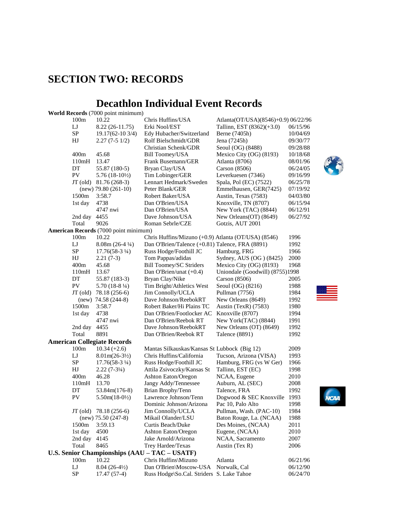## **SECTION TWO: RECORDS**

#### **Decathlon Individual Event Records World Records** (7000 point minimum)

|            | <b>WOFIG RECOFGS</b> (7000 point minimum)    |                                                     |                                     |          |  |
|------------|----------------------------------------------|-----------------------------------------------------|-------------------------------------|----------|--|
| 100m       | 10.22                                        | Chris Huffins/USA                                   | Atlanta(OT/USA)(8546)+0.9) 06/22/96 |          |  |
| LJ         | $8.22(26-11.75)$                             | Erki Nool/EST                                       | Tallinn, EST (8362)(+3.0)           | 06/15/96 |  |
| ${\rm SP}$ | 19.17(62-10 3/4)                             | Edy Hubacher/Switzerland                            | Berne (7405h)                       | 10/04/69 |  |
| HJ         | $2.27(7-51/2)$                               | Rolf Bielschmidt/GDR                                | Jena (7245h)                        | 09/30/77 |  |
|            |                                              | Christian Schenk/GDR                                | Seoul (OG) (8488)                   | 09/28/88 |  |
| 400m       | 45.68                                        | <b>Bill Toomey/USA</b>                              | Mexico City (OG) (8193)             | 10/18/68 |  |
| 110mH      | 13.47                                        | Frank Busemann/GER                                  | Atlanta (8706)                      | 08/01/96 |  |
| DT         | 55.87 (180-5)                                | Bryan Clay/USA                                      | Carson (8506)                       | 06/24/05 |  |
| PV         | $5.76(18-10\frac{1}{2})$                     | Tim Lobinger/GER                                    | Leverkuesen (7346)                  | 09/16/99 |  |
| JT (old)   | 81.76 (268-3)                                | Lennart Hedmark/Sweden                              | Spala, Pol (EC) (7522)              | 06/25/78 |  |
|            | $(new)$ 79.80 (261-10)                       | Peter Blank/GER                                     | Emmelhausen, GER(7425)              | 07/19/92 |  |
| 1500m      | 3:58.7                                       | Robert Baker/USA                                    | Austin, Texas (7583)                | 04/03/80 |  |
| 1st day    | 4738                                         | Dan O'Brien/USA                                     | Knoxville, TN (8707)                | 06/15/94 |  |
|            | 4747 nwi                                     | Dan O'Brien/USA                                     | New York (TAC) (8844)               | 06/12/91 |  |
| 2nd day    | 4455                                         | Dave Johnson/USA                                    | New Orleans(OT) (8649)              | 06/27/92 |  |
| Total      | 9026                                         | Roman Sebrle/CZE                                    | Gotzis, AUT 2001                    |          |  |
|            | <b>American Records</b> (7000 point minimum) |                                                     |                                     |          |  |
| 100m       | 10.22                                        | Chris Huffins/Mizuno (+0.9) Atlanta (OT/USA) (8546) |                                     | 1996     |  |
| IJ         | $8.08m(26-4\frac{1}{4})$                     | Dan O'Brien/Talence (+0.81) Talence, FRA (8891)     |                                     | 1992     |  |
| SP         | $17.76(58-3\frac{1}{4})$                     | Russ Hodge/Foothill JC                              | Hamburg, FRG                        | 1966     |  |
| HJ         | $2.21(7-3)$                                  | Tom Pappas/adidas                                   | Sydney, AUS (OG) (8425)             | 2000     |  |
| 400m       | 45.68                                        | Bill Toomey/SC Striders                             | Mexico City (OG) (8193)             | 1968     |  |
| 110mH      | 13.67                                        | Dan O'Brien/unat (+0.4)                             | Uniondale (Goodwill) (8755)1998     |          |  |
| DT         | 55.87 (183-3)                                | Bryan Clay/Nike                                     | Carson $(8506)$                     | 2005     |  |
| PV         | $5.70(18-8\frac{1}{4})$                      | Tim Bright/Athletics West                           | Seoul (OG) (8216)                   | 1988     |  |
| $JT$ (old) | 78.18 (256-6)                                | Jim Connolly/UCLA                                   | Pullman (7756)                      | 1984     |  |
|            | $(new)$ 74.58 (244-8)                        | Dave Johnson/ReebokRT                               | New Orleans (8649)                  | 1992     |  |
| 1500m      | 3:58.7                                       | Robert Baker/Hi Plains TC                           | Austin (TexR) (7583)                | 1980     |  |
| 1st day    | 4738                                         | Dan O'Brien/Footlocker AC                           | Knoxville (8707)                    | 1994     |  |
|            | 4747 nwi                                     | Dan O'Brien/Reebok RT                               | New York(TAC) (8844)                | 1991     |  |
| 2nd day    | 4455                                         | Dave Johnson/ReebokRT                               | New Orleans (OT) (8649)             | 1992     |  |
| Total      | 8891                                         | Dan O'Brien/Reebok RT                               | Talence (8891)                      | 1992     |  |
|            | <b>American Collegiate Records</b>           |                                                     |                                     |          |  |
| 100m       | $10.34 (+2.6)$                               | Mantas Silkauskas/Kansas St Lubbock (Big 12)        |                                     | 2009     |  |
| LJ         | $8.01m(26-3\frac{1}{2})$                     | Chris Huffins/California                            | Tucson, Arizona (VISA)              | 1993     |  |
| SP         | $17.76(58-3\frac{1}{4})$                     | Russ Hodge/Foothill JC                              | Hamburg, FRG (vs W Ger)             | 1966     |  |
| HJ         | $2.22(7-3\frac{1}{4})$                       | Attila Zsivoczky/Kansas St                          | Tallinn, EST (EC)                   | 1998     |  |
| 400m       | 46.28                                        | Ashton Eaton/Oregon                                 | NCAA, Eugene                        | 2010     |  |
| 110mH      | 13.70                                        | Jangy Addy/Tennessee                                | Auburn, AL (SEC)                    | 2008     |  |
| DT         | 53.84m(176-8)                                | Brian Brophy/Tenn                                   | Talence, FRA                        | 1992     |  |
| PV         | $5.50m(18-0\frac{1}{2})$                     | Lawrence Johnson/Tenn                               | Dogwood & SEC Knoxville 1993        |          |  |
|            |                                              | Dominic Johnson/Arizona                             | Pac 10, Palo Alto                   | 1998     |  |
|            | $JT$ (old) $78.18$ (256-6)                   | Jim Connolly/UCLA                                   | Pullman, Wash. (PAC-10)             | 1984     |  |
|            | $(new)$ 75.50 (247-8)                        | Mikail Olander/LSU                                  | Baton Rouge, La. (NCAA)             | 1988     |  |
| 1500m      | 3:59.13                                      | Curtis Beach/Duke                                   | Des Moines, (NCAA)                  | 2011     |  |
| 1st day    | 4500                                         | Ashton Eaton/Oregon                                 | Eugene, (NCAA)                      | 2010     |  |
| 2nd day    | 4145                                         | Jake Arnold/Arizona                                 | NCAA, Sacramento                    | 2007     |  |
| Total      | 8465                                         | Trey Hardee/Texas                                   | Austin $(Tex R)$                    | 2006     |  |
|            |                                              | U.S. Senior Championships (AAU - TAC - USATF)       |                                     |          |  |
| 100m       | 10.22                                        | Chris Huffins\Mizuno                                | Atlanta                             | 06/21/96 |  |
| LJ         | $8.04(26-4\frac{1}{2})$                      | Dan O'Brien\Moscow-USA                              | Norwalk, Cal                        | 06/12/90 |  |
| SP         | $17.47(57-4)$                                | Russ Hodge\So.Cal. Striders S. Lake Tahoe           |                                     | 06/24/70 |  |
|            |                                              |                                                     |                                     |          |  |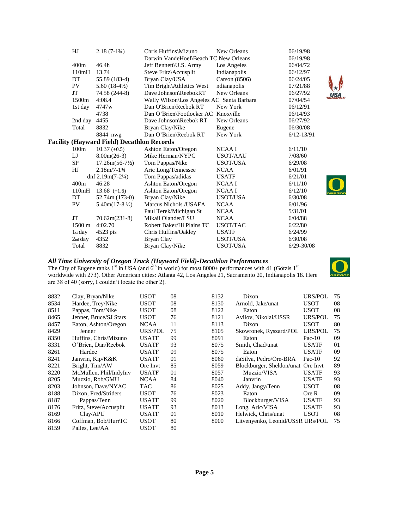| HJ               | $2.18(7-1\frac{3}{4})$                            | Chris Huffins\Mizuno                      | New Orleans     | 06/19/98         |
|------------------|---------------------------------------------------|-------------------------------------------|-----------------|------------------|
|                  |                                                   | Darwin VandeHoef\Beach TC New Orleans     |                 | 06/19/98         |
| 400m             | 46.4 <sub>h</sub>                                 | Jeff Bennett\U.S. Army                    | Los Angeles     | 06/04/72         |
| 110mH            | 13.74                                             | Steve Fritz\Accusplit                     | Indianapolis    | 06/12/97         |
| DT               | 55.89 (183-4)                                     | Bryan Clay/USA                            | Carson $(8506)$ | 06/24/05         |
| PV               | 5.60 $(18-4\frac{1}{2})$                          | Tim Bright\Athletics West                 | ndianapolis     | 07/21/88         |
| JT               | 74.58 (244-8)                                     | Dave Johnson\ReebokRT                     | New Orleans     | 06/27/92         |
| 1500m            | 4:08.4                                            | Wally Wilson\Los Angeles AC Santa Barbara |                 | 07/04/54         |
| 1st day          | 4747w                                             | Dan O'Brien\Reebok RT                     | New York        | 06/12/91         |
|                  | 4738                                              | Dan O'Brien\Footlocker AC Knoxville       |                 | 06/14/93         |
| 2nd day          | 4455                                              | Dave Johnson\Reebok RT                    | New Orleans     | 06/27/92         |
| Total            | 8832                                              | Bryan Clay/Nike                           | Eugene          | 06/30/08         |
|                  | 8844 nwg                                          | Dan O'Brien\Reebok RT                     | New York        | $6/12 - 13/91$   |
|                  | <b>Facility (Hayward Field) Decathlon Records</b> |                                           |                 |                  |
| 100m             | $10.37 (+0.5)$                                    | Ashton Eaton/Oregon                       | <b>NCAAI</b>    | 6/11/10          |
| LJ               | $8.00m(26-3)$                                     | Mike Herman/NYPC                          | USOT/AAU        | 7/08/60          |
| <b>SP</b>        | $17.26m(56-7\frac{1}{2})$                         | Tom Pappas/Nike                           | USOT/USA        | 6/29/08          |
| HJ               | $2.18m/7-13/4$                                    | Aric Long/Tennessee                       | <b>NCAA</b>     | 6/01/91          |
|                  | dnf 2.19m $(7-2\frac{1}{4})$                      | Tom Pappas/adidas                         | <b>USATF</b>    | 6/21/01          |
| 400m             | 46.28                                             | Ashton Eaton/Oregon                       | NCAA I          | 6/11/10          |
| 110mH            | 13.68 $(+1.6)$                                    | <b>Ashton Eaton/Oregon</b>                | NCAA I          | 6/12/10<br>REGON |
| DT               | $52.74m(173-0)$                                   | Bryan Clay/Nike                           | <b>USOT/USA</b> | 6/30/08          |
| PV               | $5.40m(17-8\frac{1}{2})$                          | Marcus Nichols / USAFA                    | <b>NCAA</b>     | 6/01/96          |
|                  |                                                   | Paul Terek/Michigan St                    | <b>NCAA</b>     | 5/31/01          |
| JT               | $70.62m(231-8)$                                   | Mikail Olander/LSU                        | <b>NCAA</b>     | 6/04/88          |
| $1500 \text{ m}$ | 4:02.70                                           | Robert Baker/Hi Plains TC                 | <b>USOT/TAC</b> | 6/22/80          |
| $1st$ day        | $4523$ pts                                        | Chris Huffins/Oakley                      | <b>USATF</b>    | 6/24/99          |
| 2nd day          | 4352                                              | Bryan Clay                                | USOT/USA        | 6/30/08          |
| Total            | 8832                                              | Bryan Clay/Nike                           | USOT/USA        | $6/29 - 30/08$   |

#### *All Time University of Oregon Track (Hayward Field)-Decathlon Performances*

The City of Eugene ranks  $1^{st}$  in USA (and  $6^{th}$  in world) for most 8000+ performances with 41 (Götzis  $1^{st}$ worldwide with 273). Other American cities: Atlanta 42, Los Angeles 21, Sacramento 20, Indianapolis 18. Here are 38 of 40 (sorry, I couldn't locate the other 2).



| 8832 | Clay, Bryan/Nike       | <b>USOT</b>    | 08 | 8132 | Dixon                              | URS/POL        | 75 |
|------|------------------------|----------------|----|------|------------------------------------|----------------|----|
| 8534 | Hardee, Trey/Nike      | USOT           | 08 | 8130 | Arnold, Jake/unat                  | <b>USOT</b>    | 08 |
| 8511 | Pappas, Tom/Nike       | USOT           | 08 | 8122 | Eaton                              | <b>USOT</b>    | 08 |
| 8465 | Jenner, Bruce/SJ Stars | <b>USOT</b>    | 76 | 8121 | Avilov, Nikolai/USSR               | URS/POL        | 75 |
| 8457 | Eaton, Ashton/Oregon   | <b>NCAA</b>    | 11 | 8113 | Dixon                              | <b>USOT</b>    | 80 |
| 8429 | Jenner                 | <b>URS/POL</b> | 75 | 8105 | Skowronek, Ryszard/POL             | <b>URS/POL</b> | 75 |
| 8350 | Huffins, Chris/Mizuno  | USATF          | 99 | 8091 | Eaton                              | $Pac-10$       | 09 |
| 8331 | O'Brien, Dan/Reebok    | <b>USATF</b>   | 93 | 8075 | Smith, Chad/unat                   | <b>USATF</b>   | 01 |
| 8261 | Hardee                 | <b>USATF</b>   | 09 | 8075 | Eaton                              | <b>USATF</b>   | 09 |
| 8241 | Janvrin, Kip/K&K       | <b>USATF</b>   | 01 | 8060 | daSilva, Pedro/Ore-BRA             | $Pac-10$       | 92 |
| 8221 | Bright, Tim/AW         | Ore Invt       | 85 | 8059 | Blockburger, Sheldon/unat Ore Invt |                | 89 |
| 8220 | McMullen, Phil/IndyInv | USATF          | 01 | 8057 | Muzzio/VISA                        | <b>USATF</b>   | 93 |
| 8205 | Muzzio, Rob/GMU        | <b>NCAA</b>    | 84 | 8040 | Janvrin                            | <b>USATF</b>   | 93 |
| 8203 | Johnson, Dave/NYAC     | TAC            | 86 | 8025 | Addy, Jangy/Tenn                   | <b>USOT</b>    | 08 |
| 8188 | Dixon, Fred/Striders   | USOT           | 76 | 8023 | Eaton                              | Ore R          | 09 |
| 8187 | Pappas/Tenn            | <b>USATF</b>   | 99 | 8020 | Blockburger/VISA                   | <b>USATF</b>   | 93 |
| 8176 | Fritz, Steve/Accusplit | <b>USATF</b>   | 93 | 8013 | Long, Aric/VISA                    | <b>USATF</b>   | 93 |
| 8169 | Clay/APU               | USATF          | 01 | 8010 | Helwick, Chris/unat                | <b>USOT</b>    | 08 |
| 8166 | Coffman, Bob/HurrTC    | <b>USOT</b>    | 80 | 8000 | Litvenyenko, Leonid/USSR URs/POL   |                | 75 |
| 8159 | Palles, Lee/AA         | USOT           | 80 |      |                                    |                |    |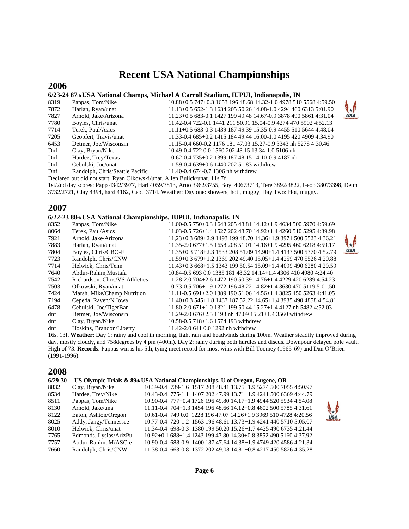## **Recent USA National Championships**

#### **2006**

#### **6/23-24 87th USA National Champs, Michael A Carroll Stadium, IUPUI, Indianapolis, IN**

| 8319 | Pappas, Tom/Nike                | 10.88+0.5 747+0.3 1653 196 48.68 14.32-1.0 4978 510 5568 4:59.50 |              |
|------|---------------------------------|------------------------------------------------------------------|--------------|
| 7872 | Harlan, Ryan/unat               | $11.13+0.5652-1.3163420550.2614.08-1.0429446063135:01.90$        | $\downarrow$ |
| 7827 | Arnold, Jake/Arizona            | 11.23+0.5 683-0.1 1427 199 49.48 14.67-0.9 3878 490 5861 4:31.04 | <b>USA</b>   |
| 7780 | Boyles, Chris/unat              | 11.42-0.4 722-0.1 1441 211 50.91 15.04-0.9 4274 470 5902 4:52.13 |              |
| 7714 | Terek, Paul/Asics               | 11.11+0.5 683-0.3 1439 187 49.39 15.35-0.9 4455 510 5644 4:48.04 |              |
| 7205 | Geopfert, Travis/unat           | 11.33-0.4 685+0.2 1415 184 49.44 16.00-1.0 4195 420 4909 4:34.90 |              |
| 6453 | Detmer, Joe/Wisconsin           | 11.15-0.4 660-0.2 1176 181 47.03 15.27-0.9 3343 nh 5278 4:30.46  |              |
| Dnf  | Clay, Bryan/Nike                | 10.49-0.4 722 0.0 1560 202 48.15 13.34-1.0 5106 nh               |              |
| Dnf  | Hardee, Trey/Texas              | 10.62-0.4 735+0.2 1399 187 48.15 14.10-0.9 4187 nh               |              |
| Dnf  | Cebulski, Joe/unat              | 11.59-0.4 639+0.6 1440 202 51.83 withdrew                        |              |
| Dnf  | Randolph, Chris/Seattle Pacific | 11.40-0.4 674-0.7 1306 nh withdrew                               |              |
|      |                                 |                                                                  |              |

Declared but did not start: Ryan Olkowski/unat, Allen Bulick/unat. 11s,7f

1st/2nd day scores: Papp 4342/3977, Harl 4059/3813, Arno 3962/3755, Boyl 40673713, Tere 3892/3822, Geop 38073398, Detm 3732/2721, Clay 4394, hard 4162, Cebu 3714. Weather: Day one: showers, hot , muggy, Day Two: Hot, muggy.

#### **2007**

#### **6/22-23 88th USA National Championships, IUPUI, Indianapolis, IN**

| 8352 | Pappas, Tom/Nike               | 11.00-0.5 750+0.3 1643 205 48.81 14.12+1.9 4634 500 5970 4:59.69   |              |
|------|--------------------------------|--------------------------------------------------------------------|--------------|
| 8064 | Terek, Paul/Asics              | 11.03-0.5 726+1.4 1527 202 48.70 14.92+1.4 4260 510 5295 4:39.98   |              |
| 7921 | Arnold, Jake/Arizona           | 11,23+0.3 689+2.9 1493 199 48.70 14.36+1.9 3971 500 5523 4:36.21   | $\downarrow$ |
| 7883 | Harlan, Ryan/unat              | 11.35-2.0 677+1.5 1658 208 51.01 14.16+1.9 4295 460 6218 4:59.17   |              |
| 7804 | Boyles, Chris/CBO-E            | $11.35+0.3718+2.3153320851.0914.90+1.4413350053704.52.79$          | <b>USA</b>   |
| 7723 | Randolph, Chris/CNW            | $11.59+0.3679+1.2136920249.4015.05+1.4425947055264:20.88$          |              |
| 7714 | Helwick, Chris/Tenn            | $11.43+0.3668+1.5134319950.5415.09+1.4409949062804:29.59$          |              |
| 7640 | Abdur-Rahim, Mustafa           | 10.84-0.5 693 0.0 1385 181 48.32 14.14+1.4 4306 410 4980 4:24.40   |              |
| 7542 | Richardson, Chris/VS Athletics | 11.28-2.0 704+2.6 1472 190 50.39 14.76+1.4 4229 420 6289 4:54.23   |              |
| 7503 | Olkowski, Ryan/unat            | 10.73-0.5 706+1.9 1272 196 48.22 14.82+1.4 3630 470 5119 5:01.50   |              |
| 7424 | Marsh, Mike/Champ Nutrition    | 11.11-0.5 691+2.0 1389 190 51.06 14.56+1.4 3825 450 5263 4:41.05   |              |
| 7194 | Cepeda, Raven/N Iowa           | $11.40+0.3$ 545+1.8 1437 187 52.22 14.65+1.4 3935 490 4858 4:54.81 |              |
| 6478 | Cebulski, Joe/TigerBar         | $11.80 - 2.0671 + 1.0132119950.4415.27 + 1.44127$ nh 5482 4:52.03  |              |
| dnf  | Detmer, Joe/Wisconsin          | 11.29-2.0 676+2.5 1193 nh 47.09 15.21+1.4 3560 withdrew            |              |
| dnf  | Clay, Bryan/Nike               | 10.58-0.5 718+1.6 1574 193 withdrew                                |              |
| dnf  | Hoskins, Brandon/Liberty       | 11.42-2.0 641 0.0 1292 nh withdrew                                 |              |

16s, 13f**. Weather**: Day 1: rainy and cool in morning, light rain and headwinds during 100m. Weather steadily improved during day, mostly cloudy, and 758degrees by 4 pm (400m). Day 2: rainy during both hurdles and discus. Downpour delayed pole vault. High of 73. **Records**: Pappas win is his 5th, tying meet record for most wins with Bill Toomey (1965-69) and Dan O'Brien (1991-1996).

#### **2008**

#### **6/29-30 US Olympic Trials & 89th USA National Championships, U of Oregon, Eugene, OR**

| 8832 | Clay, Bryan/Nike       | 10.39-0.4 739-1.6 1517 208 48.41 13.75+1.9 5274 500 7055 4:50.97     |  |  |  |  |
|------|------------------------|----------------------------------------------------------------------|--|--|--|--|
| 8534 | Hardee, Trey/Nike      | 10.43-0.4 775-1.1 1407 202 47.99 13.71+1.9 4241 500 6369 4:44.79     |  |  |  |  |
| 8511 | Pappas, Tom/Nike       | 10.90-0.4 777+0.4 1726 196 49.80 14.17+1.9 4944 520 5934 4:54.08     |  |  |  |  |
| 8130 | Arnold, Jake/una       | $11.11 - 0.4$ 704+1.3 1454 196 48.66 14.12+0.8 4602 500 5785 4:31.61 |  |  |  |  |
| 8122 | Eaton, Ashton/Oregon   | 10.61-0.4 749 0.0 1228 196 47.07 14.26+1.9 3969 510 4728 4:20.56     |  |  |  |  |
| 8025 | Addy, Jangy/Tennessee  | 10.77-0.4 720-1.2 1563 196 48.61 13.73+1.9 4241 440 5710 5:05.07     |  |  |  |  |
| 8010 | Helwick, Chris/unat    | 11.34-0.4 698-0.3 1380 199 50.20 15.26+1.7 4425 490 6735 4:21.44     |  |  |  |  |
| 7765 | Edmonds, Lysias/ArizPu | 10.92+0.1 688+1.4 1243 199 47.80 14.30+0.8 3852 490 5160 4:37.92     |  |  |  |  |
| 7757 | Abdur-Rahim, M/ASC-e   | 10.90-0.4 688-0.9 1400 187 47.64 14.38+1.9 4749 420 4586 4:21.34     |  |  |  |  |
| 7660 | Randolph, Chris/CNW    | 11.38-0.4 663-0.8 1372 202 49.08 14.81+0.8 4217 450 5826 4:35.28     |  |  |  |  |

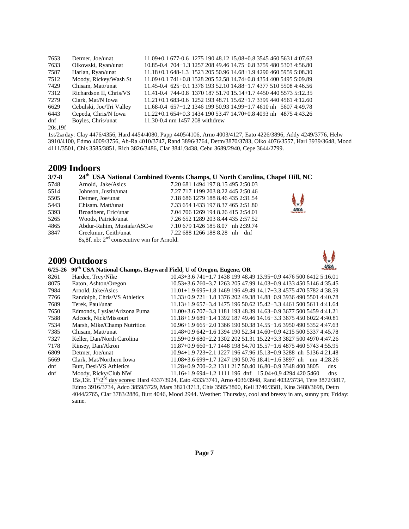| 7653     | Detmer, Joe/unat         | 11.09+0.1 677-0.6 1275 190 48.12 15.08+0.8 3545 460 5631 4:07.63    |
|----------|--------------------------|---------------------------------------------------------------------|
| 7633     | Olkowski, Ryan/unat      | 10.85-0.4 704+1.3 1257 208 49.46 14.75+0.8 3759 480 5303 4:56.80    |
| 7587     | Harlan, Ryan/unat        | 11.18+0.1 648-1.3 1523 205 50.96 14.68+1.9 4290 460 5959 5:08.30    |
| 7512     | Moody, Rickey/Wash St    | 11.09+0.1 741+0.8 1528 205 52.58 14.74+0.8 4354 400 5495 5:09.89    |
| 7429     | Chisam. Matt/unat        | 11.45-0.4 625+0.1 1376 193 52.10 14.88+1.7 4377 510 5508 4:46.56    |
| 7312     | Richardson II, Chris/VS  | 11.41-0.4 744-0.8 1370 187 51.70 15.14+1.7 4450 440 5573 5:12.35    |
| 7279     | Clark, Mat/N Iowa        | $11.21+0.1$ 683-0.6 1252 193 48.71 15.62+1.7 3399 440 4561 4:12.60  |
| 6629     | Cebulski, Joe/Tri Valley | $11.68 - 0.4$ 657+1.2 1346 199 50.93 14.99+1.7 4610 nh 5607 4:49.78 |
| 6443     | Cepeda, Chris/N Iowa     | $11.22+0.1654+0.3143419053.4714.70+0.84093$ nh $48754.43.26$        |
| dnf      | Boyles, Chris/unat       | 11.30-0.4 nm 1457 208 withdrew                                      |
| 20s, 19f |                          |                                                                     |

1st/2nd day: Clay 4476/4356, Hard 4454/4080, Papp 4405/4106, Arno 4003/4127, Eato 4226/3896, Addy 4249/3776, Helw 3910/4100, Edmo 4009/3756, Ab-Ra 4010/3747, Rand 3896/3764, Detm/3870/3783, Olko 4076/3557, Harl 3939/3648, Mood 4111/3501, Chis 3585/3851, Rich 3826/3486, Clar 3841/3438, Cebu 3689/2940, Cepe 3644/2799.

#### **2009 Indoors**

#### **3/7-8 th USA National Combined Events Champs, U North Carolina, Chapel Hill, NC**

| 5748 | Arnold, Jake/Asics                                      | 7.20 681 1494 197 8.15 495 2:50.03 |
|------|---------------------------------------------------------|------------------------------------|
| 5514 | Johnson, Justin/unat                                    | 7.27 717 1199 203 8.22 445 2:50.46 |
| 5505 | Detmer, Joe/unat                                        | 7.18 686 1279 188 8.46 435 2:31.54 |
| 5443 | Chisam. Matt/unat                                       | 7.33 654 1433 197 8.37 465 2:51.80 |
| 5393 | Broadbent, Eric/unat                                    | 7.04 706 1269 194 8.26 415 2:54.01 |
| 5265 | Woods, Patrick/unat                                     | 7.26 652 1289 203 8.44 435 2:57.52 |
| 4865 | Abdur-Rahim, Mustafa/ASC-e                              | 7.10 679 1426 185 8.07 nh 2:39.74  |
| 3847 | Creekmur, Ceith/unat                                    | 7.22 688 1266 188 8.28 nh dnf      |
|      | 8s, 8f. nb: 2 <sup>nd</sup> consecutive win for Arnold. |                                    |

#### **2009 Outdoors**



**USA** 

| $6/25 - 26$ | 90 <sup>th</sup> USA National Champs, Hayward Field, U of Oregon, Eugene, OR |                                                                                                                                       | <b>USA</b> |
|-------------|------------------------------------------------------------------------------|---------------------------------------------------------------------------------------------------------------------------------------|------------|
| 8261        | Hardee, Trey/Nike                                                            | 10.43+3.6 741+1.7 1438 199 48.49 13.95+0.9 4476 500 6412 5:16.01                                                                      |            |
| 8075        | Eaton, Ashton/Oregon                                                         | 10.53+3.6 760+3.7 1263 205 47.99 14.03+0.9 4133 450 5146 4:35.45                                                                      |            |
| 7984        | Arnold, Jake/Asics                                                           | $11.01+1.9695+1.81469196494914.17+3.345754705782438.59$                                                                               |            |
| 7766        | Randolph, Chris/VS Athletics                                                 | 11.33+0.9 721+1.8 1376 202 49.38 14.88+0.9 3936 490 5501 4:40.78                                                                      |            |
| 7689        | Terek. Paul/unat                                                             | 11.13+1.9 657+3.4 1475 196 50.62 15.42+3.3 4461 500 5611 4:41.64                                                                      |            |
| 7650        | Edmonds, Lysias/Arizona Puma                                                 | $11.00+3.6707+3.3118119348.3914.63+0.9367750054594:41.21$                                                                             |            |
| 7588        | Adcock. Nick/Missouri                                                        | 11.18+1.9 689+1.4 1392 187 49.46 14.16+3.3 3675 450 6022 4:40.81                                                                      |            |
| 7534        | Marsh, Mike/Champ Nutrition                                                  | $10.96+1.965+2.0136619050.3814.55+1.6395049053524:47.63$                                                                              |            |
| 7385        | Chisam, Matt/unat                                                            | $11.48+0.9642+1.6139419052.3414.60+0.9421550053374.45.78$                                                                             |            |
| 7327        | Keller, Dan/North Carolina                                                   | 11.59+0.9 680+2.2 1302 202 51.31 15.22+3.3 3827 500 4970 4:47.26                                                                      |            |
| 7178        | Kinsey, Dan/Akron                                                            | 11.87+0.9 660+1.7 1448 198 54.70 15.57+1.6 4875 460 5743 4:55.95                                                                      |            |
| 6809        | Detmer, Joe/unat                                                             | $10.94+1.9723+2.1122719647.9615.13+0.93288$ nh 51364.21.48                                                                            |            |
| 5669        | Clark, Mat/Northern Iowa                                                     | $11.08+3.6699+1.7124719050.7618.41+1.63897$ nh nm 4:28.26                                                                             |            |
| dnf         | Burt, Desi/VS Athletics                                                      | 11.28+0.9 700+2.2 1311 217 50.40 16.80+0.9 3548 400 3805                                                                              | dns        |
| dnf         | Moody, Ricky/Club NW                                                         | $11.16+1.9694+1.21111196$ dnf $15.04+0.942944205460$                                                                                  | dns        |
|             |                                                                              | 15s,13f. 1 <sup>st</sup> /2 <sup>nd</sup> day scores: Hard 4337/3924, Eato 4333/3741, Arno 4036/3948, Rand 4032/3734, Tere 3872/3817, |            |
|             |                                                                              | Edmo 3916/3734, Adco 3859/3729, Mars 3821/3713, Chis 3585/3800, Kell 3746/3581, Kins 3480/3698, Detm                                  |            |

4044/2765, Clar 3783/2886, Burt 4046, Mood 2944. Weather: Thursday, cool and breezy in am, sunny pm; Friday: same.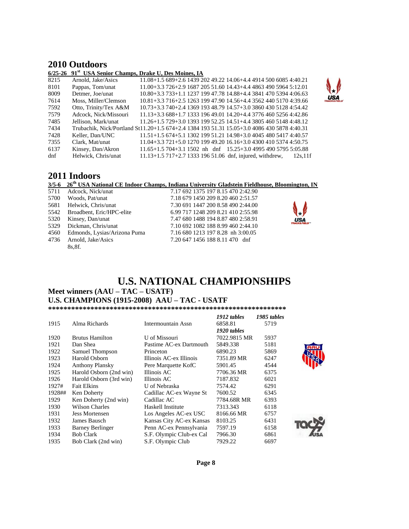#### **2010 Outdoors**

#### **6/25-26 91st USA Senior Champs, Drake U, Des Moines, IA**

| 8215 | Arnold, Jake/Asics    | 11.08+1.5 689+2.6 1439 202 49.22 14.06+4.4 4914 500 6085 4:40.21                            |
|------|-----------------------|---------------------------------------------------------------------------------------------|
| 8101 | Pappas, Tom/unat      | 11.00+3.3 726+2.9 1687 205 51.60 14.43+4.4 4863 490 5964 5:12.01                            |
| 8009 | Detmer, Joe/unat      | 10.80+3.3 733+1.1 1237 199 47.78 14.88+4.4 3841 470 5394 4:06.63                            |
| 7614 | Moss, Miller/Clemson  | 10.81+3.3 716+2.5 1263 199 47.90 14.56+4.4 3562 440 5170 4:39.66                            |
| 7592 | Otto, Trinity/Tex A&M | 10.73+3.3 740+2.4 1369 193 48.79 14.57+3.0 3860 430 5128 4:54.42                            |
| 7579 | Adcock, Nick/Missouri | 11.13+3.3 688+1.7 1333 196 49.01 14.20+4.4 3776 460 5256 4:42.86                            |
| 7485 | Jellison, Mark/unat   | 11.26+1.5 729+3.0 1393 199 52.25 14.51+4.4 3805 460 5148 4:48.12                            |
| 7434 |                       | Trubachik, Nick/Portland St11.20+1.5 674+2.4 1384 193 51.31 15.05+3.0 4086 430 5878 4:40.31 |
| 7428 | Keller, Dan/UNC       | 11.51+1.5 674+5.1 1302 199 51.21 14.98+3.0 4045 480 5417 4:40.57                            |
| 7355 | Clark, Mat/unat       | 11.04+3.3 721+5.0 1270 199 49.20 16.16+3.0 4300 410 5374 4:50.75                            |
| 6137 | Kinsey, Dan/Akron     | $11.65+1.5704+3.11502$ nh dnf $15.25+3.0499549057955:05.88$                                 |
| dnf  | Helwick, Chris/unat   | $11.13+1.5$ 717+2.7 1333 196 51.06 dnf, injured, withdrew,<br>12s.11f                       |

#### **2011 Indoors**

#### **3/5-6 26th USA National CE Indoor Champs, Indiana University Gladstein Fieldhouse, Bloomington, IN**

| 5711 | Adcock, Nick/unat                 | 7.17 692 1375 197 8.15 470 2:42.90 |                                                            |
|------|-----------------------------------|------------------------------------|------------------------------------------------------------|
| 5700 | Woods. Pat/unat                   | 7.18 679 1450 209 8.20 460 2:51.57 |                                                            |
|      | 5681 Helwick, Chris/unat          | 7.30 691 1447 200 8.58 490 2:44.00 |                                                            |
|      | 5542 Broadbent, Eric/HPC-elite    | 6.99 717 1248 209 8.21 410 2:55.98 | $\bigcup$                                                  |
| 5320 | Kinsey, Dan/unat                  | 7.47 680 1488 194 8.87 480 2:58.91 | $\overrightarrow{\text{USA}}_{\text{TRACKFIELD}^{\infty}}$ |
| 5329 | Dickman. Chris/unat               | 7.10 692 1082 188 8.99 460 2:44.10 |                                                            |
|      | 4560 Edmonds, Lysias/Arizona Puma | 7.16 680 1213 197 8.28 nh 3:00.05  |                                                            |
|      | 4736 Arnold, Jake/Asics           | 7.20 647 1456 188 8.11 470 dnf     |                                                            |
|      | 8s.8f.                            |                                    |                                                            |

### **U.S. NATIONAL CHAMPIONSHIPS**

#### **Meet winners (AAU – TAC – USATF) U.S. CHAMPIONS (1915-2008) AAU – TAC - USATF**

**\*\*\*\*\*\*\*\*\*\*\*\*\*\*\*\*\*\*\*\*\*\*\*\*\*\*\*\*\*\*\*\*\*\*\*\*\*\*\*\*\*\*\*\*\*\*\*\*\*\*\*\*\*\*\*\*\*\*\*\*\*\*** 

|        |                         |                          | 1912 tables  | 1985 tables |
|--------|-------------------------|--------------------------|--------------|-------------|
| 1915   | Alma Richards           | Intermountain Assn       | 6858.81      | 5719        |
|        |                         |                          | 1920 tables  |             |
| 1920   | <b>Brutus Hamilton</b>  | U of Missouri            | 7022.9815 MR | 5937        |
| 1921   | Dan Shea                | Pastime AC-ex Dartmouth  | 5849.338     | 5181        |
| 1922   | Samuel Thompson         | Princeton                | 6890.23      | 5869        |
| 1923   | Harold Osborn           | Illinois AC-ex Illinois  | 7351.89 MR   | 6247        |
| 1924   | <b>Anthony Plansky</b>  | Pere Marquette KofC      | 5901.45      | 4544        |
| 1925   | Harold Osborn (2nd win) | Illinois AC              | 7706.36 MR   | 6375        |
| 1926   | Harold Osborn (3rd win) | Illinois AC              | 7187.832     | 6021        |
| 1927#  | <b>Fait Elkins</b>      | U of Nebraska            | 7574.42      | 6291        |
| 1928## | Ken Doherty             | Cadillac AC-ex Wayne St  | 7600.52      | 6345        |
| 1929   | Ken Doherty (2nd win)   | Cadillac AC              | 7784.68R MR  | 6393        |
| 1930   | Wilson Charles          | Haskell Institute        | 7313.343     | 6118        |
| 1931   | <b>Jess Mortensen</b>   | Los Angeles AC-ex USC    | 8166.66 MR   | 6757        |
| 1932   | James Bausch            | Kansas City AC-ex Kansas | 8103.25      | 6431        |
| 1933   | <b>Barney Berlinger</b> | Penn AC-ex Pennsylvania  | 7597.19      | 6158        |
| 1934   | <b>Bob Clark</b>        | S.F. Olympic Club-ex Cal | 7966.30      | 6861        |
| 1935   | Bob Clark (2nd win)     | S.F. Olympic Club        | 7929.22      | 6697        |



**USA** 



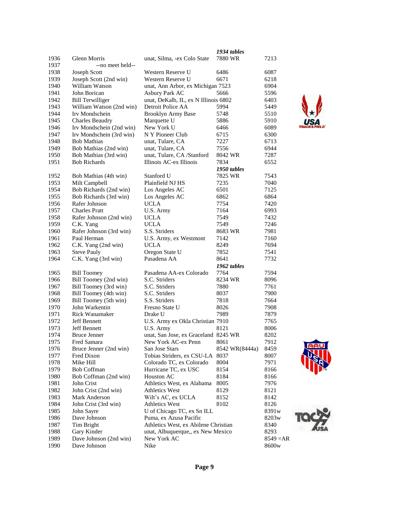|      |                          |                                      | 1934 tables    |                   |
|------|--------------------------|--------------------------------------|----------------|-------------------|
| 1936 | Glenn Morris             | unat, Silma, -ex Colo State          | 7880 WR        | 7213              |
| 1937 | --no meet held--         |                                      |                |                   |
| 1938 | Joseph Scott             | Western Reserve U                    | 6486           | 6087              |
| 1939 | Joseph Scott (2nd win)   | Western Reserve U                    | 6671           | 6218              |
| 1940 | William Watson           | unat, Ann Arbor, ex Michigan 7523    |                | 6904              |
| 1941 | John Borican             | Asbury Park AC                       | 5666           | 5596              |
| 1942 | <b>Bill Terwilliger</b>  | unat, DeKalb, IL, ex N Illinois 6802 |                | 6403              |
| 1943 | William Watson (2nd win) | Detroit Police AA                    | 5994           | 5449              |
| 1944 | Irv Mondschein           | <b>Brooklyn Army Base</b>            | 5748           | 5510              |
| 1945 | <b>Charles Beaudry</b>   | Marquette U                          | 5886           | 5910              |
| 1946 | Irv Mondschein (2nd win) | New York U                           | 6466           | 6089              |
| 1947 | Irv Mondschein (3rd win) | N Y Pioneer Club                     | 6715           | 6300              |
| 1948 | <b>Bob Mathias</b>       | unat, Tulare, CA                     | 7227           | 6713              |
| 1949 | Bob Mathias (2nd win)    | unat, Tulare, CA                     | 7556           | 6944              |
| 1950 | Bob Mathias (3rd win)    | unat, Tulare, CA /Stanford           | 8042 WR        | 7287              |
| 1951 | <b>Bob Richards</b>      | Illinois AC-ex Illinois              | 7834           | 6552              |
|      |                          |                                      | 1950 tables    |                   |
| 1952 | Bob Mathias (4th win)    | Stanford U                           | 7825 WR        | 7543              |
| 1953 | Milt Campbell            | Plainfield NJ HS                     | 7235           | 7040              |
| 1954 | Bob Richards (2nd win)   | Los Angeles AC                       | 6501           | 7125              |
| 1955 | Bob Richards (3rd win)   | Los Angeles AC                       | 6862           | 6864              |
| 1956 | Rafer Johnson            | <b>UCLA</b>                          | 7754           | 7420              |
| 1957 | <b>Charles Pratt</b>     | U.S. Army                            | 7164           | 6993              |
| 1958 | Rafer Johnson (2nd win)  | <b>UCLA</b>                          | 7549           | 7432              |
| 1959 | C.K. Yang                | <b>UCLA</b>                          | 7549           | 7246              |
| 1960 | Rafer Johnson (3rd win)  | S.S. Striders                        | 8683 WR        | 7981              |
| 1961 | Paul Herman              | U.S. Army, ex Westmont               | 7142           | 7160              |
| 1962 | C.K. Yang (2nd win)      | <b>UCLA</b>                          | 8249           | 7694              |
| 1963 | <b>Steve Pauly</b>       | Oregon State U                       | 7852           | 7541              |
| 1964 | C.K. Yang (3rd win)      | Pasadena AA                          | 8641           | 7732              |
|      |                          |                                      | 1962 tables    |                   |
| 1965 | <b>Bill Toomey</b>       | Pasadena AA-ex Colorado              | 7764           | 7594              |
| 1966 | Bill Toomey (2nd win)    | S.C. Striders                        | 8234 WR        | 8096              |
| 1967 | Bill Toomey (3rd win)    | S.C. Striders                        | 7880           | 7761              |
| 1968 | Bill Toomey (4th win)    | S.C. Striders                        | 8037           | 7900              |
| 1969 | Bill Toomey (5th win)    | S.S. Striders                        | 7818           | 7664              |
| 1970 | John Warkentin           | Fresno State U                       | 8026           | 7908              |
| 1971 | Rick Wanamaker           | Drake U                              | 7989           | 7879              |
| 1972 | <b>Jeff Bennett</b>      | U.S. Army ex Okla Christian 7910     |                | 7765              |
| 1973 | Jeff Bennett             | U.S. Army                            | 8121           | 8006              |
| 1974 | <b>Bruce Jenner</b>      | unat, San Jose, ex Graceland 8245 WR |                | 8202              |
| 1975 | Fred Samara              | New York AC-ex Penn                  | 8061           | 7912              |
| 1976 | Bruce Jenner (2nd win)   | San Jose Stars                       | 8542 WR(8444a) | 8459              |
| 1977 | Fred Dixon               | Tobias Striders, ex CSU-LA           | 8037           | 8007              |
| 1978 | Mike Hill                | Colorado TC, ex Colorado             | 8004           | 7971              |
| 1979 | <b>Bob Coffman</b>       | Hurricane TC, ex USC                 | 8154           | 8166              |
| 1980 | Bob Coffman (2nd win)    | Houston AC                           | 8184           | 8166              |
| 1981 | John Crist               | Athletics West, ex Alabama           | 8005           | 7976              |
| 1982 | John Crist (2nd win)     | <b>Athletics West</b>                | 8129           | 8121              |
| 1983 | Mark Anderson            | Wilt's AC, ex UCLA                   | 8152           | 8142              |
| 1984 | John Crist (3rd win)     | <b>Athletics West</b>                | 8102           | 8126              |
| 1985 | John Sayre               | U of Chicago TC, ex Sn ILL           |                | 8391w             |
| 1986 | Dave Johnson             | Puma, ex Azusa Pacific               |                | 8203w             |
| 1987 | Tim Bright               | Athletics West, ex Abilene Christian |                | 8340              |
| 1988 | Gary Kinder              | unat, Albuquerque,, ex New Mexico    |                | 8293              |
| 1989 | Dave Johnson (2nd win)   | New York AC                          |                | $8549 = AR$       |
| 1990 | Dave Johnson             | Nike                                 |                | 8600 <sub>w</sub> |





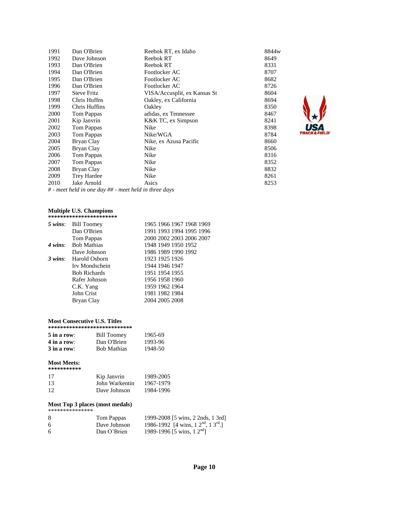| 1991 | Dan O'Brien                                           | Reebok RT, ex Idaho          | 8844w |
|------|-------------------------------------------------------|------------------------------|-------|
| 1992 | Dave Johnson                                          | Reebok RT                    | 8649  |
| 1993 | Dan O'Brien                                           | Reebok RT                    | 8331  |
| 1994 | Dan O'Brien                                           | Footlocker AC                | 8707  |
| 1995 | Dan O'Brien                                           | Footlocker AC                | 8682  |
| 1996 | Dan O'Brien                                           | Footlocker AC                | 8726  |
| 1997 | <b>Steve Fritz</b>                                    | VISA/Accusplit, ex Kansas St | 8604  |
| 1998 | Chris Huffns                                          | Oakley, ex California        | 8694  |
| 1999 | Chris Huffins                                         | Oakley                       | 8350  |
| 2000 | Tom Pappas                                            | adidas, ex Tennessee         | 8467  |
| 2001 | Kip Janvrin                                           | K&K TC, ex Simpson           | 8241  |
| 2002 | Tom Pappas                                            | Nike                         | 8398  |
| 2003 | Tom Pappas                                            | Nike/WGA                     | 8784  |
| 2004 | Bryan Clay                                            | Nike, ex Azusa Pacific       | 8660  |
| 2005 | Bryan Clay                                            | Nike                         | 8506  |
| 2006 | Tom Pappas                                            | Nike                         | 8316  |
| 2007 | Tom Pappas                                            | Nike                         | 8352  |
| 2008 | Bryan Clay                                            | Nike                         | 8832  |
| 2009 | <b>Trey Hardee</b>                                    | Nike                         | 8261  |
| 2010 | Jake Arnold                                           | Asics                        | 8253  |
|      | # - meet held in one day ## - meet held in three days |                              |       |

#### **Multiple U.S. Champions**

| *********************** |                          |
|-------------------------|--------------------------|
| 5 wins: Bill Toomey     | 1965 1966 1967 1968 1969 |
| Dan O'Brien             | 1991 1993 1994 1995 1996 |
| Tom Pappas              | 2000 2002 2003 2006 2007 |
| 4 wins: Bob Mathias     | 1948 1949 1950 1952      |
| Dave Johnson            | 1986 1989 1990 1992      |
| Harold Osborn           | 1923 1925 1926           |
| Irv Mondschein          | 1944 1946 1947           |
| <b>Bob Richards</b>     | 1951 1954 1955           |
| Rafer Johnson           | 1956 1958 1960           |
| C.K. Yang               | 1959 1962 1964           |
| John Crist              | 1981 1982 1984           |
| Bryan Clay              | 2004 2005 2008           |
|                         |                          |

#### **Most Consecutive U.S. Titles**

| **************************** |                    |         |  |
|------------------------------|--------------------|---------|--|
| $5$ in a row:                | <b>Bill Toomey</b> | 1965-69 |  |
| $4$ in a row:                | Dan O'Brien        | 1993-96 |  |
| $3$ in a row:                | <b>Bob Mathias</b> | 1948-50 |  |

#### **Most Meets:**

| *********** |                |           |
|-------------|----------------|-----------|
| 17          | Kip Janvrin    | 1989-2005 |
| 13          | John Warkentin | 1967-1979 |
| 12          | Dave Johnson   | 1984-1996 |

#### **Most Top 3 places (most medals)**

| *************** |                |                                                                   |
|-----------------|----------------|-------------------------------------------------------------------|
| 8               | Tom Pappas     | 1999-2008 [5 wins, 2 2nds, 1 3rd]                                 |
| -6              | Dave Johnson   | 1986-1992 [4 wins, $1 \, 2^{\text{nd}}$ , $1 \, 3^{\text{rd}}$ .] |
| -6              | Dan $O'$ Brien | 1989-1996 [5 wins, $12nd$ ]                                       |

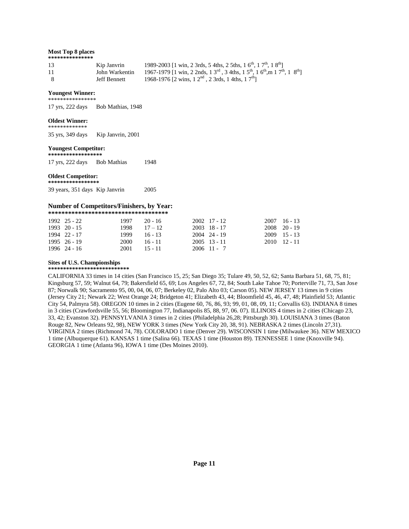#### **Most Top 8 places**

| *************** |  |
|-----------------|--|
|                 |  |

| 13  | Kip Janvrin    | 1989-2003 [1 win, 2 3rds, 5 4ths, 2 5ths, 1 6 <sup>th</sup> , 1 7 <sup>th</sup> , 1 8 <sup>th</sup> ]                                   |
|-----|----------------|-----------------------------------------------------------------------------------------------------------------------------------------|
| 11  | John Warkentin | 1967-1979 [1 win, 2 2nds, 1 3 <sup>rd</sup> , 3 4ths, 1 5 <sup>th</sup> , 1 6 <sup>th</sup> , m 1 7 <sup>th</sup> , 1 8 <sup>th</sup> ] |
| - 8 | Jeff Bennett   | 1968-1976 [2 wins, $12^{nd}$ , $23rds$ , $14ths$ , $17^{th}$ ]                                                                          |

#### **Youngest Winner:**  \*\*\*\*\*\*\*\*\*\*\*\*\*\*\*\*

17 yrs, 222 days Bob Mathias, 1948

#### **Oldest Winner:**

\*\*\*\*\*\*\*\*\*\*\*\*\*

35 yrs, 349 daysKip Janvrin, 2001

#### **Youngest Competitor:**

**\*\*\*\*\*\*\*\*\*\*\*\*\*\*\*\*\*\***

17 yrs, 222 days Bob Mathias 1948

#### **Oldest Competitor: \*\*\*\*\*\*\*\*\*\*\*\*\*\*\*\*\***

39 years, 351 days Kip Janvrin 2005

#### **Number of Competitors/Finishers, by Year:**

| ************************************* |              |                |            |  |                |  |  |  |  |  |  |  |  |
|---------------------------------------|--------------|----------------|------------|--|----------------|--|--|--|--|--|--|--|--|
|                                       | 1992 25 - 22 | 1997           | $-20 - 16$ |  | 2002 17 - 12   |  |  |  |  |  |  |  |  |
|                                       | 1993 20 - 15 | $1998$ $17-12$ |            |  | $2003$ 18 - 17 |  |  |  |  |  |  |  |  |

| $1993 \quad 20 - 15$ | $1998$ $17-12$ |           | 2003 18 - 17   | $2008$ 20 - 19       |
|----------------------|----------------|-----------|----------------|----------------------|
| 1994 22 - 17         | 1999.          | -16 - 13  | $2004$ 24 - 19 | $2009$ 15 - 13       |
| $1995 \quad 26 - 19$ | 2000-          | $16 - 11$ | $2005$ 13 - 11 | $2010 \quad 12 - 11$ |
| 1996 24 - 16         | 2001.          | $15 - 11$ | $2006$ 11 - 7  |                      |

#### **Sites of U.S. Championships**

**\*\*\*\*\*\*\*\*\*\*\*\*\*\*\*\*\*\*\*\*\*\*\*\*\*\*\*** 

CALIFORNIA 33 times in 14 cities (San Francisco 15, 25; San Diego 35; Tulare 49, 50, 52, 62; Santa Barbara 51, 68, 75, 81; Kingsburg 57, 59; Walnut 64, 79; Bakersfield 65, 69; Los Angeles 67, 72, 84; South Lake Tahoe 70; Porterville 71, 73, San Jose 87; Norwalk 90; Sacramento 95, 00, 04, 06, 07; Berkeley 02, Palo Alto 03; Carson 05). NEW JERSEY 13 times in 9 cities (Jersey City 21; Newark 22; West Orange 24; Bridgeton 41; Elizabeth 43, 44; Bloomfield 45, 46, 47, 48; Plainfield 53; Atlantic City 54, Palmyra 58). OREGON 10 times in 2 cities (Eugene 60, 76, 86, 93; 99, 01, 08, 09, 11; Corvallis 63). INDIANA 8 times in 3 cities (Crawfordsville 55, 56; Bloomington 77, Indianapolis 85, 88, 97, 06. 07). ILLINOIS 4 times in 2 cities (Chicago 23, 33, 42; Evanston 32). PENNSYLVANIA 3 times in 2 cities (Philadelphia 26,28; Pittsburgh 30). LOUISIANA 3 times (Baton Rouge 82, New Orleans 92, 98), NEW YORK 3 times (New York City 20, 38, 91). NEBRASKA 2 times (Lincoln 27,31). VIRGINIA 2 times (Richmond 74, 78). COLORADO 1 time (Denver 29). WISCONSIN 1 time (Milwaukee 36). NEW MEXICO 1 time (Albuquerque 61). KANSAS 1 time (Salina 66). TEXAS 1 time (Houston 89). TENNESSEE 1 time (Knoxville 94). GEORGIA 1 time (Atlanta 96), IOWA 1 time (Des Moines 2010).

2007 16 - 13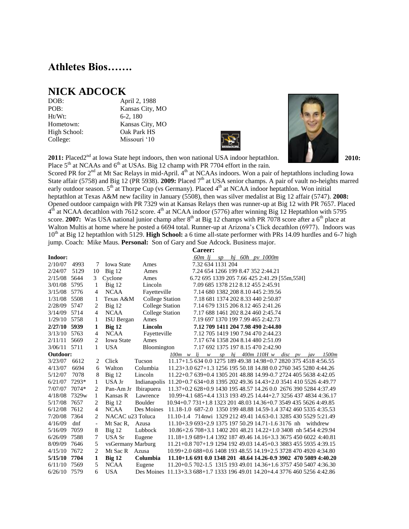### **Athletes Bios…….**

### **NICK ADCOCK**

Ht/Wt: 6-2, 180

DOB: April 2, 1988 POB: Kansas City, MO Hometown: Kansas City, MO High School: Oak Park HS College: Missouri '10



**2011:** Placed2<sup>nd</sup> at Iowa State hept indoors, then won national USA indoor heptathlon. **2010: 2010: 2010:** Place  $5<sup>th</sup>$  at NCAAs and  $6<sup>th</sup>$  at USAs. Big 12 champ with PR 7704 effort in the rain.



Scored PR for  $2^{nd}$  at Mt Sac Relays in mid-April.  $4^{th}$  at NCAAs indoors. Won a pair of heptathlons including Iowa State affair (5758) and Big 12 (PR 5938). 2009: Placed 7<sup>th</sup> at USA senior champs. A pair of vault no-heights marred early outdoor season. 5<sup>th</sup> at Thorpe Cup (vs Germany). Placed 4<sup>th</sup> at NCAA indoor heptathlon. Won initial heptathlon at Texas A&M new facility in January (5508), then was silver medalist at Big 12 affair (5747). **2008:**  Opened outdoor campaign with PR 7329 win at Kansas Relays then was runner-up at Big 12 with PR 7657. Placed  $4<sup>th</sup>$  at NCAA decathlon with 7612 score.  $4<sup>th</sup>$  at NCAA indoor (5776) after winning Big 12 Heptathlon with 5795 score. **2007:** Was USA national junior champ after  $8<sup>th</sup>$  at Big 12 champs with PR 7078 score after a  $6<sup>th</sup>$  place at Walton Multis at home where he posted a 6694 total. Runner-up at Arizona's Click decathlon (6977). Indoors was 10<sup>th</sup> at Big 12 heptathlon with 5129. **High School:** a 6 time all-state performer with PRs 14.09 hurdles and 6-7 high jump. Coach: Mike Maus. **Personal:** Son of Gary and Sue Adcock. Business major.

|              |       |                          |                   |                                                                               |                                                                  | <b>Career:</b>                               |  |                      |  |       |
|--------------|-------|--------------------------|-------------------|-------------------------------------------------------------------------------|------------------------------------------------------------------|----------------------------------------------|--|----------------------|--|-------|
| Indoor:      |       |                          |                   |                                                                               |                                                                  | 60m lj                                       |  | $sp$ hj 60h pv 1000m |  |       |
| 2/10/07      | 4993  | 7                        | <b>Iowa State</b> | Ames                                                                          |                                                                  | 7.32 634 1131 204                            |  |                      |  |       |
| 2/24/07      | 5129  | 10                       | $Big$ 12          | Ames                                                                          |                                                                  | 7.24 654 1266 199 8.47 352 2:44.21           |  |                      |  |       |
| 2/15/08      | 5644  | 3                        | Cyclone           | Ames                                                                          |                                                                  | 6.72 695 1339 205 7.66 425 2:41.29 [55m,55H] |  |                      |  |       |
| 3/01/08      | 5795  | 1                        | $Big$ 12          | Lincoln                                                                       |                                                                  | 7.09 685 1378 212 8.12 455 2:45.91           |  |                      |  |       |
| 3/15/08      | 5776  | 4                        | <b>NCAA</b>       | Fayetteville                                                                  |                                                                  | 7.14 680 1382 208 8.10 445 2:39.56           |  |                      |  |       |
| 1/31/08      | 5508  | 1                        | Texas A&M         | <b>College Station</b>                                                        |                                                                  | 7.18 681 1374 202 8.33 440 2:50.87           |  |                      |  |       |
| 2/28/09      | 5747  | 2                        | Big 12            | <b>College Station</b>                                                        |                                                                  | 7.14 679 1315 206 8.12 465 2:41.26           |  |                      |  |       |
| 3/14/09      | 5714  | $\overline{4}$           | <b>NCAA</b>       | <b>College Station</b>                                                        |                                                                  | 7.17 688 1461 202 8.24 460 2:45.74           |  |                      |  |       |
| 1/29/10      | 5758  | 1                        | ISU Bergan        | Ames                                                                          |                                                                  | 7.19 697 1370 199 7.99 465 2:42.73           |  |                      |  |       |
| 2/27/10 5939 |       | 1                        | Big <sub>12</sub> | Lincoln                                                                       |                                                                  | 7.12 709 1411 204 7.98 490 2:44.80           |  |                      |  |       |
| 3/13/10      | 5763  | 4                        | <b>NCAA</b>       | Fayetteville                                                                  |                                                                  | 7.12 705 1419 190 7.94 470 2:44.23           |  |                      |  |       |
| 2/11/11      | 5669  | 2                        | <b>Iowa State</b> | Ames                                                                          |                                                                  | 7.17 674 1358 204 8.14 480 2:51.09           |  |                      |  |       |
| 3/06/11 5711 |       | 1                        | <b>USA</b>        | Bloomington                                                                   |                                                                  | 7.17 692 1375 197 8.15 470 2:42.90           |  |                      |  |       |
| Outdoor:     |       |                          |                   |                                                                               | $100m \le v$ lj w sp hj $400m$ $110H \le w$ disc pv jav          |                                              |  |                      |  | 1500m |
| 3/23/07      | 6612  | 2                        | Click             | Tucson                                                                        | 11.17+1.5 634 0.0 1275 189 49.38 14.98+0.7 2820 375 4518 4:56.55 |                                              |  |                      |  |       |
| 4/13/07      | 6694  | 6                        | Walton            | Columbia                                                                      | 11.23+3.0 627+1.3 1256 195 50.18 14.88 0.0 2760 345 5280 4:44.26 |                                              |  |                      |  |       |
| 5/12/07      | 7078  | 8                        | $Big$ 12          | Lincoln                                                                       | 11.22+0.7 639+0.4 1305 201 48.88 14.99-0.7 2724 405 5638 4:42.05 |                                              |  |                      |  |       |
| 6/21/07      | 7293* | 1                        | USA Jr            | Indianapolis 11.20+0.7 634+0.8 1395 202 49.36 14.43+2.0 3541 410 5526 4:49.77 |                                                                  |                                              |  |                      |  |       |
| 7/07/07      | 7074* | 2                        | Pan-Am Jr         | Ibirapuera                                                                    | 11.37+0.2 628+0.9 1430 195 48.57 14.26 0.0 2676 390 5284 4:37.49 |                                              |  |                      |  |       |
| 4/18/08      | 7329w | 1                        | Kansas R          | Lawrence                                                                      | 10.99+4.1 685+4.4 1313 193 49.25 14.44+2.7 3256 437 4834 4:36.17 |                                              |  |                      |  |       |
| 5/17/08      | 7657  | 2                        | $Big$ 12          | Boulder                                                                       | 10.94+0.7 731+1.8 1323 201 48.03 14.36+0.7 3549 435 5626 4:49.85 |                                              |  |                      |  |       |
| 6/12/08      | 7612  | 4                        | <b>NCAA</b>       | Des Moines                                                                    | 11.18-1.0 687-2.0 1350 199 48.88 14.59-1.4 3742 460 5335 4:35.53 |                                              |  |                      |  |       |
| 7/20/08      | 7364  | 2                        | NACAC u23 Toluca  |                                                                               | 11.10-1.4 714nwi 1329 212 49.41 14.63-0.1 3285 430 5529 5:21.49  |                                              |  |                      |  |       |
| 4/16/09      | dnf   | $\overline{\phantom{a}}$ | Mt Sac R,         | Azusa                                                                         | 11.10+3.9 693+2.9 1375 197 50.29 14.71-1.6 3176 nh withdrew      |                                              |  |                      |  |       |
| 5/16/09      | 7059  | 8                        | $Big$ 12          | Lubbock                                                                       | 10.86+2.6 708+3.1 1402 201 48.21 14.22+1.0 3408 nh 5454 4:29.94  |                                              |  |                      |  |       |
| 6/26/09      | 7588  | 7                        | USA Sr            | Eugene                                                                        | 11.18+1.9 689+1.4 1392 187 49.46 14.16+3.3 3675 450 6022 4:40.81 |                                              |  |                      |  |       |
| 8/09/09      | 7646  | 5                        | vsGermany Marburg |                                                                               | 11.21+0.8 707+1.9 1294 192 49.03 14.45+0.3 3883 455 5935 4:39.15 |                                              |  |                      |  |       |
| 4/15/10      | 7672  | 2                        | Mt Sac R Azusa    |                                                                               | 10.99+2.0 688+0.6 1408 193 48.55 14.19+2.5 3728 470 4920 4:34.80 |                                              |  |                      |  |       |
| 5/15/10      | 7704  | 1                        | <b>Big 12</b>     | Columbia                                                                      | 11.10+1.6 691 0.0 1348 201 48.64 14.26-0.9 3902 470 5089 4:40.20 |                                              |  |                      |  |       |
| 6/11/10      | 7569  | 5                        | <b>NCAA</b>       | Eugene                                                                        | 11.20+0.5 702-1.5 1315 193 49.01 14.36+1.6 3757 450 5407 4:36.30 |                                              |  |                      |  |       |
| 6/26/10 7579 |       | 6                        | <b>USA</b>        | Des Moines 11.13+3.3 688+1.7 1333 196 49.01 14.20+4.4 3776 460 5256 4:42.86   |                                                                  |                                              |  |                      |  |       |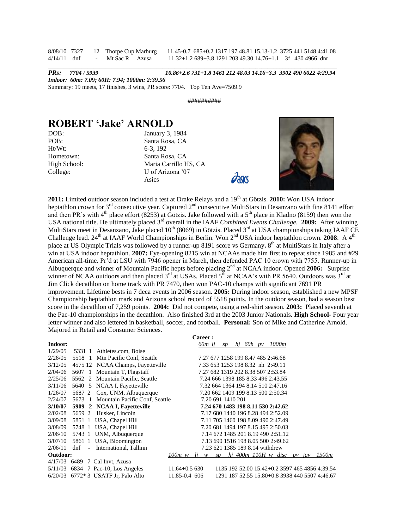8/08/10 7327 12 Thorpe Cup Marburg 11.45-0.7 685+0.2 1317 197 48.81 15.13-1.2 3725 441 5148 4:41.08 4/14/11 dnf - Mt Sac R Azusa 11.32+1.2 689+3.8 1291 203 49.30 14.76+1.1 3f 430 4966 dnr **\_\_\_\_\_\_\_\_\_\_\_\_\_\_\_\_\_\_\_\_\_\_\_\_\_\_\_\_\_\_\_\_\_\_\_\_\_\_\_\_\_\_\_\_\_\_\_\_\_\_\_\_\_\_\_\_\_\_\_\_\_\_\_\_\_\_\_\_\_\_\_\_\_\_\_\_\_\_\_\_\_\_\_\_\_\_\_\_\_\_\_\_\_\_\_\_**

*PRs: 7704 / 5939 10.86+2.6 731+1.8 1461 212 48.03 14.16+3.3 3902 490 6022 4:29.94 Indoor: 60m: 7.09; 60H: 7.94; 1000m: 2:39.56* Summary: 19 meets, 17 finishes, 3 wins, PR score: 7704. Top Ten Ave=7509.9

##########

### **ROBERT 'Jake' ARNOLD**

| DOB:         |  |
|--------------|--|
| POB:         |  |
| $Ht/Wt$ :    |  |
| Hometown:    |  |
| High School: |  |
| College:     |  |

January 3, 1984 Santa Rosa, CA 6-3, 192 Santa Rosa, CA Maria Carrillo HS, CA U of Arizona '07 Asics



**2011:** Limited outdoor season included a test at Drake Relays and a 19<sup>th</sup> at Götzis. **2010:** Won USA indoor heptathlon crown for  $3<sup>rd</sup>$  consecutive year. Captured  $2<sup>nd</sup>$  consecutive MultiStars in Desanzano with fine 8141 effort and then PR's with 4<sup>th</sup> place effort (8253) at Götzis. Jake followed with a 5<sup>th</sup> place in Kladno (8159) then won the USA national title. He ultimately placed 3rd overall in the IAAF *Combined Events Challenge.* **2009:** After winning MultiStars meet in Desanzano, Jake placed  $10<sup>th</sup> (8069)$  in Götzis. Placed  $3<sup>rd</sup>$  at USA championships taking IAAF CE Challenge lead. 24<sup>th</sup> at IAAF World Championships in Berlin. Won 2<sup>nd</sup> USA indoor heptathlon crown. 2008: A 4<sup>th</sup> place at US Olympic Trials was followed by a runner-up 8191 score vs Germany. 8<sup>th</sup> at MultiStars in Italy after a win at USA indoor heptathlon. **2007:** Eye-opening 8215 win at NCAAs made him first to repeat since 1985 and #29 American all-time. Pr'd at LSU with 7946 opener in March, then defended PAC 10 crown with 7755. Runner-up in Albuquerque and winner of Mountain Pacific hepts before placing 2nd at NCAA indoor. Opened **2006:** Surprise winner of NCAA outdoors and then placed  $3^{rd}$  at USAs. Placed  $5^{th}$  at NCAA's with PR 5640. Outdoors was  $3^{rd}$  at Jim Click decathlon on home track with PR 7470, then won PAC-10 champs with significant 7691 PR improvement. Lifetime bests in 7 deca events in 2006 season. **2005:** During indoor season, established a new MPSF Championship heptathlon mark and Arizona school record of 5518 points. In the outdoor season, had a season best score in the decathlon of 7,259 points. **2004:** Did not compete, using a red-shirt season. **2003:** Placed seventh at the Pac-10 championships in the decathlon. Also finished 3rd at the 2003 Junior Nationals. **High School-** Four year letter winner and also lettered in basketball, soccer, and football. **Personal:** Son of Mike and Catherine Arnold. Majored in Retail and Consumer Sciences.

|          |               |                                       |                  | Career :                           |    |    |  |                                    |                                    |  |                                                |
|----------|---------------|---------------------------------------|------------------|------------------------------------|----|----|--|------------------------------------|------------------------------------|--|------------------------------------------------|
| Indoor:  |               |                                       |                  | 60 <sub>m</sub> lj                 |    | sp |  | hi 60h py 1000m                    |                                    |  |                                                |
| 1/29/05  | 5331 1        | Athletes.com, Boise                   |                  |                                    |    |    |  |                                    |                                    |  |                                                |
| 2/26/05  |               | 5518 1 Mtn Pacific Conf, Seattle      |                  | 7.27 677 1258 199 8.47 485 2:46.68 |    |    |  |                                    |                                    |  |                                                |
| 3/12/05  |               | 4575 12 NCAA Champs, Fayetteville     |                  | 7.33 653 1253 198 8.32 nh 2:49.11  |    |    |  |                                    |                                    |  |                                                |
| 2/04/06  |               | 5607 1 Mountain T, Flagstaff          |                  | 7.27 682 1319 202 8.38 507 2:53.84 |    |    |  |                                    |                                    |  |                                                |
| 2/25/06  |               | 5562 2 Mountain Pacific, Seattle      |                  | 7.24 666 1398 185 8.33 496 2:43.55 |    |    |  |                                    |                                    |  |                                                |
| 3/11/06  |               | 5640 5 NCAA I, Fayetteville           |                  | 7.32 664 1364 194 8.14 510 2:47.16 |    |    |  |                                    |                                    |  |                                                |
| 1/26/07  |               | 5687 2 Cox, UNM, Albuquerque          |                  | 7.20 662 1409 199 8.13 500 2:50.34 |    |    |  |                                    |                                    |  |                                                |
| 2/24/07  |               | 5673 1 Mountain Pacific Conf, Seattle |                  | 7.20 691 1410 201                  |    |    |  |                                    |                                    |  |                                                |
| 3/10/07  |               | 5909 2 NCAA I, Fayetteville           |                  |                                    |    |    |  |                                    | 7.24 670 1483 198 8.11 530 2:42.62 |  |                                                |
| 2/02/08  | 5659 2        | Husker, Lincoln                       |                  |                                    |    |    |  |                                    | 7.17 680 1440 196 8.28 494 2:52.09 |  |                                                |
| 3/09/08  |               | 5851 1 USA, Chapel Hill               |                  |                                    |    |    |  |                                    | 7.11 705 1460 198 8.09 490 2:47.49 |  |                                                |
| 3/08/09  |               | 5748 1 USA, Chapel Hill               |                  |                                    |    |    |  | 7.20 681 1494 197 8.15 495 2:50.03 |                                    |  |                                                |
| 2/06/10  |               | 5743 1 UNM, Albuquerque               |                  |                                    |    |    |  |                                    | 7.14 672 1485 201 8.19 490 2:51.12 |  |                                                |
| 3/07/10  |               | 5861 1 USA, Bloomington               |                  |                                    |    |    |  |                                    | 7.13 690 1516 198 8.05 500 2:49.62 |  |                                                |
| 2/06/11  | dnf<br>$\sim$ | International, Tallinn                |                  |                                    |    |    |  | 7.23 621 1385 189 8.14 withdrew    |                                    |  |                                                |
| Outdoor: |               |                                       | 100m w           | li<br>w                            | SD |    |  |                                    | hj 400m 110H w disc pv jav         |  | 1500m                                          |
|          |               | 4/17/03 6489 7 Cal Invt, Azusa        |                  |                                    |    |    |  |                                    |                                    |  |                                                |
|          |               | 5/11/03 6834 7 Pac-10, Los Angeles    | $11.64 + 0.5630$ |                                    |    |    |  |                                    |                                    |  | 1135 192 52.00 15.42+0.2 3597 465 4856 4:39.54 |
|          |               | $6/20/03$ 6772* 3 USATF Jr, Palo Alto | 11.85-0.4 606    |                                    |    |    |  |                                    |                                    |  | 1291 187 52.55 15.80+0.8 3938 440 5507 4:46.67 |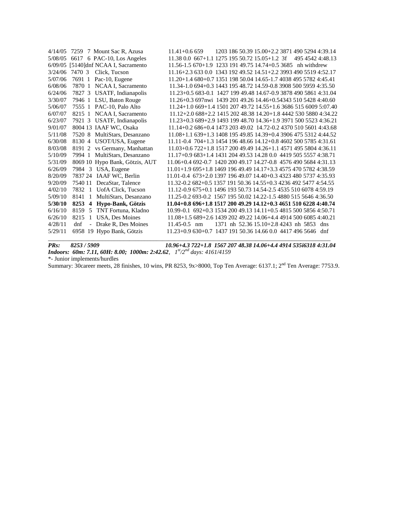|         | 4/14/05 7259 7 Mount Sac R, Azusa                      | 1203 186 50.39 15.00+2.2 3871 490 5294 4:39.14<br>$11.41 + 0.6659$         |
|---------|--------------------------------------------------------|----------------------------------------------------------------------------|
| 5/08/05 | 6617 6 PAC-10, Los Angeles                             | $11.38\,0.0\,667+1.1\,1275\,195\,50.72\,15.05+1.2\,3f$<br>495 4542 4:48.13 |
|         | 6/09/05 [5140]dnf NCAA I, Sacramento                   | 11.56-1.5 670+1.9 1233 191 49.75 14.74+0.5 3685 nh withdrew                |
| 3/24/06 | 7470 3<br>Click, Tucson                                | 11.16+2.3 633 0.0 1343 192 49.52 14.51+2.2 3993 490 5519 4:52.17           |
| 5/07/06 | Pac-10, Eugene<br>7691 1                               | $11.20+1.4680+0.7135119850.0414.65-1.7403849557824.45.41$                  |
| 6/08/06 | 7870 1 NCAA I, Sacramento                              | 11.34-1.0 694+0.3 1443 195 48.72 14.59-0.8 3908 500 5959 4:35.50           |
| 6/24/06 | 7827 3 USATF, Indianapolis                             | 11.23+0.5 683-0.1 1427 199 49.48 14.67-0.9 3878 490 5861 4:31.04           |
| 3/30/07 | 7946 1 LSU, Baton Rouge                                | 11.26+0.3 697nwi 1439 201 49.26 14.46+0.54343 510 5428 4:40.60             |
| 5/06/07 | 7555 1 PAC-10, Palo Alto                               | 11.24+1.0 669+1.4 1501 207 49.72 14.55+1.6 3686 515 6009 5:07.40           |
| 6/07/07 | 8215 1 NCAA I, Sacramento                              | 11.12+2.0 688+2.2 1415 202 48.38 14.20+1.8 4442 530 5880 4:34.22           |
| 6/23/07 | 7921 3 USATF, Indianapolis                             | 11.23+0.3 689+2.9 1493 199 48.70 14.36+1.9 3971 500 5523 4:36.21           |
| 9/01/07 | 8004 13 IAAF WC, Osaka                                 | 11.14+0.2 686+0.4 1473 203 49.02 14.72-0.2 4370 510 5601 4:43.68           |
| 5/11/08 | 7520 8 MultiStars, Desanzano                           | 11.08+1.1 639+1.3 1408 195 49.85 14.39+0.4 3906 475 5312 4:44.52           |
| 6/30/08 | 8130 4 USOT/USA, Eugene                                | 11.11-0.4 704+1.3 1454 196 48.66 14.12+0.8 4602 500 5785 4:31.61           |
| 8/03/08 | 8191 2 vs Germany, Manhattan                           | $11.03+0.6722+1.8151720049.4914.26+1.1457149558044:36.11$                  |
| 5/10/09 | 7994 1 MultiStars, Desanzano                           | 11.17+0.9 683+1.4 1431 204 49.53 14.28 0.0 4419 505 5557 4:38.71           |
| 5/31/09 | 8069 10 Hypo Bank, Götzis, AUT                         | 11.06+0.4 692-0.7 1420 200 49.17 14.27-0.8 4576 490 5684 4:31.13           |
| 6/26/09 | 7984 3 USA, Eugene                                     | $11.01+1.9695+1.8146919649.4914.17+3.3457547057824:38.59$                  |
| 8/20/09 | 7837 24 IAAF WC, Berlin                                | 11.01-0.4 673+2.0 1397 196 49.07 14.40+0.3 4323 480 5737 4:35.93           |
| 9/20/09 | 7540 11 DecaStar, Talence                              | 11.32-0.2 682+0.5 1357 191 50.36 14.55+0.3 4236 492 5477 4:54.55           |
| 4/02/10 | 7832 1 UofA Click, Tucson                              | 11.12-0.9 675+0.1 1496 193 50.73 14.54-2.5 4535 510 6078 4:59.19           |
| 5/09/10 | MultiStars, Desanzano<br>8141<br>$\mathbf{1}$          | 11.25-0.2 693-0.2 1567 195 50.02 14.22-1.5 4880 515 5646 4:36.50           |
| 5/30/10 | 8253<br>4 Hypo-Bank, Götzis                            | 11.04+0.8 696+1.8 1517 200 49.29 14.12+0.3 4651 510 6228 4:40.74           |
| 6/16/10 | 5 TNT Fortuna, Kladno<br>8159                          | 10.99-0.1 692+0.3 1534 200 49.13 14.11+0.5 4815 500 5856 4:50.71           |
| 6/26/10 | USA, Des Moines<br>8215<br>1                           | 11.08+1.5 689+2.6 1439 202 49.22 14.06+4.4 4914 500 6085 4:40.21           |
| 4/28/11 | Drake R, Des Moines<br>dnf<br>$\overline{\phantom{a}}$ | 1371 nh 52.36 15.10+2.8 4243 nh 5853<br>$11.45 - 0.5$ nm<br>dns            |
| 5/29/11 | 6958 19 Hypo Bank, Götzis                              | $11.23+0.9630+0.7143719150.3614.660.044174965646$ dnf                      |
|         |                                                        |                                                                            |

*PRs: 8253 / 5909 10.96+4.3 722+1.8 1567 207 48.38 14.06+4.4 4914 535i6318 4:31.04 Indoors: 60m: 7.11, 60H: 8.00; 1000m: 2:42.62, 1st/2nd days: 4161/4159*

\*- Junior implements/hurdles

Summary: 30career meets, 28 finishes, 10 wins, PR 8253, 9x>8000, Top Ten Average: 6137.1; 2<sup>nd</sup> Ten Average: 7753.9.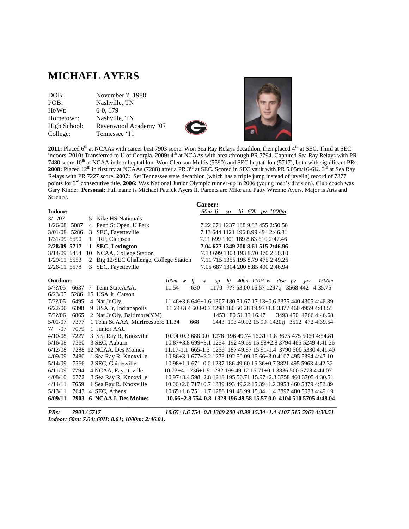## **MICHAEL AYERS**

| November 7, 1988      |
|-----------------------|
| Nashville, TN         |
| 6-0, 179              |
| Nashville, TN         |
| Ravenwood Academy '07 |
| Tennessee '11         |
|                       |





2011: Placed 6<sup>th</sup> at NCAAs with career best 7903 score. Won Sea Ray Relays decathlon, then placed 4<sup>th</sup> at SEC. Third at SEC indoors. **2010:** Transferred to U of Georgia. **2009:** 4<sup>th</sup> at NCAAs with breakthrough PR 7794. Captured Sea Ray Relays with PR 7480 score.10<sup>th</sup> at NCAA indoor heptathlon. Won Clemson Multis (5590) and SEC heptathlon (5717), both with significant PRs. **2008:** Placed  $12^{th}$  in first try at NCAAs (7288) after a PR  $3^{rd}$  at SEC. Scored in SEC vault with PR 5.05m/16-6¾.  $3^{rd}$  at Sea Ray Relays with PR 7227 score. **2007:** Set Tennessee state decathlon (which has a triple jump instead of javelin) record of 7377 points for 3rd consecutive title. **2006:** Was National Junior Olympic runner-up in 2006 (young men's division). Club coach was Gary Kinder. **Personal:** Full name is Michael Patrick Ayers II. Parents are Mike and Patty Wrenne Ayers. Major is Arts and Science.

 **Career:**

|              |      |                |                                       |                                                                  |     | varvu .            |      |    |                      |  |                                              |  |                       |       |
|--------------|------|----------------|---------------------------------------|------------------------------------------------------------------|-----|--------------------|------|----|----------------------|--|----------------------------------------------|--|-----------------------|-------|
| Indoor:      |      |                |                                       |                                                                  |     | 60 <sub>m</sub> lj |      | SD |                      |  | hi 60h py 1000m                              |  |                       |       |
| 3/707        |      | 5              | Nike HS Nationals                     |                                                                  |     |                    |      |    |                      |  |                                              |  |                       |       |
| 1/26/08 5087 |      | 4              | Penn St Open, U Park                  |                                                                  |     |                    |      |    |                      |  | 7.22 671 1237 188 9.33 455 2:50.56           |  |                       |       |
| 3/01/08      | 5286 | 3              | SEC, Fayetteville                     |                                                                  |     |                    |      |    |                      |  | 7.13 644 1121 196 8.99 494 2:46.81           |  |                       |       |
| 1/31/09 5590 |      | 1              | JRF, Clemson                          |                                                                  |     |                    |      |    |                      |  | 7.11 699 1301 189 8.63 510 2:47.46           |  |                       |       |
| 2/28/09 5717 |      | 1              | <b>SEC, Lexington</b>                 |                                                                  |     |                    |      |    |                      |  | 7.04 677 1349 200 8.61 515 2:46.96           |  |                       |       |
| 3/14/09 5454 |      |                | 10 NCAA, College Station              |                                                                  |     |                    |      |    |                      |  | 7.13 699 1303 193 8.70 470 2:50.10           |  |                       |       |
| 1/29/11 5553 |      | 2              | Big 12/SEC Challenge, College Station |                                                                  |     |                    |      |    |                      |  | 7.11 715 1355 195 8.79 475 2:49.26           |  |                       |       |
| 2/26/11 5578 |      | 3              | SEC, Fayetteville                     |                                                                  |     |                    |      |    |                      |  | 7.05 687 1304 200 8.85 490 2:46.94           |  |                       |       |
|              |      |                |                                       |                                                                  |     |                    |      |    |                      |  |                                              |  |                       |       |
| Outdoor:     |      |                |                                       | $100m \quad w$                                                   | li  | w                  | SD   |    |                      |  | hj $400m$ 110H w disc pv jav                 |  |                       | 1500m |
| 5/??/05      | 6637 | $\overline{?}$ | Tenn StateAAA.                        | 11.54                                                            | 630 |                    | 1170 |    |                      |  | ??? 53.00 16.57 1297tj 3568 442 4:35.75      |  |                       |       |
| 6/23/05      |      |                | 5286 15 USA Jr, Carson                |                                                                  |     |                    |      |    |                      |  |                                              |  |                       |       |
| 7/22/05      | 6495 |                | 4 Nat Jr Oly,                         | 11.46+3.6 646+1.6 1307 180 51.67 17.13+0.6 3375 440 4305 4:46.39 |     |                    |      |    |                      |  |                                              |  |                       |       |
| 6/22/06      | 6398 |                | 9 USA Jr, Indianapolis                | 11.24+3.4 608-0.7 1298 180 50.28 19.97+1.8 3377 460 4959 4:48.55 |     |                    |      |    |                      |  |                                              |  |                       |       |
| 7/??/06      | 6865 |                | 2 Nat Jr Oly, Baltimore(YM)           |                                                                  |     |                    |      |    | 1453 180 51.33 16.47 |  |                                              |  | 3493 450 4766 4:46.68 |       |
| 5/01/07      | 7377 |                | 1 Tenn St AAA, Murfreesboro 11.34     |                                                                  | 668 |                    |      |    |                      |  | 1443 193 49.92 15.99 1420tj 3512 472 4:39.54 |  |                       |       |
| 7/707        | 7079 |                | 1 Junior AAU                          |                                                                  |     |                    |      |    |                      |  |                                              |  |                       |       |
| 4/10/08      | 7227 |                | 3 Sea Ray R, Knoxville                | 10.94+0.3 688 0.0 1278 196 49.74 16.31+1.8 3675 475 5069 4:54.81 |     |                    |      |    |                      |  |                                              |  |                       |       |
| 5/16/08      | 7360 |                | 3 SEC, Auburn                         | 10.87+3.8 699+3.1 1254 192 49.69 15.98+2.8 3794 465 5249 4:41.36 |     |                    |      |    |                      |  |                                              |  |                       |       |
| 6/12/08      |      |                | 7288 12 NCAA, Des Moines              | 11.17-1.1 665-1.5 1256 187 49.87 15.91-1.4 3790 500 5330 4:41.40 |     |                    |      |    |                      |  |                                              |  |                       |       |
| 4/09/09      | 7480 |                | 1 Sea Ray R, Knoxville                | 10.86+3.1 677+3.2 1273 192 50.09 15.66+3.0 4107 495 5394 4:47.10 |     |                    |      |    |                      |  |                                              |  |                       |       |
| 5/14/09      | 7366 |                | 2 SEC, Gainesville                    | 10.98+1.1 671 0.0 1237 186 49.60 16.36+0.7 3821 495 5963 4:42.32 |     |                    |      |    |                      |  |                                              |  |                       |       |
| 6/11/09      | 7794 |                | 4 NCAA, Fayetteville                  | 10.73+4.1 736+1.9 1282 199 49.12 15.71+0.1 3836 500 5778 4:44.07 |     |                    |      |    |                      |  |                                              |  |                       |       |
| 4/08/10      | 6772 |                | 3 Sea Ray R, Knoxville                | 10.97+3.4 598+2.8 1218 195 50.71 15.97+2.3 3758 460 3705 4:30.51 |     |                    |      |    |                      |  |                                              |  |                       |       |
| 4/14/11      | 7659 |                | 1 Sea Ray R, Knoxville                | 10.66+2.6 717+0.7 1389 193 49.22 15.39+1.2 3958 460 5379 4:52.89 |     |                    |      |    |                      |  |                                              |  |                       |       |
| 5/13/11      | 7647 |                | 4 SEC, Athens                         | 10.65+1.6 751+1.7 1288 191 48.99 15.34+1.4 3897 480 5073 4:49.19 |     |                    |      |    |                      |  |                                              |  |                       |       |
| 6/09/11      | 7903 |                | 6 NCAA I, Des Moines                  | 10.66+2.8 754-0.8 1329 196 49.58 15.57 0.0 4104 510 5705 4:48.04 |     |                    |      |    |                      |  |                                              |  |                       |       |
|              |      |                |                                       |                                                                  |     |                    |      |    |                      |  |                                              |  |                       |       |

*Indoor: 60m: 7.04; 60H: 8.61; 1000m: 2:46.81.*

*PRs: 7903 / 5717 10.65+1.6 754+0.8 1389 200 48.99 15.34+1.4 4107 515 5963 4:30.51*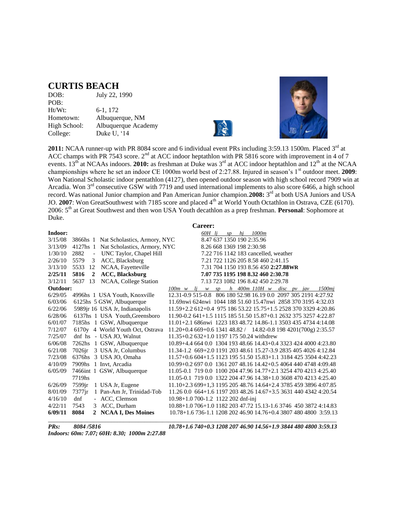#### **CURTIS BEACH**

| DOB:         | July 22, 1990       |
|--------------|---------------------|
| POB:         |                     |
| Ht/Wt:       | 6-1, 172            |
| Hometown:    | Albuquerque, NM     |
| High School: | Albuquerque Academy |
| College:     | Duke U, '14         |
|              |                     |





2011: NCAA runner-up with PR 8084 score and 6 individual event PRs including 3:59.13 1500m. Placed 3<sup>rd</sup> at ACC champs with PR 7543 score.  $2<sup>nd</sup>$  at ACC indoor heptathlon with PR 5816 score with improvement in 4 of 7 events. 13<sup>th</sup> at NCAAs indoors. **2010:** as freshman at Duke was 3<sup>rd</sup> at ACC indoor heptathlon and 12<sup>th</sup> at the NCAA championships where he set an indoor CE 1000m world best of 2:27.88. Injured in season's 1<sup>st</sup> outdoor meet. **2009**: Won National Scholastic indoor pentathlon (4127), then opened outdoor season with high school record 7909 win at Arcadia. Won 3<sup>rd</sup> consecutive GSW with 7719 and used international implements to also score 6466, a high school record. Was national Junior champion and Pan American Junior champion. 2008: 3<sup>rd</sup> at both USA Juniors and USA JO. 2007: Won GreatSouthwest with 7185 score and placed 4<sup>th</sup> at World Youth Octathlon in Ostrava, CZE (6170). 2006: 5th at Great Southwest and then won USA Youth decathlon as a prep freshman. **Personal**: Sophomore at Duke.

|          |                                  |                                       | Career:                                                                      |
|----------|----------------------------------|---------------------------------------|------------------------------------------------------------------------------|
| Indoor:  |                                  |                                       | 60H li<br>hi 1000m<br>SD                                                     |
| 3/15/08  |                                  | 3866hs 1 Nat Scholastics, Armory, NYC | 8.47 637 1350 190 2:35.96                                                    |
| 3/13/09  |                                  | 4127hs 1 Nat Scholastics, Armory, NYC | 8.26 668 1369 198 2:30.98                                                    |
| 1/30/10  | 2882<br>$\overline{\phantom{a}}$ | UNC Taylor, Chapel Hill               | 7.22 716 1142 183 cancelled, weather                                         |
| 2/26/10  | 5579<br>3                        | ACC, Blacksburg                       | 7.21 722 1126 205 8.58 460 2:41.15                                           |
| 3/13/10  | 5533<br>12                       | NCAA, Fayetteville                    | 7.31 704 1150 193 8.56 450 2:27.88WR                                         |
| 2/25/11  | 5816<br>$\overline{2}$           | <b>ACC, Blacksburg</b>                | 7.07 735 1195 198 8.32 460 2:30.78                                           |
| 3/12/11  | 13<br>5637                       | NCAA, College Station                 | 7.13 723 1082 196 8.42 450 2:29.78                                           |
| Outdoor: |                                  |                                       | $h$ 400m 110H w disc pv jav<br>$100m \ w$<br>1500mi<br>$l$ <i>i</i> $w$ $sp$ |
| 6/29/05  |                                  | 4996hs 1 USA Youth, Knoxville         | 12.31-0.9 515-0.8 806 180 52.98 16.19 0.0 2097 305 2191 4:27.92              |
| 6/03/06  |                                  | 6125hs 5 GSW, Albuquerque             | 11.69nwi 624nwi 1044 188 51.60 15.47nwi 2858 370 3195 4:32.03                |
| 6/22/06  |                                  | 5989jr 16 USA Jr, Indianapolis        | $11.59 + 2.2612 + 0.497518653.2215.75 + 1.5252837033294:20.86$               |
| 6/28/06  |                                  | 6137hs 1 USA Youth, Greensboro        | 11.90-0.2 641+1.5 1115 185 51.50 15.87+0.1 2632 375 3257 4:22.87             |
| 6/01/07  |                                  | 7185hs 1 GSW, Albuquerque             | 11.01+2.1 686nwi 1223 183 48.72 14.86-1.1 3503 435 4734 4:14.08              |
| 7/12/07  |                                  | 6170y 4 World Youth Oct, Ostrava      | $11.20 + 0.4669 + 0.6134148.82 / 14.82 - 0.81984201(700g) 2:35.57$           |
| 7/25/07  |                                  | dnf hs - USA JO, Walnut               | $11.35+0.2632+1.0119717550.24$ withdrew                                      |
| 6/06/08  |                                  | 7262hs 1 GSW, Albuquerque             | 10.89+4.4 664 0.0 1304 193 48.66 14.43+0.4 3323 424 4000 4:23.80             |
| 6/21/08  | 7026jr                           | 3 USA Jr, Columbus                    | 11.34-1.2 669+2.0 1191 203 48.61 15.27-3.9 2835 405 4026 4:12.84             |
| 7/23/08  | 6376hs                           | 3 USA JO, Omaha                       | $11.57+0.6604+1.5112319551.5015.83+1.1318442535044.42.23$                    |
| 4/10/09  |                                  | 7909hs 1 Invt, Arcadia                | 10.99+0.2 697 0.0 1361 207 48.16 14.42+0.5 4064 440 4748 4:09.48             |
| 6/05/09  |                                  | 7466int 1 GSW, Albuquerque            | 11.05-0.1 719 0.0 1100 204 47.96 14.77+2.1 3254 470 4213 4:25.40             |
|          | 7719hs                           |                                       | 11.05-0.1 719 0.0 1322 204 47.96 14.38+1.0 3608 470 4213 4:25.40             |
| 6/26/09  | 7599 <sub>ir</sub>               | 1 USA Jr, Eugene                      | 11.10+2.3 699+1.3 1195 205 48.76 14.64+2.4 3785 459 3896 4:07.85             |
| 8/01/09  | $7377$ jr                        | 1 Pan-Am Jr, Trinidad-Tob             | 11.26 0.0 664+1.6 1197 203 48.26 14.67+3.5 3631 440 4342 4:20.54             |
| 4/16/10  | dnf                              | - ACC, Clemson                        | 10.98+1.0 700-1.2 1122 202 dnf-inj                                           |
| 4/22/11  | 7543                             | 3 ACC, Durham                         | 10.88+1.0 706+1.0 1182 203 47.72 15.13-1.6 3746 450 3872 4:14.83             |
| 6/09/11  | 8084                             | 2 NCAA I, Des Moines                  | 10.78+1.6 736-1.1 1208 202 46.90 14.76+0.4 3807 480 4800 3:59.13             |

*Indoors: 60m: 7.07; 60H: 8.30; 1000m 2:27.88*

*PRs: 8084 /5816 10.78+1.6 740+0.3 1208 207 46.90 14.56+1.9 3844 480 4800 3:59.13*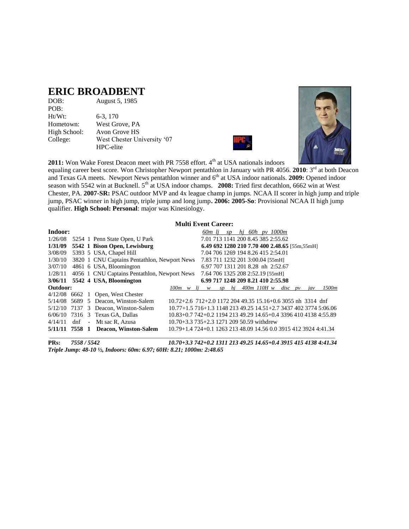### **ERIC BROADBENT**

| DOB:         | August 5, 1985              |
|--------------|-----------------------------|
| POB:         |                             |
| $Ht/Wt$ :    | 6-3, 170                    |
| Hometown:    | West Grove, PA              |
| High School: | Avon Grove HS               |
| College:     | West Chester University '07 |
|              | HPC-elite                   |





**2011:** Won Wake Forest Deacon meet with PR 7558 effort. 4<sup>th</sup> at USA nationals indoors

equaling career best score. Won Christopher Newport pentathlon in January with PR 4056. 2010: 3<sup>rd</sup> at both Deacon and Texas GA meets. Newport News pentathlon winner and 6<sup>th</sup> at USA indoor nationals. **2009:** Opened indoor season with 5542 win at Bucknell. 5<sup>th</sup> at USA indoor champs. **2008:** Tried first decathlon, 6662 win at West Chester, PA. **2007-SR:** PSAC outdoor MVP and 4x league champ in jumps. NCAA II scorer in high jump and triple jump, PSAC winner in high jump, triple jump and long jump**. 2006: 2005-So**: Provisional NCAA II high jump qualifier. **High School: Personal**: major was Kinesiology.

#### **Multi Event Career:**

| Indoor:  |  |                                                      |                                                                  |  | 60m li |                                  | SD |  |                     | hi 60h py 1000m                               |                |                                                                  |
|----------|--|------------------------------------------------------|------------------------------------------------------------------|--|--------|----------------------------------|----|--|---------------------|-----------------------------------------------|----------------|------------------------------------------------------------------|
| 1/26/08  |  | 5254 1 Penn State Open, U Park                       |                                                                  |  |        |                                  |    |  |                     | 7.01 713 1141 200 8.45 385 2:55.62            |                |                                                                  |
|          |  | $1/31/09$ 5542 1 Bison Open, Lewisburg               |                                                                  |  |        |                                  |    |  |                     | 6.49 692 1280 210 7.70 400 2.48.65 [55m,55mH] |                |                                                                  |
| 3/08/09  |  | 5393 5 USA, Chapel Hill                              |                                                                  |  |        |                                  |    |  |                     | 7.04 706 1269 194 8.26 415 2:54.01            |                |                                                                  |
|          |  | 1/30/10 3820 1 CNU Captains Pentathlon, Newport News |                                                                  |  |        | 7.83 711 1232 201 3:00.04 [55mH] |    |  |                     |                                               |                |                                                                  |
|          |  | $3/07/10$ 4861 6 USA, Bloomington                    |                                                                  |  |        |                                  |    |  |                     | 6.97 707 1311 201 8.28 nh 2:52.67             |                |                                                                  |
| 1/28/11  |  | 4056 1 CNU Captains Pentathlon, Newport News         |                                                                  |  |        | 7.64 706 1325 208 2:52.19 [55mH] |    |  |                     |                                               |                |                                                                  |
|          |  | 3/06/11 5542 4 USA, Bloomington                      |                                                                  |  |        |                                  |    |  |                     | 6.99 717 1248 209 8.21 410 2:55.98            |                |                                                                  |
| Outdoor: |  |                                                      | $100m \le l$ i w                                                 |  |        |                                  |    |  | sp $hj$ 400m 110H w | $disc$ pv                                     | $\overline{u}$ | 1500m                                                            |
|          |  | $4/12/08$ 6662 1 Open, West Chester                  |                                                                  |  |        |                                  |    |  |                     |                                               |                |                                                                  |
|          |  | $5/14/08$ 5689 5 Deacon, Winston-Salem               | $10.72 + 2.6$ 712+2.0 1172 204 49.35 15.16+0.6 3055 nh 3314 dnf  |  |        |                                  |    |  |                     |                                               |                |                                                                  |
|          |  | $5/12/10$ 7137 3 Deacon, Winston-Salem               |                                                                  |  |        |                                  |    |  |                     |                                               |                | 10.77+1.5 716+1.3 1148 213 49.25 14.51+2.7 3437 402 3774 5:06.06 |
|          |  | $6/06/10$ 7316 3 Texas GA, Dallas                    |                                                                  |  |        |                                  |    |  |                     |                                               |                | 10.83+0.7 742+0.2 1194 213 49.29 14.65+0.4 3396 410 4138 4:55.89 |
|          |  | $4/14/11$ dnf - Mt sac R. Azusa                      | 10.70+3.3 735+2.3 1271 209 50.59 withdrew                        |  |        |                                  |    |  |                     |                                               |                |                                                                  |
|          |  | 5/11/11 7558 1 Deacon, Winston-Salem                 | 10.79+1.4 724+0.1 1263 213 48.09 14.56 0.0 3915 412 3924 4:41.34 |  |        |                                  |    |  |                     |                                               |                |                                                                  |
|          |  |                                                      |                                                                  |  |        |                                  |    |  |                     |                                               |                |                                                                  |

**PRs:** *7558 / 5542 10.70+3.3 742+0.2 1311 213 49.25 14.65+0.4 3915 415 4138 4:41.34 Triple Jump: 48-10 ½, Indoors: 60m: 6.97; 60H: 8.21; 1000m: 2:48.65*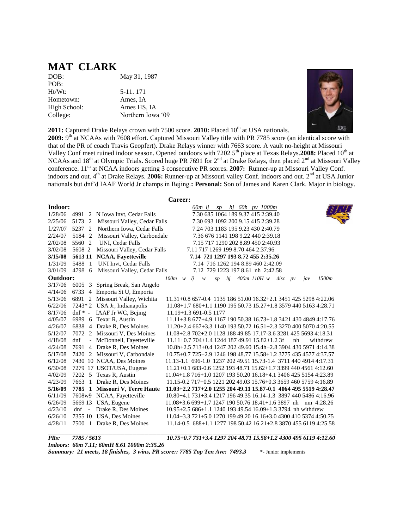### **MAT CLARK**

DOB: May 31, 1987 POB: Ht/Wt: 5-11. 171 Hometown: Ames, IA High School: Ames HS, IA College: Northern Iowa '09



**2011:** Captured Drake Relays crown with 7500 score. **2010:** Placed 10<sup>th</sup> at USA nationals.

2009: 9<sup>th</sup> at NCAAs with 7608 effort. Captured Missouri Valley title with PR 7785 score (an identical score with that of the PR of coach Travis Geopfert). Drake Relays winner with 7663 score. A vault no-height at Missouri Valley Conf meet ruined indoor season. Opened outdoors with 7202 5<sup>th</sup> place at Texas Relays.2008: Placed 10<sup>th</sup> at NCAAs and 18<sup>th</sup> at Olympic Trials. Scored huge PR 7691 for 2<sup>nd</sup> at Drake Relays, then placed 2<sup>nd</sup> at Missouri Valley conference. 11<sup>th</sup> at NCAA indoors getting 3 consecutive PR scores. **2007:** Runner-up at Missouri Valley Conf. indoors and out. 4<sup>th</sup> at Drake Relays. **2006:** Runner-up at Missouri valley Conf. indoors and out. 2<sup>nd</sup> at USA Junior nationals but dnf'd IAAF World Jr champs in Bejing.**: Personal:** Son of James and Karen Clark. Major in biology.

|          | Career:   |                                 |                                                                       |  |  |  |  |  |
|----------|-----------|---------------------------------|-----------------------------------------------------------------------|--|--|--|--|--|
| Indoor:  |           |                                 | 60m lj sp hj 60h pv 1000m                                             |  |  |  |  |  |
| 1/28/06  |           | 4991 2 N Iowa Invt, Cedar Falls | 7.30 685 1064 189 9.37 415 2:39.40                                    |  |  |  |  |  |
| 2/25/06  | 5173 2    | Missouri Valley, Cedar Falls    | 7.30 693 1092 200 9.15 415 2:39.28                                    |  |  |  |  |  |
| 1/27/07  | 5237 2    | Northern Iowa, Cedar Falls      | 7.24 703 1183 195 9.23 430 2:40.79                                    |  |  |  |  |  |
| 2/24/07  | 5184 2    | Missouri Valley, Carbondale     | 7.36 676 1141 198 9.22 440 2:39.18                                    |  |  |  |  |  |
| 2/02/08  |           | 5560 2 UNI, Cedar Falls         | 7.15 717 1290 202 8.89 450 2:40.93                                    |  |  |  |  |  |
| 3/02/08  | 5608 2    | Missouri Valley, Cedar Falls    | 7.11 717 1269 199 8.70 464 2:37.96                                    |  |  |  |  |  |
| 3/15/08  |           | 5613 11 NCAA, Fayetteville      | 7.14 721 1297 193 8.72 455 2:35.26                                    |  |  |  |  |  |
| 1/31/09  | 5488 1    | <b>UNI Invt, Cedar Falls</b>    | 7.14 716 1262 194 8.89 460 2:42.09                                    |  |  |  |  |  |
| 3/01/09  | 4798 6    | Missouri Valley, Cedar Falls    | 7.12 729 1223 197 8.61 nh 2:42.58                                     |  |  |  |  |  |
| Outdoor: |           |                                 | $400m$ 110H w disc pv<br>$100m \le l$ i w<br>hi<br>1500m<br>SD<br>jav |  |  |  |  |  |
| 3/17/06  | 6005 3    | Spring Break, San Angelo        |                                                                       |  |  |  |  |  |
| 4/14/06  |           | 6733 4 Emporia St U, Emporia    |                                                                       |  |  |  |  |  |
| 5/13/06  |           | 6891 2 Missouri Valley, Wichita | 11.31+0.8 657-0.4 1135 186 51.00 16.32+2.1 3451 425 5298 4:22.06      |  |  |  |  |  |
| 6/22/06  |           | 7243*2 USA Jr, Indianapolis     | 11.08+1.7 680+1.1 1190 195 50.73 15.27+1.8 3579 440 5163 4:28.71      |  |  |  |  |  |
| 8/17/06  | $dnf * -$ | IAAF Jr WC, Bejing              | 11.19+1.3 691-0.5 1177                                                |  |  |  |  |  |
| 4/05/07  |           | 6989 6 Texar R, Austin          | 11.11+3.8 677+4.9 1167 190 50.38 16.73+1.8 3421 430 4849 4:17.76      |  |  |  |  |  |
| 4/26/07  |           | 6838 4 Drake R, Des Moines      | 11.20+2.4 667+3.3 1140 193 50.72 16.51+2.3 3270 400 5070 4:20.55      |  |  |  |  |  |
| 5/12/07  |           | 7072 2 Missouri V, Des Moines   | 11.08+2.8 702+2.0 1128 188 49.85 17.17-3.6 3281 425 5693 4:18.31      |  |  |  |  |  |
| 4/18/08  | dnf       | - McDonnell, Fayetteville       | $11.11+0.7704+1.4124418749.9115.82+1.23f$<br>withdrew<br>nh           |  |  |  |  |  |
| 4/24/08  |           | 7691 4 Drake R, Des Moines      | 10.8h+2.5 713+0.4 1247 202 49.60 15.4h+2.8 3904 430 5971 4:14.38      |  |  |  |  |  |
| 5/17/08  |           | 7420 2 Missouri V, Carbondale   | 10.75+0.7 725+2.9 1246 198 48.77 15.58+1.2 3775 435 4577 4:37.57      |  |  |  |  |  |
| 6/12/08  |           | 7430 10 NCAA, Des Moines        | 11.13-1.1 696-1.0 1237 202 49.51 15.73-1.4 3711 440 4914 4:17.31      |  |  |  |  |  |
| 6/30/08  |           | 7279 17 USOT/USA, Eugene        | 11.21+0.1 683-0.6 1252 193 48.71 15.62+1.7 3399 440 4561 4:12.60      |  |  |  |  |  |
| 4/02/09  |           | 7202 5 Texas R, Austin          | 11.04+1.8 716+1.0 1207 193 50.20 16.18+4.1 3406 425 5154 4:23.89      |  |  |  |  |  |
| 4/23/09  |           | 7663 1 Drake R, Des Moines      | 11.15-0.2 717+0.5 1221 202 49.03 15.76+0.3 3659 460 5759 4:16.89      |  |  |  |  |  |
| 5/16/09  |           | 7785 1 Missouri V, Terre Haute  | 11.03+2.2 717+2.0 1255 204 49.11 15.87-0.1 4064 495 5519 4:28.47      |  |  |  |  |  |
| 6/11/09  |           | 7608w9 NCAA, Fayetteville       | 10.80+4.1 731+3.4 1217 196 49.35 16.14-1.3 3897 440 5486 4:16.96      |  |  |  |  |  |
| 6/26/09  |           | 5669 13 USA, Eugene             | $11.08+3.6699+1.7124719050.7618.41+1.63897$ nh nm 4:28.26             |  |  |  |  |  |
| 4/23/10  | $dnf -$   | Drake R, Des Moines             | 10.95+2.5 686+1.1 1240 193 49.54 16.09+1.3 3794 nh withdrew           |  |  |  |  |  |
| 6/26/10  |           | 7355 10 USA, Des Moines         | 11.04+3.3 721+5.0 1270 199 49.20 16.16+3.0 4300 410 5374 4:50.75      |  |  |  |  |  |
| 4/28/11  |           | 7500 1 Drake R, Des Moines      | 11.14-0.5 688+1.1 1277 198 50.42 16.21+2.8 3870 455 6119 4:25.58      |  |  |  |  |  |

*PRs: 7785 / 5613 10.75+0.7 731+3.4 1297 204 48.71 15.58+1.2 4300 495 6119 4:12.60 Indoors: 60m 7.11; 60mH 8.61 1000m 2:35.26 Summary: 21 meets, 18 finishes, 3 wins, PR score:: 7785 Top Ten Ave: 7493.3* \*- Junior implements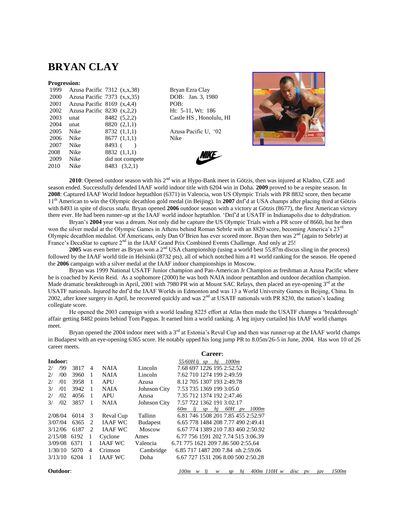### **BRYAN CLAY**

#### **Progression:**

| 1999 |                                | Azusa Pacific $7312$ $(x,x,38)$ | Bryar   |
|------|--------------------------------|---------------------------------|---------|
| 2000 |                                | Azusa Pacific $7373$ $(x,x,35)$ | DOB:    |
| 2001 | Azusa Pacific 8169 $(x,4,4)$   |                                 | POB:    |
| 2002 | Azusa Pacific 8230 $(x, 2, 2)$ |                                 | Ht: $5$ |
| 2003 | unat                           | 8482 (5,2,2)                    | Castle  |
| 2004 | unat                           | 8820 (2,1,1)                    |         |
| 2005 | <b>Nike</b>                    | 8732(1,1,1)                     | Azusa   |
| 2006 | Nike                           | 8677(1,1,1)                     | Nike    |
| 2007 | Nike                           | 8493 (                          |         |
| 2008 | Nike                           | 8832 (1,1,1)                    |         |
| 2009 | Nike                           | did not compete                 |         |
| 2010 | Nike                           | 8483 (3.2,1)                    |         |
|      |                                |                                 |         |

Bryan Ezra Clay DOB: Jan. 3, 1980 Ht: 5-11, Wt: 186 Castle HS, Honolulu, HI

Azusa Pacific U, '02





**2010**: Opened outdoor season with his 2<sup>nd</sup> win at Hypo-Bank meet in Götzis, then was injured at Kladno, CZE and season ended. Successfully defended IAAF world indoor title with 6204 win in Doha. **2009** proved to be a respite season. In **2008**: Captured IAAF World Indoor heptathlon (6371) in Valencia, won US Olympic Trials with PR 8832 score, then became 11th American to win the Olympic decathlon gold medal (in Beijing). In **2007** dnf'd at USA champs after placing third at Götzis with 8493 in spite of discus snafu. Bryan opened **2006** outdoor season with a victory at Götzis (8677), the first American victory there ever. He had been runner-up at the IAAF world indoor heptathlon. 'Dnf'd at USATF in Indianapolis due to dehydration.

Bryan's **2004** year was a dream. Not only did he capture the US Olympic Trials witrh a PR score of 8660, but he then won the silver medal at the Olympic Games in Athens behind Roman Sebrle with an 8820 score, becoming America's 23<sup>rd</sup> Olympic decathlon medalist. Of Americans, only Dan O'Brien has ever scored more. Bryan then was 2<sup>nd</sup> (again to Sebrle) at France's DecaStar to capture 2<sup>nd</sup> in the IAAF Grand Prix Combined Events Challenge. And only at 25!

**2005** was even better as Bryan won a 2<sup>nd</sup> USA championship (using a world best 55.87m discus sling in the process) followed by the IAAF world title in Helsinki (8732 pts), all of which notched him a #1 world ranking for the season. He opened the **2006** campaign with a silver medal at the IAAF indoor championships in Moscow.

Bryan was 1999 National USATF Junior champion and Pan-American Jr Champion as freshman at Azusa Pacific where he is coached by Kevin Reid. As a sophomore (2000) he was both NAIA indoor pentathlon and outdoor decathlon champion. Made dramatic breakthrough in April, 2001 with 7980 PR win at Mount SAC Relays, then placed an eye-opening 3<sup>rd</sup> at the USATF nationals. Injured he dnf'd the IAAF Worlds in Edmonton and was 13 a World University Games in Beijing, China. In 2002, after knee surgery in April, he recovered quickly and was 2<sup>nd</sup> at USATF nationals with PR 8230, the nation's leading collegiate score.

He opened the 2003 campaign with a world leading 8225 effort at Atlas then made the USATF champs a 'breakthrough' affair getting 8482 points behind Tom Pappas. It earned him a world ranking. A leg injury curtailed his IAAF world champs meet.

Bryan opened the 2004 indoor meet with a  $3<sup>rd</sup>$  at Estonia's Reval Cup and then was runner-up at the IAAF world champs in Budapest with an eye-opening 6365 score. He notably upped his long jump PR to 8.05m/26-5 in June, 2004. Has won 10 of 26 career meets.

|               |         |              |                |                |                 | <b>Career:</b>                     |
|---------------|---------|--------------|----------------|----------------|-----------------|------------------------------------|
|               | Indoor: |              |                |                |                 | 1000m<br>55/60H lj sp<br>hj        |
| 2/            | /99     | 3817         | $\overline{4}$ | <b>NAIA</b>    | Lincoln         | 7.68 697 1226 195 2:52.52          |
| 2/            | /00     | 3960         | -1             | <b>NAIA</b>    | Lincoln         | 7.62 710 1274 199 2:49.59          |
| 2/            | /01     | 3958         | $\overline{1}$ | <b>APU</b>     | Azusa           | 8.12 705 1307 193 2:49.78          |
| $\frac{3}{2}$ | /01     | 3942         | -1             | <b>NAIA</b>    | Johnson City    | 7.53 735 1369 199 3:05.0           |
| 2/            | /02     | 4056         | -1             | <b>APU</b>     | Azusa           | 7.35 712 1374 192 2:47.46          |
| 3/            | /02     | 3857         | -1             | <b>NAIA</b>    | Johnson City    | 7.57 722 1362 191 3:02.17          |
|               |         |              |                |                |                 | 60 $m$ lj sp hj 60 $H$ pv 1000 $m$ |
|               | 2/08/04 | 6014         | -3             | Reval Cup      | Tallinn         | 6.81 746 1508 201 7.85 455 2:52.97 |
|               | 3/07/04 | 6365         | 2              | <b>IAAF WC</b> | <b>Budapest</b> | 6.65 778 1484 208 7.77 490 2:49.41 |
|               | 3/12/06 | 6187         | 2              | <b>IAAF WC</b> | Moscow          | 6.67 774 1389 210 7.83 460 2:50.92 |
|               |         | 2/15/08 6192 | -1             | Cyclone        | Ames            | 6.77 756 1591 202 7.74 515 3:06.39 |
|               | 3/09/08 | 6371         | 1              | <b>JAAF WC</b> | Valencia        | 6.71 775 1621 209 7.86 500 2:55.64 |
|               | 1/30/10 | 5070         | 4              | Crimson        | Cambridge       | 6.85 717 1487 200 7.84 nh 2:59.06  |
|               | 3/13/10 | 6204         | 1              | <b>JAAF WC</b> | Doha            | 6.67 727 1531 206 8.00 500 2:50.28 |
|               |         |              |                |                |                 |                                    |

**Outdoor**: *100m w lj w sp hj 400m 110H w disc pv jav 1500m*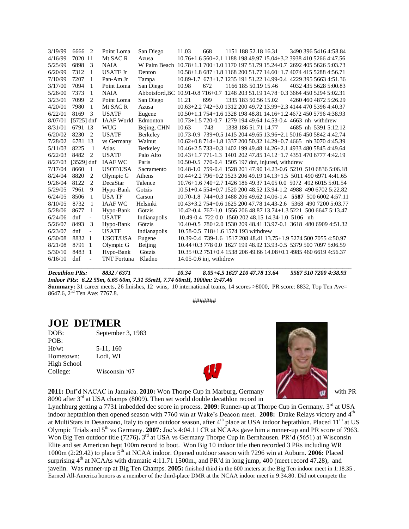| 3/19/99 | 6666<br>$\overline{2}$          | Point Loma         | San Diego    | 11.03                               | 668 |  | 1151 188 52.18 16.31 |                                                   | 3490 396 5416 4:58.84                                                           |
|---------|---------------------------------|--------------------|--------------|-------------------------------------|-----|--|----------------------|---------------------------------------------------|---------------------------------------------------------------------------------|
| 4/16/99 | 7020 11                         | Mt SAC R           | Azusa        |                                     |     |  |                      |                                                   | 10.76+1.6 560+2.1 1188 198 49.97 15.04+3.2 3938 410 5266 4:47.56                |
| 5/25/99 | 6898<br>3                       | <b>NAIA</b>        |              |                                     |     |  |                      |                                                   | W Palm Beach 10.78+1.1 700+1.0 1170 197 51.79 15.24-0.7 2692 405 5626 5:03.73   |
| 6/20/99 | 7312<br>$\mathbf{1}$            | <b>USATE Jr</b>    | Denton       |                                     |     |  |                      |                                                   | 10.58+1.8 687+1.8 1168 200 51.77 14.60+1.7 4074 415 5288 4:56.71                |
| 7/10/99 | 7207<br>1                       | Pan-Am Jr          | Tampa        |                                     |     |  |                      |                                                   | 10.89-1.7 673+1.7 1235 191 51.22 14.99-0.4 4229 395 5663 4:51.36                |
| 3/17/00 | 7094<br>1                       | Point Loma         | San Diego    | 10.98                               | 672 |  |                      | 1166 185 50.19 15.46                              | 4032 435 5628 5:00.83                                                           |
| 5/26/00 | $\mathbf{1}$<br>7373            | <b>NAIA</b>        |              |                                     |     |  |                      |                                                   | Abbotsford, BC 10.91-0.8 716+0.7 1248 203 51.19 14.78+0.3 3664 450 5294 5:02.31 |
| 3/23/01 | 7099<br>2                       | Point Loma         | San Diego    | 11.21                               | 699 |  |                      | 1335 183 50.56 15.02                              | 4260 460 4872 5:26.29                                                           |
| 4/20/01 | 7980<br>1                       | Mt SAC R           | Azusa        |                                     |     |  |                      |                                                   | 10.63+2.2 742+3.0 1312 200 49.72 13.99+2.3 4144 470 5396 4:40.37                |
| 6/22/01 | 3<br>8169                       | <b>USATF</b>       | Eugene       |                                     |     |  |                      |                                                   | 10.50+1.1 754+1.6 1328 198 48.81 14.16+1.2 4672 450 5796 4:38.93                |
| 8/07/01 | $[5725]$ dnf                    | <b>IAAF</b> World  | Edmonton     |                                     |     |  |                      |                                                   | 10.73+1.5 720-0.7 1279 194 49.64 14.53-0.4 4663 nh withdrew                     |
| 8/31/01 | 6791 13                         | <b>WUG</b>         | Bejing, CHN  | 10.63                               | 743 |  | 1338 186 51.71 14.77 |                                                   | 4685 nh 5391 5:12.12                                                            |
| 6/20/02 | 8230<br>$\overline{2}$          | <b>USATF</b>       | Berkeley     |                                     |     |  |                      |                                                   | 10.73-0.9 739+0.5 1415 204 49.65 13.96+2.1 5016 450 5842 4:42.74                |
| 7/28/02 | 6781 13                         | vs Germany         | Walnut       |                                     |     |  |                      |                                                   | 10.62+0.8 714+1.8 1337 200 50.32 14.29+0.7 4665 nh 3070 4:45.39                 |
| 5/11/03 | 8225<br>-1                      | Atlas              | Berkeley     |                                     |     |  |                      |                                                   | 10.46+2.5 733+0.3 1402 199 49.48 14.26+2.1 4933 480 5845 4:49.64                |
| 6/22/03 | 8482<br>$\overline{2}$          | <b>USATE</b>       | Palo Alto    |                                     |     |  |                      |                                                   | 10.43+1.7 771-1.3 1401 202 47.85 14.12+1.7 4351 470 6777 4:42.19                |
| 8/27/03 | $[3529]$ dnf                    | <b>IAAF WC</b>     | Paris        |                                     |     |  |                      | 10.50-0.5 770-0.4 1505 197 dnf, injured, withdrew |                                                                                 |
| 7/17/04 | 8660<br>-1                      | USOT/USA           | Sacramento   |                                     |     |  |                      |                                                   | 10.48-1.0 759-0.4 1528 201 47.90 14.23-0.6 5210 510 6836 5:06.18                |
| 8/24/04 | 8820<br>2                       | Olympic G          | Athens       |                                     |     |  |                      |                                                   | 10.44+2.2 796+0.2 1523 206 49.19 14.13+1.5 5011 490 6971 4:41.65                |
| 9/26/04 | 8122<br>2                       | DecaStar           | Talence      |                                     |     |  |                      |                                                   | 10.76+1.6 740+2.7 1426 186 49.37 14.05 0.0 5072 492 6015 5:01.54                |
| 5/29/05 | 9<br>7961                       | Hypo-Bank          | Gotzis       |                                     |     |  |                      |                                                   | 10.51+0.4 554+0.7 1520 200 48.52 13.94-1.2 4988 490 6702 5:22.82                |
| 6/24/05 | 8506<br>1                       | <b>USA TF</b>      | Carson       |                                     |     |  |                      |                                                   | 10.70-1.8 744+0.3 1488 206 49.62 14.06-1.4 5587 500 6002 4:57.11                |
| 8/10/05 | 8732<br>-1                      | <b>IAAF WC</b>     | Helsinki     |                                     |     |  |                      |                                                   | 10.43+3.2 754+0.6 1625 200 47.78 14.43-2.6 5368 490 7200 5:03.77                |
| 5/28/06 | 8677<br>1                       | Hypo-Bank          | Götzis       |                                     |     |  |                      |                                                   | 10.42-0.4 767-1.0 1556 206 48.87 13.74+1.3 5221 500 6647 5:13.47                |
| 6/24/06 | dnf<br>$\blacksquare$           | <b>USATF</b>       | Indianapolis |                                     |     |  |                      |                                                   | 10.49-0.4 722 0.0 1560 202 48.15 14.34-1.0 5106 nh                              |
| 5/26/07 | 8493<br>3                       | Hypo-Bank          | Götzis       |                                     |     |  |                      |                                                   | 10.40-0.5 780+2.0 1530 209 48.41 13.97-0.1 3618 480 6909 4:51.32                |
| 6/23/07 | dnf<br>$\overline{\phantom{a}}$ | <b>USATF</b>       | Indianapolis | 10.58-0.5 718+1.6 1574 193 withdrew |     |  |                      |                                                   |                                                                                 |
| 6/30/08 | 8832 1                          | <b>USOT/USA</b>    | Eugene       |                                     |     |  |                      |                                                   | 10.39-0.4 739-1.6 1517 208 48.41 13.75+1.9 5274 500 7055 4:50.97                |
| 8/21/08 | 8791<br>$\overline{1}$          | Olympic G          | Beijing      |                                     |     |  |                      |                                                   | 10.44+0.3 778 0.0 1627 199 48.92 13.93-0.5 5379 500 7097 5:06.59                |
| 5/30/10 | 8483<br>-1                      | Hypo-Bank          | Götzis       |                                     |     |  |                      |                                                   | 10.35+0.2 751+0.4 1538 206 49.66 14.08+0.1 4985 460 6619 4:56.37                |
| 6/16/10 | dnf<br>$\overline{\phantom{a}}$ | <b>TNT</b> Fortuna | Kladno       | $14.05 - 0.6$ inj, withdrew         |     |  |                      |                                                   |                                                                                 |
|         |                                 |                    |              |                                     |     |  |                      |                                                   |                                                                                 |

*Decathlon PRs: 8832 / 6371 10.34 8.05+4.5 1627 210 47.78 13.64 5587 510 7200 4:38.93 Indoor PRs: 6.22 55m, 6.65 60m, 7.31 55mH, 7.74 60mH, 1000m: 2:47.46*

**Summary:** 31 career meets, 26 finishes, 12 wins, 10 international teams, 14 scores >8000, PR score: 8832, Top Ten Ave= 8647.6, 2<sup>nd</sup> Ten Ave: 7767.8.

#######

### **JOE DETMER**

| DOB:        | September 3, 1983 |
|-------------|-------------------|
| POB:        |                   |
| Ht/wt       | 5-11, 160         |
| Hometown:   | Lodi. WI          |
| High School |                   |
| College:    | Wisconsin '07     |





**2011:** Dnf'd NACAC in Jamaica. **2010:** Won Thorpe Cup in Marburg, Germany with PR 8090 after 3<sup>rd</sup> at USA champs (8009). Then set world double decathlon record in

Lynchburg getting a 7731 imbedded dec score in process. 2009: Runner-up at Thorpe Cup in Germany. 3<sup>rd</sup> at USA indoor heptathlon then opened season with 7760 win at Wake's Deacon meet. **2008:** Drake Relays victory and 4th at MultiStars in Desanzano, Italy to open outdoor season, after  $4<sup>th</sup>$  place at USA indoor heptathlon. Placed  $11<sup>th</sup>$  at US Olympic Trials and 5<sup>th</sup> vs Germany. **2007:** Joe's 4:04.11 CR at NCAAs gave him a runner-up and PR score of 7963. Won Big Ten outdoor title (7276). <sup>3rd</sup> at USA vs Germany Thorpe Cup in Bernhausen. PR'd (5651) at Wisconsin Elite and set American hept 100m record to boot. Won Big 10 indoor title then recorded 3 PRs including WR 1000m (2:29.42) to place 5th at NCAA indoor. Opened outdoor season with 7296 win at Auburn. **2006:** Placed surprising  $4<sup>th</sup>$  at NCAAs with dramatic 4:11.71 1500m., and PR'd in long jump, 400 (meet record 47.28), and javelin. Was runner-up at Big Ten Champs. **2005:** finished third in the 600 meters at the Big Ten indoor meet in 1:18.35 . Earned All-America honors as a member of the third-place DMR at the NCAA indoor meet in 9:34.80. Did not compete the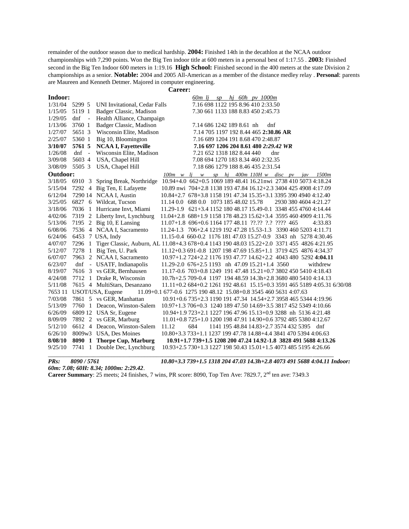remainder of the outdoor season due to medical hardship. **2004:** Finished 14th in the decathlon at the NCAA outdoor championships with 7,290 points. Won the Big Ten indoor title at 600 meters in a personal best of 1:17.55 . **2003:** Finished second in the Big Ten Indoor 600 meters in 1:19.16 **High School:** Finished second in the 400 meters at the state Division 2 championships as a senior. **Notable:** 2004 and 2005 All-American as a member of the distance medley relay . **Personal**: parents are Maureen and Kenneth Detmer. Majored in computer engineering.

**Career:**

| Indoor:  |         |              |                                                                                            |                                                                          |                            |  | $60m$ lj sp hj 60h pv 1000m                                      |     |  |                       |  |
|----------|---------|--------------|--------------------------------------------------------------------------------------------|--------------------------------------------------------------------------|----------------------------|--|------------------------------------------------------------------|-----|--|-----------------------|--|
| 1/31/04  | 5299 5  |              | UNI Invitational, Cedar Falls                                                              |                                                                          |                            |  | 7.16 698 1122 195 8.96 410 2:33.50                               |     |  |                       |  |
| 1/15/05  | 5119 1  |              | Badger Classic, Madison                                                                    |                                                                          |                            |  | 7.30 661 1133 188 8.83 450 2:45.73                               |     |  |                       |  |
| 1/29/05  | dnf     | $\sim$ $-$   | Health Alliance, Champaign                                                                 |                                                                          |                            |  |                                                                  |     |  |                       |  |
| 1/13/06  | 3760 1  |              | Badger Classic, Madison                                                                    |                                                                          | 7.14 686 1242 189 8.61 nh  |  | dnf                                                              |     |  |                       |  |
| 1/27/07  | 5651 3  |              | Wisconsin Elite, Madison                                                                   |                                                                          |                            |  | 7.14 705 1197 192 8.44 465 2:30.86 AR                            |     |  |                       |  |
| 2/25/07  | 5360 1  |              | Big 10, Bloomington                                                                        |                                                                          |                            |  | 7.16 689 1204 191 8.68 470 2:48.87                               |     |  |                       |  |
| 3/10/07  | 5761 5  |              | <b>NCAA I, Fayetteville</b>                                                                |                                                                          |                            |  | 7.16 697 1206 204 8.61 480 2:29.42 WR                            |     |  |                       |  |
| 1/26/08  | $dnf -$ |              | Wisconsin Elite, Madison                                                                   |                                                                          | 7.21 652 1318 182 8.44 440 |  |                                                                  | dnr |  |                       |  |
| 3/09/08  | 5603 4  |              | USA, Chapel Hill                                                                           |                                                                          |                            |  | 7.08 694 1270 183 8.34 460 2:32.35                               |     |  |                       |  |
| 3/08/09  | 5505 3  |              | USA, Chapel Hill                                                                           |                                                                          |                            |  | 7.18 686 1279 188 8.46 435 2:31.54                               |     |  |                       |  |
| Outdoor: |         |              |                                                                                            | $100m \le l$ i w                                                         |                            |  | sp hj 400m 110H w disc pv jav                                    |     |  | 1500m                 |  |
| 3/18/05  | 6910 3  |              | Spring Break, Northridge                                                                   | 10.94+4.0 662+0.5 1069 189 48.41 16.21nwi 2738 410 5073 4:18.24          |                            |  |                                                                  |     |  |                       |  |
| 5/15/04  |         |              | 7292 4 Big Ten, E Lafayette                                                                | 10.89 nwi 704+2.8 1138 193 47.84 16.12+2.3 3404 425 4908 4:17.09         |                            |  |                                                                  |     |  |                       |  |
| 6/12/04  |         |              | 7290 14 NCAA I, Austin                                                                     | 10.84+2.7 678+3.8 1158 191 47.34 15.35+3.1 3395 390 4940 4:12.40         |                            |  |                                                                  |     |  |                       |  |
| 3/25/05  |         |              | 6827 6 Wildcat, Tucson                                                                     | 11.14 0.0 688 0.0 1073 185 48.02 15.78                                   |                            |  |                                                                  |     |  | 2930 380 4604 4:21.27 |  |
| 3/18/06  |         |              | 7036 1 Hurricane Invt, Miami                                                               | 11.29-1.9 621+3.4 1152 180 48.17 15.49-0.1 3348 455 4760 4:14.44         |                            |  |                                                                  |     |  |                       |  |
| 4/02/06  |         |              | 7319 2 Liberty Invt, Lynchburg                                                             | 11.04+2.8 688+1.9 1158 178 48.23 15.62+3.4 3595 460 4909 4:11.76         |                            |  |                                                                  |     |  |                       |  |
| 5/13/06  |         |              | 7195 2 Big 10, E Lansing                                                                   | 11.07+1.8 696+0.6 1164 177 48.11 ??.?? ?.? ???? 465                      |                            |  |                                                                  |     |  | 4:33.83               |  |
| 6/08/06  |         |              | 7536 4 NCAA I, Sacramento                                                                  | 11.24-1.3 706+2.4 1219 192 47.28 15.53-1.3 3390 460 5203 4:11.71         |                            |  |                                                                  |     |  |                       |  |
| 6/24/06  |         |              | 6453 7 USA, Indy                                                                           | 11.15-0.4 660-0.2 1176 181 47.03 15.27-0.9 3343 nh 5278 4:30.46          |                            |  |                                                                  |     |  |                       |  |
| 4/07/07  | 7296    | $\mathbf{1}$ | Tiger Classic, Auburn, AL 11.08+4.3 678+0.4 1143 190 48.03 15.22+2.0 3371 455 4826 4:21.95 |                                                                          |                            |  |                                                                  |     |  |                       |  |
| 5/12/07  |         |              | 7278 1 Big Ten, U. Park                                                                    | 11.12+0.3 691-0.8 1207 198 47.69 15.85+1.1 3719 425 4876 4:34.37         |                            |  |                                                                  |     |  |                       |  |
| 6/07/07  | 7963    |              | 2 NCAA I, Sacramento                                                                       | 10.97+1.2 724+2.2 1176 193 47.77 14.62+2.2 4043 480 5292 4:04.11         |                            |  |                                                                  |     |  |                       |  |
| 6/23/07  | dnf     |              | - USATF, Indianapolis                                                                      | 11.29-2.0 676+2.5 1193 nh 47.09 15.21+1.4 3560                           |                            |  |                                                                  |     |  | withdrew              |  |
| 8/19/07  |         |              | 7616 3 vs GER, Bernhausen                                                                  | 11.17-0.6 703+0.8 1249 191 47.48 15.21+0.7 3802 450 5410 4:18.43         |                            |  |                                                                  |     |  |                       |  |
| 4/24/08  |         |              | 7712 1 Drake R, Wisconsin                                                                  | 10.7h+2.5 709-0.4 1197 194 48.59 14.3h+2.8 3680 480 5410 4:14.13         |                            |  |                                                                  |     |  |                       |  |
| 5/11/08  |         |              | 7615 4 MultiStars, Desanzano                                                               | 11.11+0.2 684+0.2 1261 192 48.61 15.15+0.3 3591 465 5189 4:05.31 6/30/08 |                            |  |                                                                  |     |  |                       |  |
| 7653 11  |         |              | USOT/USA, Eugene                                                                           | 11.09+0.1 677-0.6 1275 190 48.12 15.08+0.8 3545 460 5631 4:07.63         |                            |  |                                                                  |     |  |                       |  |
| 7/03/08  |         |              | 7861 5 vs GER, Manhattan                                                                   | 10.91+0.6 735+2.3 1190 191 47.34 14.54+2.7 3958 465 5344 4:19.96         |                            |  |                                                                  |     |  |                       |  |
| 5/13/09  |         |              | 7760 1 Deacon, Winston-Salem                                                               | 10.97+1.3 706+0.3 1240 189 47.50 14.69+3.5 3817 452 5349 4:10.66         |                            |  |                                                                  |     |  |                       |  |
| 6/26/09  |         |              | 6809 12 USA Sr, Eugene                                                                     | 10.94+1.9 723+2.1 1227 196 47.96 15.13+0.9 3288 nh 5136 4:21.48          |                            |  |                                                                  |     |  |                       |  |
| 8/09/09  |         |              | 7892 2 vs GER, Marburg                                                                     | 11.01+0.8 725+1.0 1200 198 47.91 14.90+0.6 3792 485 5380 4:12.67         |                            |  |                                                                  |     |  |                       |  |
| 5/12/10  |         |              | 6612 4 Deacon, Winston-Salem                                                               | 11.12                                                                    | 684                        |  | 1141 195 48.84 14.83+2.7 3574 432 5395 dnf                       |     |  |                       |  |
| 6/26/10  |         |              | 8009w3 USA, Des Moines                                                                     | 10.80+3.3 733+1.1 1237 199 47.78 14.88+4.4 3841 470 5394 4:06.63         |                            |  |                                                                  |     |  |                       |  |
| 8/08/10  |         |              | 8090 1 Thorpe Cup, Marburg                                                                 |                                                                          |                            |  | 10.91+1.7 739+1.5 1208 200 47.24 14.92-1.8 3828 491 5688 4:13.26 |     |  |                       |  |
| 9/25/10  |         |              | 7741 1 Double Dec, Lynchburg                                                               | 10.93+2.5 730+1.3 1227 198 50.43 15.01+1.5 4073 485 5195 4:26.66         |                            |  |                                                                  |     |  |                       |  |

*60m: 7.08; 60H: 8.34; 1000m: 2:29.42*.

**Career Summary**: 25 meets; 24 finishes, 7 wins, PR score: 8090, Top Ten Ave: 7829.7, 2<sup>nd</sup> ten ave: 7349.3

*PRs: 8090 / 5761 10.80+3.3 739+1.5 1318 204 47.03 14.3h+2.8 4073 491 5688 4:04.11 Indoor:*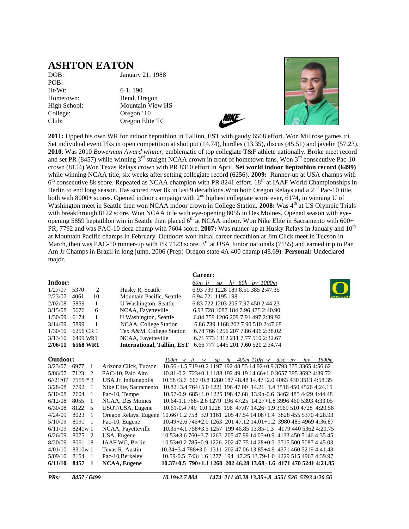### **ASHTON EATON**

DOB: January 21, 1988 POB: Ht/Wt: 6-1, 190 College: Oregon '10

Hometown: Bend, Oregon High School: Mountain View HS Club: Oregon Elite TC





**2011:** Upped his own WR for indoor heptathlon in Tallinn, EST with gaudy 6568 effort. Won Millrose games tri. Set individual event PRs in open competition at shot put (14.74), hurdles (13.35), discus (45.51) and javelin (57.23). **2010**: Was 2010 *Bowerman Award winner*, emblematic of top collegiate T&F athlete nationally. Broke meet record and set PR (8457) while winning  $3<sup>rd</sup>$  straight NCAA crown in front of hometown fans. Won  $3<sup>rd</sup>$  consecutive Pac-10 crown (8154).Won Texas Relays crown with PR 8310 effort in April. **Set world indoor heptathlon record (6499)**  while winning NCAA title, six weeks after setting collegiate record (6256). **2009:** Runner-up at USA champs with 6<sup>th</sup> consecutive 8k score. Repeated as NCAA champion with PR 8241 effort. 18<sup>th</sup> at IAAF World Championships in Berlin to end long season. Has scored over 8k in last 9 decathlons. Won both Oregon Relays and a 2<sup>nd</sup> Pac-10 title, both with 8000+ scores. Opened indoor campaign with 2<sup>nd</sup> highest collegiate score ever, 6174, in winning U of Washington meet in Seattle then won NCAA indoor crown in College Station. **2008:** Was 4<sup>th</sup> at US Olympic Trials with breakthrough 8122 score. Won NCAA title with eye-opening 8055 in Des Moines. Opened season with eyeopening 5859 heptathlon win in Seattle then placed  $6<sup>th</sup>$  at NCAA indoor. Won Nike Elite in Sacramento with  $600+$ PR, 7792 and was PAC-10 deca champ with 7604 score. **2007:** Was runner-up at Husky Relays in January and 10<sup>th</sup> at Mountain Pacific champs in February. Outdoors won initial career decathlon at Jim Click meet in Tucson in March, then was PAC-10 runner-up with PR 7123 score. 3<sup>rd</sup> at USA Junior nationals (7155) and earned trip to Pan Am Jr Champs in Brazil in long jump. 2006 (Prep) Oregon state 4A 400 champ (48.69). **Personal:** Undeclared major.

|          |            |                                    |                         | Career:                                                            |
|----------|------------|------------------------------------|-------------------------|--------------------------------------------------------------------|
| Indoor:  |            |                                    |                         | 60m li<br>hj 60h pv 1000m<br>SD                                    |
| 1/27/07  | 5370<br>2  | Husky R, Seattle                   |                         | 6.93 739 1228 189 8.51 385 2:47.35                                 |
| 2/23/07  | 10<br>4061 | Mountain Pacific, Seattle          |                         | 6.94 721 1195 198                                                  |
| 2/02/08  | 5859<br>1  | U Washington, Seattle              |                         | 6.83 722 1203 205 7.97 450 2:44.23                                 |
| 3/15/08  | 5676<br>6  | NCAA, Fayetteville                 |                         | 6.93 728 1087 184 7.96 475 2:40.90                                 |
| 1/30/09  | 6174<br>1  | U Washington, Seattle              |                         | 6.84 759 1206 209 7.91 497 2:39.92                                 |
| 3/14/09  | 5899<br>1  | NCAA, College Station              |                         | 6.86 739 1168 202 7.90 510 2:47.68                                 |
| 1/30/10  | 6256 CR 1  | Tex A&M, College Station           |                         | 6.78 766 1256 207 7.86 496 2:38.02                                 |
| 3/13/10  | 6499 WR1   | NCAA, Fayetteville                 |                         | 6.71 773 1312 211 7.77 510 2:32.67                                 |
| 2/06/11  | 6568 WR1   | <b>International, Talliin, EST</b> |                         | 6.66 777 1445 201 7.60 520 2:34.74                                 |
|          |            |                                    |                         |                                                                    |
| Outdoor: |            |                                    | $100m \quad w \quad li$ | hi $400m$ 110H w disc pv<br>1500m<br>$\boldsymbol{w}$<br>sp<br>iav |
| 3/23/07  | 6977<br>1  | Arizona Click, Tucson              |                         | 10.66+1.5 719+0.2 1197 192 48.55 14.92+0.9 3793 375 3365 4:56.62   |
| 5/06/07  | 7123<br>2  | PAC-10, Palo Alto                  |                         | 10.81-0.2 723+0.1 1188 192 49.19 14.66+1.0 3657 395 3692 4:39.72   |
| 6/21/07  | $7155 * 3$ | USA Jr, Indianapolis               |                         | 10.58+3.7 667+0.8 1280 187 48.48 14.47+2.0 4063 430 3513 4:58.35   |
| 3/28/08  | 7792<br>-1 | Nike Elite, Sacramento             |                         | $10.82 + 3.4764 + 5.0122119647.0014.21 + 1.4351645045264.24.15$    |
| 5/10/08  | 7604<br>-1 | Pac-10, Tempe                      |                         | 10.57-0.9 685+1.0 1225 198 47.68 13.9h-0.6 3462 485 4429 4:44.48   |
| 6/12/08  | 8055<br>1  | NCAA, Des Moines                   |                         | 10.64-1.1 768-2.6 1279 196 47.25 14.27+1.8 3996 460 5393 4:33.05   |
| 6/30/08  | 8122<br>5  | USOT/USA, Eugene                   |                         | 10.61-0.4 749 0.0 1228 196 47.07 14.26+1.9 3969 510 4728 4:20.56   |
| 4/24/09  | 8023<br>-1 | Oregon Relays, Eugene              |                         | 10.66+1.2 758+3.9 1161 205 47.54 14.08+1.4 3828 455 5370 4:28.93   |
| 5/10/09  | 8091<br>1  | Pac-10, Eugene                     |                         | 10.49+2.6 745+2.0 1263 201 47.12 14.01+1.2 3980 485 4969 4:36.87   |
| 6/11/09  | 8241w 1    | NCAA, Fayetteville                 |                         | 10.35+4.1 758+3.5 1257 199 46.85 13.85-1.3 4179 440 5362 4:20.75   |
| 6/26/09  | 8075<br>2  | USA, Eugene                        |                         | 10.53+3.6 760+3.7 1263 205 47.99 14.03+0.9 4133 450 5146 4:35.45   |
| 8/20/09  | 8061 18    | IAAF WC, Berlin                    |                         | 10.53+0.2 785+0.9 1226 202 47.75 14.28+0.3 3715 500 5087 4:45.03   |
| 4/01/10  | 8310w1     | Texas R. Austin                    |                         | 10.34+3.4 788+3.0 1311 202 47.06 13.85+4.9 4371 460 5219 4:41.43   |

5/09/10 8154 1 Pac-10,Berkeley 10.59-0.5 743+1.6 1277 194 47.25 13.79-1.0 4229 515 4967 4:39.97 **6/11/10 8457 1 NCAA, Eugene 10.37+0.5 790+1.1 1260 202 46.28 13.68+1.6 4171 470 5241 4:21.85** \_\_\_\_\_\_\_\_\_\_\_\_\_\_\_\_\_\_\_\_\_\_\_\_\_\_\_\_\_\_\_\_\_\_\_\_\_\_\_\_\_\_\_\_\_\_\_\_\_\_\_\_\_\_\_\_\_\_ \_\_\_\_\_\_\_\_\_\_\_\_\_\_\_\_\_\_\_\_\_\_\_\_\_\_\_\_\_\_\_\_\_\_\_\_

*PRs: 8457 / 6499 10.19+2.7 804 1474 211 46.28 13.35+.8 4551 526 5793 4:20.56*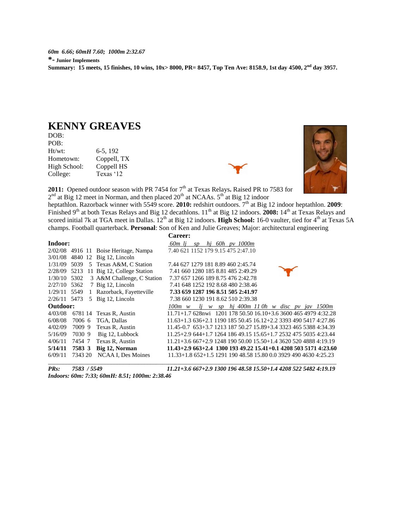*60m 6.66; 60mH 7.60; 1000m 2:32.67* **\*- Junior Implements Summary: 15 meets, 15 finishes, 10 wins, 10x> 8000, PR= 8457, Top Ten Ave: 8158.9, 1st day 4500, 2nd day 3957.**

### **KENNY GREAVES**

DOB: POB:<br>Ht/wt: 6-5, 192 Hometown: Coppell, TX High School: Coppell HS College: Texas '12



2011: Opened outdoor season with PR 7454 for 7<sup>th</sup> at Texas Relays. Raised PR to 7583 for  $2<sup>nd</sup>$  at Big 12 meet in Norman, and then placed  $20<sup>th</sup>$  at NCAAs.  $5<sup>th</sup>$  at Big 12 indoor

heptathlon. Razorback winner with 5549 score. 2010: redshirt outdoors. 7<sup>th</sup> at Big 12 indoor heptathlon. 2009: Finished 9<sup>th</sup> at both Texas Relays and Big 12 decathlons. 11<sup>th</sup> at Big 12 indoors. **2008:** 14<sup>th</sup> at Texas Relays and scored initial 7k at TGA meet in Dallas. 12<sup>th</sup> at Big 12 indoors. **High School:** 16-0 vaulter, tied for 4<sup>th</sup> at Texas 5A champs. Football quarterback. **Personal**: Son of Ken and Julie Greaves; Major: architectural engineering

|              |         |                                         | <b>Career:</b>                                                    |
|--------------|---------|-----------------------------------------|-------------------------------------------------------------------|
| Indoor:      |         |                                         | 60m li<br>hi 60h py 1000m<br>SD                                   |
|              |         | $2/02/08$ 4916 11 Boise Heritage, Nampa | 7.40 621 1152 179 9.15 475 2:47.10                                |
|              |         | 3/01/08 4840 12 Big 12, Lincoln         |                                                                   |
| 1/31/09      | 5039    | 5 Texas A&M, C Station                  | 7.44 627 1279 181 8.89 460 2:45.74                                |
|              |         | 2/28/09 5213 11 Big 12, College Station | 7.41 660 1280 185 8.81 485 2:49.29                                |
| 1/30/10 5302 |         | 3 A&M Challenge, C Station              | 7.37 657 1266 189 8.75 476 2:42.78                                |
| 2/27/10 5362 |         | 7 Big 12, Lincoln                       | 7.41 648 1252 192 8.68 480 2:38.46                                |
|              |         | 1/29/11 5549 1 Razorback, Fayetteville  | 7.33 659 1287 196 8.51 505 2:41.97                                |
| 2/26/11 5473 |         | 5 Big 12, Lincoln                       | 7.38 660 1230 191 8.62 510 2:39.38                                |
| Outdoor:     |         |                                         | $l$ j w sp hj 400m 110h w disc pv jav 1500m<br>100m w             |
| 4/03/08      | 6781 14 | Texas R, Austin                         | $11.71+1.7628$ nwi 1201 178 50.50 16.10+3.6 3600 465 4979 4:32.28 |
| 6/08/08      | 7006 6  | TGA, Dallas                             | $11.63+1.363+2.1119018550.4516.12+2.2339349054174.27.86$          |
| 4/02/09      | 70099   | Texas R, Austin                         | 11.45-0.7 653+3.7 1213 187 50.27 15.89+3.4 3323 465 5388 4:34.39  |
| 5/16/09      | 70309   | Big 12, Lubbock                         | 11.25+2.9 644+1.7 1264 186 49.15 15.65+1.7 2532 475 5035 4:23.44  |
| 4/06/11      | 7454 7  | Texas R, Austin                         | $11.21 + 3.6667 + 2.9124819050.0015.50 + 1.4362052048884:19.19$   |
| 5/14/11      | 7583 3  | Big 12, Norman                          | $11.43+2.9663+2.4130019349.2215.41+0.1420850351714:23.60$         |
| 6/09/11      | 7343 20 | NCAA I, Des Moines                      | $11.33+1.8652+1.5129119048.5815.800.0392949046304:25.23$          |

*Indoors: 60m: 7:33; 60mH: 8.51; 1000m: 2:38.46*

*PRs: 7583 / 5549 11.21+3.6 667+2.9 1300 196 48.58 15.50+1.4 4208 522 5482 4:19.19*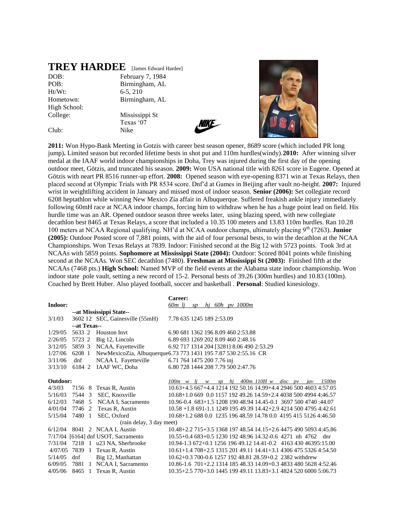### **TREY HARDEE** [James Edward Hardee]

Ht/Wt: 6-5, 210 High School: College: Mississippi St

DOB: February 7, 1984 POB: Birmingham, AL Hometown: Birmingham, AL

Texas '07 Club: Nike





**2011:** Won Hypo-Bank Meeting in Gotzis with career best season opener, 8689 score (which included PR long jump)**.** Limited season but recorded lifetime bests in shot put and 110m hurdles(windy).**2010:** After winning silver medal at the IAAF world indoor championships in Doha, Trey was injured during the first day of the opening outdoor meet, Götzis, and truncated his season. **2009:** Won USA national title with 8261 score in Eugene. Opened at Götzis with neart PR 8516 runner-up effort. **2008:** Opened season with eye-opening 8371 win at Texas Relays, then placed second at Olympic Trials with PR 8534 score. Dnf'd at Games in Beijing after vault no-height. **2007:** Injured wrist in weightlifting accident in January and missed most of indoor season. **Senior (2006):** Set collegiate record 6208 heptathlon while winning New Mexico Zia affair in Albuquerque. Suffered freakish ankle injury immediately following 60mH race at NCAA indoor champs, forcing him to withdraw when he has a huge point lead on field. His hurdle time was an AR. Opened outdoor season three weeks later, using blazing speed, with new collegiate decathlon best 8465 at Texas Relays, a score that included a 10.35 100 meters and 13.83 110m hurdles. Ran 10.28 100 meters at NCAA Regional qualifying. NH'd at NCAA outdoor champs, ultimately placing 9th (7263). **Junior (2005):** Outdoor Posted score of 7,881 points, with the aid of four personal bests, to win the decathlon at the NCAA Championships. Won Texas Relays at 7839. Indoor: Finished second at the Big 12 with 5723 points. Took 3rd at NCAAs with 5859 points. **Sophomore at Mississippi State (2004):** Outdoor: Scored 8041 points while finishing second at the NCAAs. Won SEC decathlon (7480). **Freshman at Mississippi St (2003):** Finished fifth at the NCAAs (7468 pts.) **High School:** Named MVP of the field events at the Alabama state indoor championship. Won indoor state pole vault, setting a new record of 15-2. Personal bests of 39.26 (300m hurdles) and 10.83 (100m). Coached by Brett Huber. Also played football, soccer and basketball . **Personal**: Studied kinesiology.

|          |              |                                     | Career:                                                           |
|----------|--------------|-------------------------------------|-------------------------------------------------------------------|
| Indoor:  |              |                                     | 60m lj<br>$sp$ hi 60h pv 1000m                                    |
|          |              | --at Mississippi State--            |                                                                   |
| 3/1/03   |              | 3602 12 SEC, Gainesville (55mH)     | 7.78 635 1245 189 2:53.09                                         |
|          | --at Texas-- |                                     |                                                                   |
| 1/29/05  | 5633 2       | <b>Houston Invt</b>                 | 6.90 681 1362 196 8.09 460 2:53.88                                |
| 2/26/05  | 5723 2       | Big 12, Lincoln                     | 6.89 693 1269 202 8.09 460 2:48.16                                |
| 3/12/05  | 5859 3       | NCAA, Fayetteville                  | 6.92 717 1314 204 [3281] 8.06 490 2:53.29                         |
| 1/27/06  | 6208 1       |                                     | NewMexicoZia, Albuquerque6.73 773 1431 195 7.87 530 2:55.16 CR    |
| 3/11/06  | dnf          | NCAA I, Fayetteville                | 6.71 764 1475 200 7.76 inj                                        |
| 3/13/10  | 6184 2       | IAAF WC, Doha                       | 6.80 728 1444 208 7.79 500 2:47.76                                |
|          |              |                                     |                                                                   |
| Outdoor: |              |                                     | $100m \le v$ lj w sp hj $400m$ $110H \le w$ disc pv jav<br>1500m  |
| 4/3/03   | 7156 8       | Texas R, Austin                     | 10.63+4.5 667+4.4 1214 192 50.16 14.99+4.4 2946 500 4603 4:57.05  |
| 5/16/03  | 7544 3       | SEC, Knoxville                      | 10.68+1.0 669 0.0 1157 192 49.26 14.59+2.4 4038 500 4994 4:46.57  |
| 6/12/03  | 7468 5       | NCAA I, Sacramento                  | 10.96-0.4 683+1.5 1208 190 48.94 14.45-0.1 3697 500 4740 :44.07   |
| 4/01/04  | 7746 2       | Texas R, Austin                     | 10.58 +1.8 691-1.1 1249 195 49.39 14.42+2.9 4214 500 4795 4:42.61 |
| 5/15/04  | 7480 1       | SEC, Oxford                         | 10.68+1.2 688 0.0 1235 196 48.59 14.78 0.0 4195 415 5126 4:46.50  |
|          |              | (rain delay, 3 day meet)            |                                                                   |
| 6/12/04  |              | 8041 2 NCAA I, Austin               | 10.48+2.2 715+3.5 1368 197 48.54 14.15+2.6 4475 490 5093 4:45.86  |
|          |              | 7/17/04 [6164] dnf USOT, Sacramento | 10.55+0.4 683+0.5 1230 192 48.96 14.32-0.6 4271 nh 4762 dnr       |
| 7/31/04  |              | 7218 1 u23 NA, Sherbrooke           | 10.94-1.3 672+0.1 1256 196 49.12 14.41-0.2 4163 430 46395:15.00   |
|          |              | 4/07/05 7839 1 Texas R, Austin      | 10.61+1.4 708+2.5 1315 201 49.11 14.41+3.1 4306 475 5326 4:54.50  |
| 5/14/05  | dnf          | Big 12, Manhattan                   | 10.62+0.3 700-0.6 1257 192 48.81 28.59+0.2 2382 withdrew          |
| 6/09/05  | 7881         | 1 NCAA I, Sacramento                | 10.86-1.6 701+2.2 1314 185 48.33 14.09+0.3 4833 480 5628 4:52.46  |
| 4/05/06  | 8465 1       | Texas R, Austin                     | 10.35+2.5 770+3.0 1445 199 49.11 13.83+3.1 4824 520 6000 5:06.73  |
|          |              |                                     |                                                                   |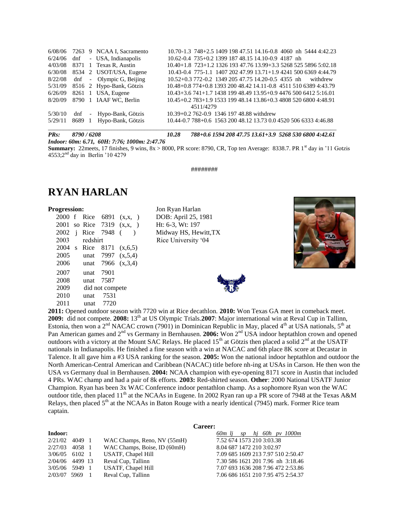|         |        | 6/08/06 7263 9 NCAA I, Sacramento | 10.70-1.3 748+2.5 1409 198 47.51 14.16-0.8 4060 nh 5444 4:42.23  |
|---------|--------|-----------------------------------|------------------------------------------------------------------|
| 6/24/06 |        | dnf - USA, Indianapolis           | 10.62-0.4 735+0.2 1399 187 48.15 14.10-0.9 4187 nh               |
| 4/03/08 |        | 8371 1 Texas R, Austin            | 10.40+1.8 723+1.2 1326 193 47.76 13.99+3.3 5268 525 5896 5:02.18 |
| 6/30/08 |        | 8534 2 USOT/USA, Eugene           | 10.43-0.4 775-1.1 1407 202 47.99 13.71+1.9 4241 500 6369 4:44.79 |
| 8/22/08 |        | dnf - Olympic G, Beijing          | 10.52+0.3 772-0.2 1349 205 47.75 14.20-0.5 4355 nh<br>withdrew   |
| 5/31/09 |        | 8516 2 Hypo-Bank, Götzis          | 10.48+0.8 774+0.8 1393 200 48.42 14.11-0.8 4511 510 6389 4:43.79 |
| 6/26/09 |        | 8261 1 USA, Eugene                | 10.43+3.6 741+1.7 1438 199 48.49 13.95+0.9 4476 500 6412 5:16.01 |
| 8/20/09 |        | 8790 1 IAAF WC, Berlin            | 10.45+0.2 783+1.9 1533 199 48.14 13.86+0.3 4808 520 6800 4:48.91 |
|         |        |                                   | 4511/4279                                                        |
| 5/30/10 |        | dnf - Hypo-Bank, Götzis           | 10.39+0.2 762-0.9 1346 197 48.88 withdrew                        |
| 5/29/11 | 8689 1 | Hypo-Bank, Götzis                 | 10.44-0.7 788+0.6 1563 200 48.12 13.73 0.0 4520 506 6333 4:46.88 |

*PRs: 8790 / 6208 10.28 788+0.6 1594 208 47.75 13.61+3.9 5268 530 6800 4:42.61*

*Indoor: 60m: 6.71, 60H: 7:76; 1000m: 2:47.76*

**Summary:**  $22$ meets, 17 finishes, 9 wins,  $8x > 8000$ , PR score: 8790, CR, Top ten Average: 8338.7. PR 1<sup>st</sup> day in '11 Gotzis 4553;2<sup>nd</sup> day in Berlin '10 4279

########

### **RYAN HARLAN**

2000 f Rice 6891 (x,x, ) DOB: April 25, 1981 2001 so Rice 7319 (x,x, ) Ht: 6-3, Wt: 197 2002 j Rice 7948 ( ) Midway HS, Hewitt,TX 2003 redshirt Rice University '04 2004 s Rice 8171 (x,6,5) 2005 unat 7997 (x,5,4) 2006 unat 7966 (x,3,4) 2007 unat 7901 2008 unat 7587 2009 did not compete 2010 unat 7531 2011 unat 7720

**Progression:** Jon Ryan Harlan





**2011:** Opened outdoor season with 7720 win at Rice decathlon. **2010:** Won Texas GA meet in comeback meet. 2009: did not compete. 2008: 13<sup>th</sup> at US Olympic Trials. 2007: Major international win at Reval Cup in Tallinn, Estonia, then won a  $2<sup>nd</sup> NACAC$  crown (7901) in Dominican Republic in May, placed 4<sup>th</sup> at USA nationals, 5<sup>th</sup> at Pan American games and 2<sup>nd</sup> vs Germany in Bernhausen. **2006:** Won 2<sup>nd</sup> USA indoor heptathlon crown and opened outdoors with a victory at the Mount SAC Relays. He placed  $15<sup>th</sup>$  at Götzis then placed a solid  $2<sup>nd</sup>$  at the USATF nationals in Indianapolis. He finished a fine season with a win at NACAC and 6th place 8K score at Decastar in Talence. It all gave him a #3 USA ranking for the season. **2005:** Won the national indoor heptathlon and outdoor the North American-Central American and Caribbean (NACAC) title before nh-ing at USAs in Carson. He then won the USA vs Germany dual in Bernhausen. **2004:** NCAA champion with eye-opening 8171 score in Austin that included 4 PRs. WAC champ and had a pair of 8k efforts. **2003:** Red-shirted season. **Other**: 2000 National USATF Junior Champion. Ryan has been 3x WAC Conference indoor pentathlon champ. As a sophomore Ryan won the WAC outdoor title, then placed 11<sup>th</sup> at the NCAAs in Eugene. In 2002 Ryan ran up a PR score of 7948 at the Texas A&M Relays, then placed  $5<sup>th</sup>$  at the NCAAs in Baton Rouge with a nearly identical (7945) mark. Former Rice team captain.

#### **Career:**

| Indoor:<br>60m li sphi 60h pv 1000m                                            |  |
|--------------------------------------------------------------------------------|--|
| 7.52 674 1573 210 3:03.38<br>WAC Champs, Reno, NV (55mH)<br>2/21/02<br>4049 1  |  |
| WAC Champs, Boise, ID (60mH)<br>8.04 687 1472 210 3:02.97<br>2/27/03<br>4058 1 |  |
| 7.09 685 1609 213 7.97 510 2:50.47<br>USATF, Chapel Hill<br>$3/06/05$ 6102 1   |  |
| Reval Cup, Tallinn<br>7.30 586 1621 201 7.96 nh 3:18.46<br>2/04/06 4499 13     |  |
| 7.07 693 1636 208 7.96 472 2:53.86<br>USATF, Chapel Hill<br>3/05/06 5949 1     |  |
| 7.06 686 1651 210 7.95 475 2:54.37<br>Reval Cup, Tallinn<br>2/03/07 5969 1     |  |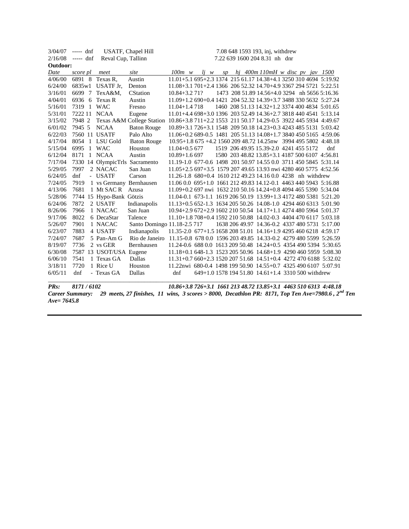| 3/04/07  | $--- dnf$     |                                | <b>USATF, Chapel Hill</b>                                                                  |                                                                  |  |  | 7.08 648 1593 193, inj, withdrew                   |  |     |
|----------|---------------|--------------------------------|--------------------------------------------------------------------------------------------|------------------------------------------------------------------|--|--|----------------------------------------------------|--|-----|
| 2/16/08  | ----- dnf     | Reval Cup, Tallinn             |                                                                                            |                                                                  |  |  | 7.22 639 1600 204 8.31 nh dnr                      |  |     |
| Outdoor: |               |                                |                                                                                            |                                                                  |  |  |                                                    |  |     |
| Date     | score pl      | meet                           | site                                                                                       | $100m \ w$                                                       |  |  | $l$ <i>i w</i> sp hj 400m 110mH w disc pv jav 1500 |  |     |
| 4/06/00  |               | 6891 8 Texas R,                | Austin                                                                                     | 11.01+5.1 695+2.3 1374 215 61.17 14.38+4.1 3250 310 4694 5:19.92 |  |  |                                                    |  |     |
| 6/24/00  |               | 6835w1 USATF Jr.               | Denton                                                                                     | 11.08+3.1 701+2.4 1366 206 52.32 14.70+4.9 3367 294 5721 5:22.51 |  |  |                                                    |  |     |
| 3/16/01  | 6699 7        | TexA&M,                        | <b>CStation</b>                                                                            | $10.84 + 3.271$                                                  |  |  | 1473 208 51.89 14.56+4.0 3294 nh 5656 5:16.36      |  |     |
| 4/04/01  | 6936 6        | Texas R                        | Austin                                                                                     | 11.09+1.2 690+0.4 1421 204 52.32 14.39+3.7 3488 330 5632 5:27.24 |  |  |                                                    |  |     |
| 5/16/01  | 7319 1 WAC    |                                | Fresno                                                                                     | $11.04 + 1.4718$                                                 |  |  | 1460 208 51.13 14.32+1.2 3374 400 4834 5:01.65     |  |     |
| 5/31/01  | 7222 11 NCAA  |                                | Eugene                                                                                     | 11.01+4.4 698+3.0 1396 203 52.49 14.36+2.7 3818 440 4541 5:13.14 |  |  |                                                    |  |     |
| 3/15/02  | 7948 2        |                                | Texas A&M College Station 10.86+3.8 711+2.2 1553 211 50.17 14.29-0.5 3922 445 5934 4:49.67 |                                                                  |  |  |                                                    |  |     |
| 6/01/02  | 7945 5        | <b>NCAA</b>                    | <b>Baton Rouge</b>                                                                         | 10.89+3.1 726+3.1 1548 209 50.18 14.23+0.3 4243 485 5131 5:03.42 |  |  |                                                    |  |     |
| 6/22/03  | 7560 11 USATF |                                | Palo Alto                                                                                  | 11.06+0.2 689-0.5 1481 205 51.13 14.08+1.7 3840 450 5165 4:59.06 |  |  |                                                    |  |     |
| 4/17/04  |               | 8054 1 LSU Gold                | <b>Baton Rouge</b>                                                                         | 10.95+1.8 675 +4.2 1560 209 48.72 14.25nw 3994 495 5802 4:48.18  |  |  |                                                    |  |     |
| 5/15/04  | 6995 1 WAC    |                                | Houston                                                                                    | $11.04 + 0.5677$                                                 |  |  | 1519 206 49.95 15.39-2.0 4241 455 5172             |  | dnf |
| 6/12/04  | 8171          | 1 NCAA                         | Austin                                                                                     | $10.89 + 1.6697$                                                 |  |  | 1580 203 48.82 13.85+3.1 4187 500 6107 4:56.81     |  |     |
| 7/17/04  |               | 7330 14 OlympicTrls Sacramento |                                                                                            | 11.19-1.0 677-0.6 1498 201 50.97 14.55 0.0 3711 450 5845 5:31.14 |  |  |                                                    |  |     |
| 5/29/05  | 7997          | 2 NACAC                        | San Juan                                                                                   | 11.05+2.5 697+3.5 1579 207 49.65 13.93 nwi 4280 460 5775 4:52.56 |  |  |                                                    |  |     |
| 6/24/05  | dnf           | - USATF                        | Carson                                                                                     | 11.26-1.8 680+0.4 1610 212 49.23 14.16 0.0 4238 nh withdrew      |  |  |                                                    |  |     |
| 7/24/05  | 7919          | 1 vs Germany Bernhausen        |                                                                                            | 11.06 0.0 695+1.0 1661 212 49.83 14.12-0.1 4463 440 5943 5:16.88 |  |  |                                                    |  |     |
| 4/13/06  | 7681          | 1 Mt SAC R                     | Azusa                                                                                      | 11.09+0.2 697 nwi 1632 210 50.16 14.24+0.8 4094 465 5390 5:34.04 |  |  |                                                    |  |     |
| 5/28/06  |               | 7744 15 Hypo-Bank Götzis       |                                                                                            | 11.04-0.1 673-1.1 1619 206 50.19 13.99+1.3 4172 480 5381 5:21.20 |  |  |                                                    |  |     |
| 6/24/06  | 7872          | 2 USATF                        | Indianapolis                                                                               | 11.13+0.5 652-1.3 1634 205 50.26 14.08-1.0 4294 460 6313 5:01.90 |  |  |                                                    |  |     |
| 8/26/06  | 7966          | 1 NACAC                        | San Juan                                                                                   | 10.94+2.9 672+2.9 1602 210 50.54 14.17+1.1 4274 480 5964 5:01.37 |  |  |                                                    |  |     |
| 9/17/06  | 8022          | 6 DecaStar                     | Talence                                                                                    | 11.10+1.8 708+0.4 1592 210 50.88 14.02-0.3 4404 470 6117 5:03.18 |  |  |                                                    |  |     |
| 5/26/07  | 7901          | 1 NACAC                        | Santo Domingo 11.18-2.5 717                                                                |                                                                  |  |  | 1638 206 49.97 14.36-0.2 4337 480 5731 5:17.00     |  |     |
| 6/23/07  | 7883          | 4 USATF                        | Indianapolis                                                                               | 11.35-2.0 677+1.5 1658 208 51.01 14.16+1.9 4295 460 6218 4:59.17 |  |  |                                                    |  |     |
| 7/24/07  | 7687          | 5 Pan-Am G                     | Rio de Janeiro                                                                             | 11.15-0.8 678 0.0 1596 203 49.85 14.33-0.2 4279 480 5599 5:26.59 |  |  |                                                    |  |     |
| 8/19/07  | 7736          | 2 vs GER                       | Bernhausen                                                                                 | 11.24-0.6 688 0.0 1613 209 50.48 14.24+0.5 4354 490 5394 5:30.65 |  |  |                                                    |  |     |
| 6/30/08  |               | 7587 13 USOT/USA Eugene        |                                                                                            | 11.18+0.1 648-1.3 1523 205 50.96 14.68+1.9 4290 460 5959 5:08.30 |  |  |                                                    |  |     |
| 6/06/10  | 7541          | 1 Texas GA                     | Dallas                                                                                     | 11.31+0.7 660+2.3 1520 207 51.68 14.51+0.4 4272 470 6188 5:32.02 |  |  |                                                    |  |     |
| 3/18/11  | 7720          | 1 Rice U                       | Houston                                                                                    | 11.22nwi 680-0.4 1498 199 50.90 14.55+0.7 4325 490 6107 5:07.91  |  |  |                                                    |  |     |
| 6/05/11  | dnf           | - Texas GA                     | Dallas                                                                                     | dnf                                                              |  |  | 649+1.0 1578 194 51.80 14.61+1.4 3310 500 withdrew |  |     |
|          |               |                                |                                                                                            |                                                                  |  |  |                                                    |  |     |

*PRs: 8171 / 6102 10.86+3.8 726+3.1 1661 213 48.72 13.85+3.1 4463 510 6313 4:48.18*

*Career Summary: 29 meets, 27 finishes, 11 wins, 3 scores > 8000, Decathlon PR: 8171, Top Ten Ave=7980.6 , 2nd Ten Ave= 7645.8*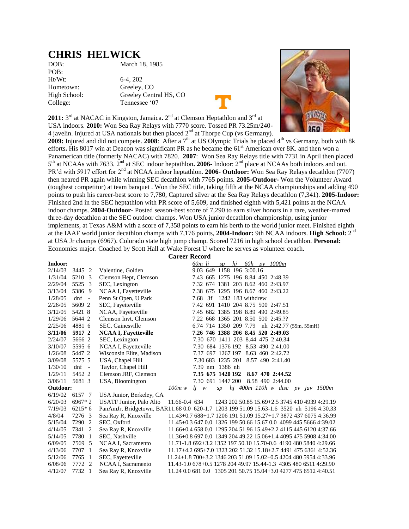### **CHRIS HELWICK**

POB: Ht/Wt: 6-4, 202

DOB: March 18, 1985

Hometown: Greeley, CO High School: Greeley Central HS, CO College: Tennessee '07



2011: 3<sup>rd</sup> at NACAC in Kingston, Jamaica. 2<sup>nd</sup> at Clemson Heptathlon and 3<sup>rd</sup> at USA indoors. **2010:** Won Sea Ray Relays with 7770 score. Tossed PR 73.25m/240- 4 javelin. Injured at USA nationals but then placed  $2<sup>nd</sup>$  at Thorpe Cup (vs Germany).

**2009:** Injured and did not compete. **2008**: After a  $7<sup>th</sup>$  at US Olympic Trials he placed  $4<sup>th</sup>$  vs Germany, both with 8k efforts. His 8017 win at Deacon was significant PR as he became the 61<sup>st</sup> American over 8K. and then won a Panamerican title (formerly NACAC) with 7820. **2007**: Won Sea Ray Relays title with 7731 in April then placed 5<sup>th</sup> at NCAAs with 7633. 2<sup>nd</sup> at SEC indoor heptathlon. 2006- Indoor: 2<sup>nd</sup> place at NCAAs both indoors and out. PR'd with 5917 effort for 2<sup>nd</sup> at NCAA indoor heptathlon. **2006- Outdoor:** Won Sea Ray Relays decathlon (7707) then neared PR again while winning SEC decathlon with 7765 points. **2005-Outdoor-** Won the Volunteer Award (toughest competitor) at team banquet . Won the SEC title, taking fifth at the NCAA championships and adding 490 points to push his career-best score to 7,780, Captured silver at the Sea Ray Relays decathlon (7,341). **2005-Indoor:** Finished 2nd in the SEC heptathlon with PR score of 5,609, and finished eighth with 5,421 points at the NCAA indoor champs. **2004-Outdoor-** Posted season-best score of 7,290 to earn silver honors in a rare, weather-marred three-day decathlon at the SEC outdoor champs. Won USA junior decathlon championship, using junior implements, at Texas A&M with a score of 7,358 points to earn his berth to the world junior meet. Finished eighth at the IAAF world junior decathlon champs with 7,176 points, 2004-Indoor: 9th NCAA indoors. High School: 2<sup>nd</sup> at USA Jr champs (6967). Colorado state high jump champ. Scored 7216 in high school decathlon. **Personal:**  Economics major. Coached by Scott Hall at Wake Forest U where he serves as volunteer coach.

| <b>Career Record</b> |                        |                                                                                         |                                                                  |                           |       |    |    |                   |                                                |  |  |
|----------------------|------------------------|-----------------------------------------------------------------------------------------|------------------------------------------------------------------|---------------------------|-------|----|----|-------------------|------------------------------------------------|--|--|
| Indoor:              |                        |                                                                                         |                                                                  | 60m lj                    |       | SD | hi |                   | 60h <i>py</i> 1000m                            |  |  |
| 2/14/03              | 3445 2                 | Valentine, Golden                                                                       |                                                                  | 9.03 649 1158 196 3:00.16 |       |    |    |                   |                                                |  |  |
| 1/31/04              | 5210 3                 | Clemson Hept, Clemson                                                                   |                                                                  |                           |       |    |    |                   | 7.43 665 1275 196 8.84 450 2:48.39             |  |  |
| 2/29/04              | 5525 3                 | SEC, Lexington                                                                          |                                                                  |                           |       |    |    |                   | 7.32 674 1381 203 8.62 460 2:43.97             |  |  |
| 3/13/04              | 5386 9                 | NCAA I, Fayetteville                                                                    |                                                                  |                           |       |    |    |                   | 7.38 675 1295 196 8.67 460 2:43.22             |  |  |
| 1/28/05              | $dnf -$                | Penn St Open, U Park                                                                    |                                                                  | 7.68                      | $-3f$ |    |    | 1242 183 withdrew |                                                |  |  |
| 2/26/05              | 5609 2                 | SEC, Fayetteville                                                                       |                                                                  |                           |       |    |    |                   | 7.42 691 1410 204 8.75 500 2:47.51             |  |  |
| 3/12/05              | 5421 8                 | NCAA, Fayetteville                                                                      |                                                                  |                           |       |    |    |                   | 7.45 682 1385 198 8.89 490 2:49.85             |  |  |
| 1/29/06              | 5644 2                 | Clemson Invt, Clemson                                                                   |                                                                  |                           |       |    |    |                   | 7.22 668 1365 201 8.50 500 2:45.??             |  |  |
| 2/25/06              | 4881 6                 | SEC, Gainesville                                                                        |                                                                  |                           |       |    |    |                   | 6.74 714 1350 209 7.79 nh 2:42.77 (55m, 55mH)  |  |  |
| 3/11/06              | 5917 2                 | <b>NCAA I, Fayetteville</b>                                                             |                                                                  |                           |       |    |    |                   | 7.26 746 1388 206 8.45 520 2:49.03             |  |  |
| 2/24/07              | 5666 2                 | SEC, Lexington                                                                          |                                                                  |                           |       |    |    |                   | 7.30 670 1411 203 8.44 475 2:40.34             |  |  |
| 3/10/07              | 5595 6                 | NCAA I, Fayetteville                                                                    |                                                                  |                           |       |    |    |                   | 7.30 684 1376 192 8.53 490 2:41.00             |  |  |
| 1/26/08              | 5447 2                 | Wisconsin Elite, Madison                                                                |                                                                  |                           |       |    |    |                   | 7.37 697 1267 197 8.63 460 2:42.72             |  |  |
| 3/09/08              | 5575 5                 | USA, Chapel Hill                                                                        |                                                                  |                           |       |    |    |                   | 7.30 683 1235 201 8.57 490 2:41.40             |  |  |
| 1/30/10              | $dnf -$                | Taylor, Chapel Hill                                                                     |                                                                  | 7.39 nm 1386 nh           |       |    |    |                   |                                                |  |  |
| 1/29/11              | 5452 2                 | Clemson JRF, Clemson                                                                    |                                                                  | 7.35 675 1420 192         |       |    |    |                   | 8.67 470 2:44.52                               |  |  |
| 3/06/11              | 5681 3                 | USA, Bloomington                                                                        |                                                                  | 7.30 691 1447 200         |       |    |    |                   | 8.58 490 2:44.00                               |  |  |
| Outdoor:             |                        |                                                                                         | 100m w                                                           | $li \t w$                 |       | SD |    |                   | hj 400m 110h w disc pv jav 1500m               |  |  |
| 6/19/02              | 6157 7                 | USA Junior, Berkeley, CA                                                                |                                                                  |                           |       |    |    |                   |                                                |  |  |
| 6/20/03              | $6967*2$               | <b>USATF Junior, Palo Alto</b>                                                          | 11.66-0.4 634                                                    |                           |       |    |    |                   | 1243 202 50.85 15.69+2.5 3745 410 4939 4:29.19 |  |  |
| 7/19/03              | $6215*6$               | PanAmJr, Bridgetown, BAR11.68 0.0 620-1.7 1203 199 51.09 15.63-1.6 3520 nh 5196 4:30.33 |                                                                  |                           |       |    |    |                   |                                                |  |  |
| 4/8/04               | 7276 3                 | Sea Ray R, Knoxville                                                                    | 11.43+0.7 688+1.7 1206 191 51.09 15.27+1.7 3872 437 6075 4:36.99 |                           |       |    |    |                   |                                                |  |  |
| 5/15/04              | 7290 2                 | SEC, Oxford                                                                             | 11.45+0.3 647 0.0 1326 199 50.66 15.67 0.0 4099 445 5666 4:39.02 |                           |       |    |    |                   |                                                |  |  |
| 4/14/05              | 7341 2                 | Sea Ray R, Knoxville                                                                    | 11.66+0.4 658 0.0 1295 204 51.96 15.49+2.2 4115 445 6120 4:37.66 |                           |       |    |    |                   |                                                |  |  |
| 5/14/05              | 7780<br>-1             | SEC, Nashville                                                                          | 11.36+0.8 697 0.0 1349 204 49.22 15.06+1.4 4095 475 5908 4:34.00 |                           |       |    |    |                   |                                                |  |  |
| 6/09/05              | 7569 5                 | NCAA I, Sacramento                                                                      | 11.71-1.8 692+3.2 1352 197 50.10 15.70-0.6 4190 480 5840 4:29.66 |                           |       |    |    |                   |                                                |  |  |
| 4/13/06              | 7707 1                 | Sea Ray R, Knoxville                                                                    | 11.17+4.2 695+7.0 1323 202 51.32 15.18+2.7 4491 475 6361 4:52.36 |                           |       |    |    |                   |                                                |  |  |
| 5/12/06              | 7765<br>-1             | SEC, Fayetteville                                                                       | 11.24+1.8 700+3.2 1346 203 51.09 15.02+0.5 4204 480 5954 4:33.96 |                           |       |    |    |                   |                                                |  |  |
| 6/08/06              | 7772<br>$\overline{2}$ | NCAA I, Sacramento                                                                      | 11.43-1.0 678+0.5 1278 204 49.97 15.44-1.3 4305 480 6511 4:29.90 |                           |       |    |    |                   |                                                |  |  |
| 4/12/07              | 7732<br>$\overline{1}$ | Sea Ray R, Knoxville                                                                    | 11.24 0.0 681 0.0 1305 201 50.75 15.04+3.0 4277 475 6512 4:40.51 |                           |       |    |    |                   |                                                |  |  |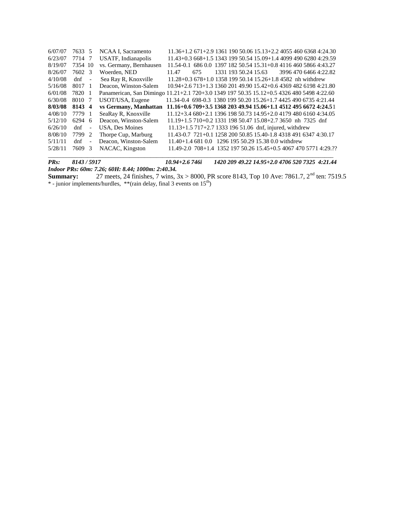| 6/07/07 | 7633 5  |                          | NCAA I, Sacramento                                                                        |                                                                  |     |  | $11.36+1.2671+2.9136119050.0615.13+2.2405546063684:24.30$        |  |                       |
|---------|---------|--------------------------|-------------------------------------------------------------------------------------------|------------------------------------------------------------------|-----|--|------------------------------------------------------------------|--|-----------------------|
| 6/23/07 | 7714 7  |                          | USATF, Indianapolis                                                                       | $11.43+0.3668+1.5134319950.5415.09+1.4409949062804:29.59$        |     |  |                                                                  |  |                       |
| 8/19/07 | 7354 10 |                          | vs. Germany, Bernhausen                                                                   | 11.54-0.1 686 0.0 1397 182 50.54 15.31+0.8 4116 460 5866 4:43.27 |     |  |                                                                  |  |                       |
| 8/26/07 | 7602 3  |                          | Woerden, NED                                                                              | 11.47                                                            | 675 |  | 1331 193 50.24 15.63                                             |  | 3996 470 6466 4:22.82 |
| 4/10/08 | $dnf -$ |                          | Sea Ray R, Knoxville                                                                      |                                                                  |     |  | $11.28 + 0.3678 + 1.0135819950.1415.26 + 1.84582$ nh withdrew    |  |                       |
| 5/16/08 | 8017 1  |                          | Deacon, Winston-Salem                                                                     | 10.94+2.6 713+1.3 1360 201 49.90 15.42+0.6 4369 482 6198 4:21.80 |     |  |                                                                  |  |                       |
| 6/01/08 | 7820 1  |                          | Panamerican, San Dimingo 11.21+2.1 720+3.0 1349 197 50.35 15.12+0.5 4326 480 5498 4:22.60 |                                                                  |     |  |                                                                  |  |                       |
| 6/30/08 | 8010 7  |                          | USOT/USA, Eugene                                                                          | 11.34-0.4 698-0.3 1380 199 50.20 15.26+1.7 4425 490 6735 4:21.44 |     |  |                                                                  |  |                       |
|         |         |                          |                                                                                           |                                                                  |     |  |                                                                  |  |                       |
| 8/03/08 | 8143 4  |                          | vs Germany, Manhattan                                                                     | 11.16+0.6 709+3.5 1368 203 49.94 15.06+1.1 4512 495 6672 4:24.51 |     |  |                                                                  |  |                       |
| 4/08/10 | 7779 1  |                          | SeaRay R, Knoxville                                                                       | $11.12+3.4680+2.1139619850.7314.95+2.0417948061604:34.05$        |     |  |                                                                  |  |                       |
| 5/12/10 | 6294 6  |                          | Deacon, Winston-Salem                                                                     | $11.19+1.5710+0.2133119850.4715.08+2.73650$ nh 7325 dnf          |     |  |                                                                  |  |                       |
| 6/26/10 | dnf     | $\overline{\phantom{a}}$ | USA, Des Moines                                                                           |                                                                  |     |  | 11.13+1.5 717+2.7 1333 196 51.06 dnf, injured, withdrew          |  |                       |
| 8/08/10 | 7799 2  |                          | Thorpe Cup, Marburg                                                                       | 11.43-0.7 721+0.1 1258 200 50.85 15.40-1.8 4318 491 6347 4:30.17 |     |  |                                                                  |  |                       |
| 5/11/11 | dnf     | $\overline{\phantom{a}}$ | Deacon, Winston-Salem                                                                     |                                                                  |     |  | 11.40+1.4 681 0.0 1296 195 50.29 15.38 0.0 withdrew              |  |                       |
| 5/28/11 | 7609 3  |                          | NACAC, Kingston                                                                           |                                                                  |     |  | 11.49-2.0 708+1.4 1352 197 50.26 15.45+0.5 4067 470 5771 4:29.?? |  |                       |

*PRs: 8143 / 5917 10.94+2.6 746i 1420 209 49.22 14.95+2.0 4706 520 7325 4:21.44 Indoor PRs: 60m: 7.26; 60H: 8.44; 1000m: 2:40.34.*

**Summary:** 27 meets, 24 finishes, 7 wins,  $3x > 8000$ , PR score 8143, Top 10 Ave: 7861.7,  $2^{nd}$  ten: 7519.5 \* - junior implements/hurdles, \*\*(rain delay, final 3 events on 15th)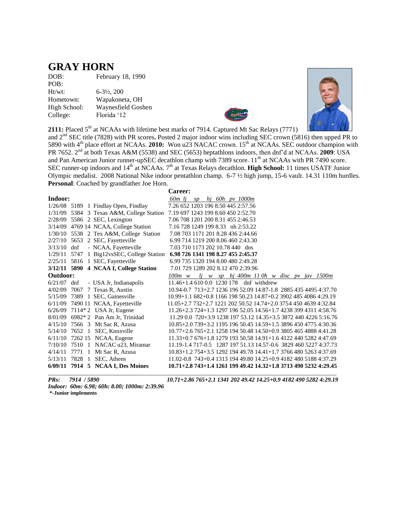#### **GRAY HORN**

DOB: February 18, 1990 POB: Ht/wt: 6-3½, 200 Hometown: Wapakoneta, OH High School: Waynesfield Goshen College: Florida '12





2111: Placed 5<sup>th</sup> at NCAAs with lifetime best marks of 7914. Captured Mt Sac Relays (7771)

and 2nd SEC title (7828) with PR scores**.** Posted 2 major indoor wins including SEC crown (5816) then upped PR to 5890 with 4th place effort at NCAAs. **2010:** Won u23 NACAC crown. 15th at NCAAs. SEC outdoor champion with PR 7652. 2nd at both Texas A&M (5538) and SEC (5653) heptathlons indoors, then dnf'd at NCAAs. **2009**: USA and Pan American Junior runner-upSEC decathlon champ with 7389 score. 11<sup>th</sup> at NCAAs with PR 7490 score. SEC runner-up indoors and 14<sup>th</sup> at NCAAs. 7<sup>th</sup> at Texas Relays decathlon. **High School:** 11 times USATF Junior Olympic medalist. 2008 National Nike indoor pentathlon champ. 6-7 ½ high jump, 15-6 vault. 14.31 110m hurdles. **Personal**: Coached by grandfather Joe Horn.

|               |        |                                           | Career:                                                                       |
|---------------|--------|-------------------------------------------|-------------------------------------------------------------------------------|
| Indoor:       |        |                                           | 60 <sub>m</sub> li<br>hi 60h py 1000m<br>SD                                   |
|               |        | $1/26/08$ 5189 1 Findlay Open, Findlay    | 7.26 652 1203 196 8.50 445 2:57.56                                            |
|               |        |                                           | 1/31/09 5384 3 Texas A&M, College Station 7.19 697 1243 199 8.60 450 2:52.70  |
|               |        | 2/28/09 5586 2 SEC, Lexington             | 7.06.708.1201.200.8.31.455.2:46.53                                            |
|               |        | 3/14/09 4769 14 NCAA, College Station     | 7.16 728 1249 199 8.33 nh 2:53.22                                             |
|               |        | $1/30/10$ 5538 2 Tex A&M, College Station | 7.08 703 1171 201 8.28 436 2:44.66                                            |
|               |        | 2/27/10 5653 2 SEC, Fayetteville          | 6.99 714 1219 200 8.06 460 2:43.30                                            |
| $3/13/10$ dnf |        | - NCAA, Fayetteville                      | 7.03 710 1173 202 10.78 440 dns                                               |
|               |        |                                           | 1/29/11 5747 1 Big12vsSEC, College Station 6.98 726 1341 198 8.27 455 2:45.37 |
|               |        | 2/25/11 5816 1 SEC, Fayetteville          | 6.99 735 1320 194 8.00 480 2:49.28                                            |
|               |        | 3/12/11 5890 4 NCAA I, College Station    | 7.01 729 1289 202 8.12 470 2:39.96                                            |
| Outdoor:      |        |                                           | $1j$ w sp $h$ j 400m 110h w disc pv jav 1500m<br>$100m \ w$                   |
| $6/21/07$ dnf |        | - USA Jr, Indianapolis                    | 11.46+1.4 610 0.0 1230 178 dnf withdrew                                       |
| 4/02/09       |        | 7067 7 Texas R, Austin                    | 10.94-0.7 713+2.7 1236 196 52.09 14.87-1.8 2885 435 4495 4:37.70              |
|               |        | 5/15/09 7389 1 SEC, Gainesville           | 10.99+1.1 682+0.8 1166 198 50.23 14.87+0.2 3902 485 4086 4:29.19              |
|               |        | 6/11/09 7490 11 NCAA, Fayetteville        | 11.05+2.7 732+2.7 1221 202 50.52 14.74+2.0 3754 450 4639 4:32.84              |
|               |        | $6/26/09$ 7114* 2 USA Jr, Eugene          | 11.26+2.3 724+1.3 1297 196 52.05 14.56+1.7 4238 399 4311 4:58.76              |
|               |        | $8/01/09$ 6982* 2 Pan Am Jr, Trinidad     | 11.29 0.0 720+3.9 1238 197 53.12 14.35+3.5 3872 440 4226 5:16.76              |
| 4/15/10       |        | 7566 3 Mt Sac R, Azusa                    | 10.85+2.0 739+3.2 1195 196 50.45 14.59+1.5 3896 450 4775 4:30.36              |
|               |        | 5/14/10 7652 1 SEC, Knoxville             | $10.77+2.6765+2.1125819450.4814.50+0.9380546548884:41.28$                     |
| 6/11/10       |        | 7262 15 NCAA, Eugene                      | $11.33+0.76$ 676+1.8 1279 193 50.58 14.91+1.6 4122 440 5282 4:47.69           |
| 7/10/10       | 7510 1 | NACAC u23, Miramar                        | 11.19-1.4 717-0.5 1287 197 51.13 14.57-0.6 3829 460 5227 4:37.73              |
| 4/14/11       | 7771 1 | Mt Sac R, Azusa                           | $10.83+1.2754+3.5129219449.7814.41+1.7376648052634:37.69$                     |
| 5/13/11       | 7828 1 | SEC, Athens                               | 11.02-0.8 743+0.4 1313 194 49.80 14.25+0.9 4182 480 5188 4:37.29              |
|               |        | 6/09/11 7914 5 NCAA I, Des Moines         | 10.71+2.8 743+1.4 1261 199 49.42 14.32+1.8 3713 490 5232 4:29.45              |

*PRs: 7914 / 5890 10.71+2.86 765+2.1 1341 202 49.42 14.25+0.9 4182 490 5282 4:29.19* 

*Indoor: 60m: 6.98; 60h: 8.00; 1000m: 2:39.96* **\*-Junior implements**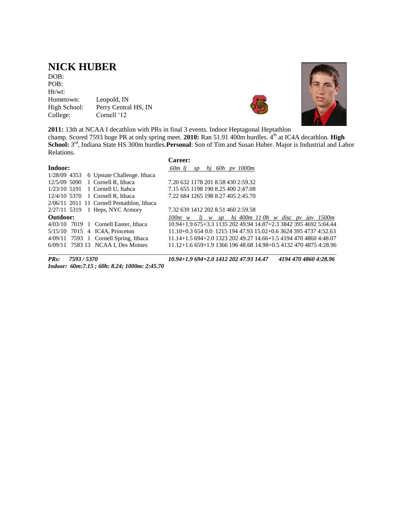### **NICK HUBER**

DOB: POB: Ht/wt:<br>Hometown: Hometown: Leopold, IN<br>High School: Perry Centra Perry Central HS, IN College: Cornell '12





**2011:** 13th at NCAA I decathlon with PRs in final 3 events. Indoor Heptagonal Heptathlon champ. Scored 7593 huge PR at only spring meet. **2010:** Ran 51.91 400m hurdles.  $4<sup>th</sup>$  at IC4A decathlon. **High** School: 3<sup>rd</sup>, Indiana State HS 300m hurdles.Personal: Son of Tim and Susan Huber. Major is Industrial and Labor Relations.

|              |  |                                              | <b>Career:</b>                                                   |    |  |                     |  |  |                                          |
|--------------|--|----------------------------------------------|------------------------------------------------------------------|----|--|---------------------|--|--|------------------------------------------|
| Indoor:      |  |                                              | 60m li<br>SD                                                     | hi |  | 60h <i>py</i> 1000m |  |  |                                          |
| 1/28/09 4353 |  | 6 Upstate Challenge. Ithaca                  |                                                                  |    |  |                     |  |  |                                          |
| 12/5/09 5090 |  | 1 Cornell R, Ithaca                          | 7.20 632 1178 201 8.58 430 2:59.32                               |    |  |                     |  |  |                                          |
| 1/23/10 5191 |  | 1 Cornell U. Itahca                          | 7.15 655 1198 190 8.25 400 2:47.08                               |    |  |                     |  |  |                                          |
|              |  | 12/4/10 5370 1 Cornell R. Ithaca             | 7.22 684 1265 198 8.27 405 2:45.70                               |    |  |                     |  |  |                                          |
|              |  | $2/06/11$ 2011 11 Cornell Pentathlon, Ithaca |                                                                  |    |  |                     |  |  |                                          |
|              |  | $2/27/11$ 5319 1 Heps, NYC Armory            | 7.32 639 1412 202 8.51 460 2:59.58                               |    |  |                     |  |  |                                          |
| Outdoor:     |  |                                              | $100m \ w$                                                       |    |  |                     |  |  | li w sp hi 400m 110h w disc pv jav 1500m |
|              |  | $4/03/10$ 7019 1 Cornell Easter, Ithaca      | 10.94+1.9 675+3.3 1135 202 49.94 14.87+2.3 3842 395 4692 5:04.44 |    |  |                     |  |  |                                          |
|              |  | 5/15/10 7015 4 IC4A, Princeton               | $11.10+0.36540.0121519447.9315.02+0.6362439547374.52.63$         |    |  |                     |  |  |                                          |
|              |  | 4/09/11 7593 1 Cornell Spring, Ithaca        | $11.14+1.5694+2.0132320249.2714.66+1.5419447048604:48.07$        |    |  |                     |  |  |                                          |
|              |  | 6/09/11 7583 13 NCAA I, Des Moines           | $11.12+1.6659+1.9136619648.6814.98+0.5413247048754:28.96$        |    |  |                     |  |  |                                          |

*PRs: 7593 / 5370 10.94+1.9 694+2.0 1412 202 47.93 14.47 4194 470 4860 4:28.96 Indoor: 60m:7.15 ; 60h: 8.24; 1000m: 2:45.70*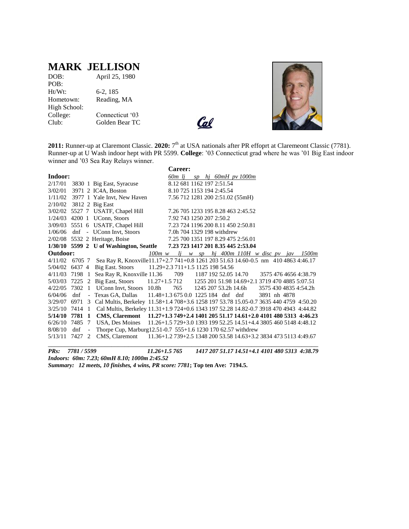### **MARK JELLISON**

| DOB:         | April 25, 1980  |
|--------------|-----------------|
| POB:         |                 |
| Ht/Wt:       | $6-2, 185$      |
| Hometown:    | Reading, MA     |
| High School: |                 |
| College:     | Connecticut '03 |
| Club:        | Golden Bear TC  |
|              |                 |





2011: Runner-up at Claremont Classic. 2020: 7<sup>th</sup> at USA nationals after PR effoprt at Claremeont Classic (7781). Runner-up at U Wash indoor hept with PR 5599. **College**: '03 Connecticut grad where he was '01 Big East indoor winner and '03 Sea Ray Relays winner.

|                         |        |                          |                                                                                           |                                    | Career:                  |  |                            |                                                               |              |  |                       |
|-------------------------|--------|--------------------------|-------------------------------------------------------------------------------------------|------------------------------------|--------------------------|--|----------------------------|---------------------------------------------------------------|--------------|--|-----------------------|
| Indoor:                 |        |                          |                                                                                           |                                    | 60m li                   |  |                            | $sp$ hj 60mH pv 1000m                                         |              |  |                       |
|                         |        |                          | 2/17/01 3830 1 Big East, Syracuse                                                         |                                    |                          |  | 8.12 681 1162 197 2:51.54  |                                                               |              |  |                       |
|                         |        |                          | 3/02/01 3971 2 IC4A, Boston                                                               |                                    |                          |  | 8.10 725 1153 194 2:45.54  |                                                               |              |  |                       |
|                         |        |                          | $1/11/02$ 3977 1 Yale Invt, New Haven                                                     |                                    |                          |  |                            | 7.56 712 1281 200 2:51.02 (55mH)                              |              |  |                       |
| 2/10/02 3812 2 Big East |        |                          |                                                                                           |                                    |                          |  |                            |                                                               |              |  |                       |
|                         |        |                          | 3/02/02 5527 7 USATF, Chapel Hill                                                         |                                    |                          |  |                            | 7.26 705 1233 195 8.28 463 2:45.52                            |              |  |                       |
|                         |        |                          | 1/24/03 4200 1 UConn, Stoors                                                              |                                    | 7.92 743 1250 207 2:50.2 |  |                            |                                                               |              |  |                       |
|                         |        |                          | 3/09/03 5551 6 USATF, Chapel Hill                                                         |                                    |                          |  |                            | 7.23 724 1196 200 8.11 450 2:50.81                            |              |  |                       |
|                         |        |                          | $1/06/06$ dnf - UConn Invt, Stoors                                                        |                                    |                          |  | 7.0h 704 1329 198 withdrew |                                                               |              |  |                       |
|                         |        |                          | 2/02/08 5532 2 Heritage, Boise                                                            |                                    |                          |  |                            | 7.25 700 1351 197 8.29 475 2:56.01                            |              |  |                       |
|                         |        |                          | $1/30/10$ 5599 2 U of Washington, Seattle                                                 |                                    |                          |  |                            | 7.23 723 1417 201 8.35 445 2:53.04                            |              |  |                       |
| Outdoor:                |        |                          |                                                                                           | $100m$ w                           |                          |  |                            | lj w sp hj 400m 110H w disc pv jav 1500m                      |              |  |                       |
| 4/11/02                 |        |                          | 6705 7 Sea Ray R, Knoxville11.17+2.7 741+0.8 1261 203 51.63 14.60-0.5 nm 410 4863 4:46.17 |                                    |                          |  |                            |                                                               |              |  |                       |
| 5/04/02 6437 4          |        |                          | <b>Big East. Stoors</b>                                                                   | 11.29+2.3 711+1.5 1125 198 54.56   |                          |  |                            |                                                               |              |  |                       |
|                         |        |                          | 4/11/03 7198 1 Sea Ray R, Knoxville 11.36                                                 |                                    |                          |  |                            | 709 1187 192 52.05 14.70                                      |              |  | 3575 476 4656 4:38.79 |
|                         |        |                          | 5/03/03 7225 2 Big East, Stoors                                                           |                                    |                          |  |                            | $11.27+1.5712$ 1255 201 51.98 14.69+2.1 3719 470 4885 5:07.51 |              |  |                       |
| 4/22/05 7302            |        |                          | 1 UConn Invt, Stoors 10.8h 765                                                            |                                    |                          |  |                            | 1245 207 53.2h 14.6h 3575 430 4835 4:54.2h                    |              |  |                       |
| 6/04/06                 | dnf    |                          | - Texas GA, Dallas                                                                        | $11.48 + 1.36750.01225184$ dnf dnf |                          |  |                            |                                                               | 3891 nh 4878 |  |                       |
| 3/29/07                 | 6971   |                          | 3 Cal Multis, Berkeley 11.58+1.4 708+3.6 1258 197 53.78 15.05-0.7 3635 440 4759 4:50.20   |                                    |                          |  |                            |                                                               |              |  |                       |
| $3/25/10$ 7414 1        |        |                          | Cal Multis, Berkeley 11.31+1.9 724+0.6 1343 197 52.28 14.82-0.7 3918 470 4943 4:44.82     |                                    |                          |  |                            |                                                               |              |  |                       |
| 5/14/10                 | 7781 1 |                          | CMS, Claremont 11.27+1.3 749+2.4 1401 205 51.17 14.61+2.0 4101 480 5313 4:46.23           |                                    |                          |  |                            |                                                               |              |  |                       |
| $6/26/10$ 7485 7        |        |                          | USA, Des Moines 11.26+1.5 729+3.0 1393 199 52.25 14.51+4.4 3805 460 5148 4:48.12          |                                    |                          |  |                            |                                                               |              |  |                       |
| 8/08/10                 | dnf    | $\overline{\phantom{a}}$ | Thorpe Cup, Marburg 12.51-0.7 555+1.6 1230 170 62.57 withdrew                             |                                    |                          |  |                            |                                                               |              |  |                       |
| 5/13/11 7427            |        | 2                        | CMS, Claremont 11.36+1.2 739+2.5 1348 200 53.58 14.63+3.2 3834 473 5113 4:49.67           |                                    |                          |  |                            |                                                               |              |  |                       |
|                         |        |                          |                                                                                           |                                    |                          |  |                            |                                                               |              |  |                       |

*PRs: 7781 / 5599 11.26+1.5 765 1417 207 51.17 14.51+4.1 4101 480 5313 4:38.79 Indoors: 60m: 7.23; 60mH 8.10; 1000m 2:45.52 Summary: 12 meets, 10 finishes, 4 wins, PR score: 7781***; Top ten Ave: 7194.5.**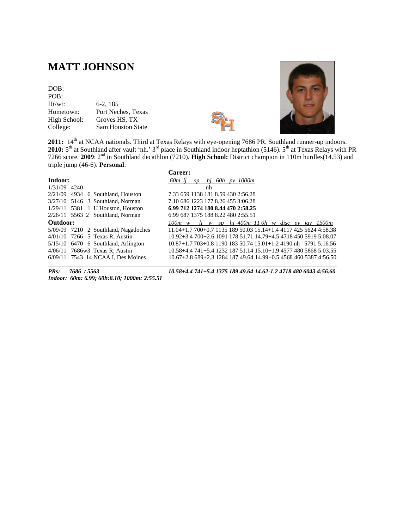### **MATT JOHNSON**

### DOB:

| POB:         |                          |
|--------------|--------------------------|
| Ht/wt:       | $6-2, 185$               |
| Hometown:    | Port Neches, Texas       |
| High School: | Groves HS, TX            |
| College:     | <b>Sam Houston State</b> |
|              |                          |





2011: 14<sup>th</sup> at NCAA nationals. Third at Texas Relays with eye-opening 7686 PR. Southland runner-up indoors. 2010: 5<sup>th</sup> at Southland after vault 'nh.' 3<sup>rd</sup> place in Southland indoor heptathlon (5146). 5<sup>th</sup> at Texas Relays with PR 7266 score. **2009**: 2nd in Southland decathlon (7210). **High School:** District champion in 110m hurdles(14.53) and triple jump (46-6). **Personal**:

|              |                                        | <b>Career:</b>                                                  |
|--------------|----------------------------------------|-----------------------------------------------------------------|
| Indoor:      |                                        | 60m li<br>hi 60h py 1000m<br>SD                                 |
| 1/31/09 4240 |                                        | nh                                                              |
|              | $2/21/09$ 4934 6 Southland, Houston    | 7.33 659 1138 181 8.59 430 2:56.28                              |
|              | 3/27/10 5146 3 Southland, Norman       | 7.10 686 1223 177 8.26 455 3:06.28                              |
|              | $1/29/11$ 5381 1 U Houston, Houston    | 6.99 712 1274 180 8.44 470 2:58.25                              |
|              | $2/26/11$ 5563 2 Southland, Norman     | 6.99 687 1375 188 8.22 480 2:55.51                              |
| Outdoor:     |                                        | $100m \t w$ li w sp hi 400m 110h w disc pv jav 1500m            |
|              | $5/09/09$ 7210 2 Southland, Nagadoches | $11.04+1.7700+0.7113518950.0315.14+1.4411742556244:58.38$       |
|              | $4/01/10$ 7266 5 Texas R, Austin       | $10.92 + 3.4700 + 2.6109117851.7114.79 + 4.5471845059195:08.07$ |
|              | $5/15/10$ 6470 6 Southland, Arlington  | $10.87+1.7703+0.8119018350.7415.01+1.24190$ nh 5791 5:16.56     |
|              | $4/06/11$ 7686w3 Texas R, Austin       | $10.58 + 4.4741 + 5.4123218751.1415.10 + 1.9457748058685:03.55$ |
|              | 6/09/11 7543 14 NCAA I. Des Moines     | $10.67 + 2.8689 + 2.3128418749.6414.99 + 0.5456846053874.5650$  |

*Indoor: 60m: 6.99; 60h:8.10; 1000m: 2:55.51* 

*PRs: 7686 / 5563 10.58+4.4 741+5.4 1375 189 49.64 14.62-1.2 4718 480 6043 4:56.60*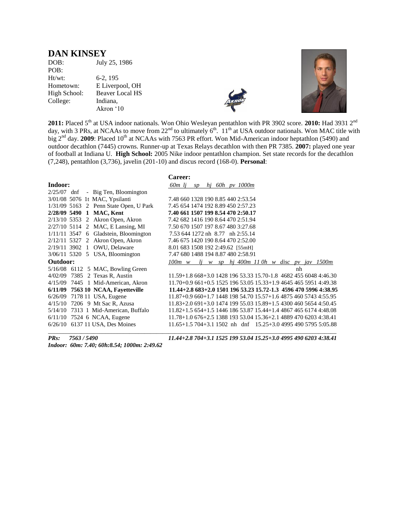#### **DAN KINSEY**

| DOB:         | July 25, 1986          |
|--------------|------------------------|
| POB:         |                        |
| $Ht/wt$ :    | 6-2, 195               |
| Hometown:    | E Liverpool, OH        |
| High School: | <b>Beaver Local HS</b> |
| College:     | Indiana.               |
|              | Akron '10              |





**2011:** Placed 5<sup>th</sup> at USA indoor nationals. Won Ohio Wesleyan pentathlon with PR 3902 score. **2010:** Had 3931 2<sup>nd</sup> day, with 3 PRs, at NCAAs to move from  $22^{nd}$  to ultimately  $6^{th}$ .  $11^{th}$  at USA outdoor nationals. Won MAC title with big 2<sup>nd</sup> day. **2009**: Placed 10<sup>th</sup> at NCAAs with 7563 PR effort. Won Mid-American indoor heptathlon (5490) and outdoor decathlon (7445) crowns. Runner-up at Texas Relays decathlon with then PR 7385. **2007:** played one year of football at Indiana U. **High School:** 2005 Nike indoor pentathlon champion. Set state records for the decathlon (7,248), pentathlon (3,736), javelin (201-10) and discus record (168-0). **Personal**:

|                |  |                                         | Career:                                                   |  |  |                      |  |    |                                                                  |
|----------------|--|-----------------------------------------|-----------------------------------------------------------|--|--|----------------------|--|----|------------------------------------------------------------------|
| Indoor:        |  |                                         | 60m lj                                                    |  |  | $sp$ hj 60h pv 1000m |  |    |                                                                  |
|                |  | $2/25/07$ dnf - Big Ten, Bloomington    |                                                           |  |  |                      |  |    |                                                                  |
|                |  | 3/01/08 5076 1t MAC, Ypsilanti          | 7.48 660 1328 190 8.85 440 2:53.54                        |  |  |                      |  |    |                                                                  |
|                |  | 1/31/09 5163 2 Penn State Open, U Park  | 7.45 654 1474 192 8.89 450 2:57.23                        |  |  |                      |  |    |                                                                  |
|                |  | 2/28/09 5490 1 MAC, Kent                | 7.40 661 1507 199 8.54 470 2:50.17                        |  |  |                      |  |    |                                                                  |
|                |  | $2/13/10$ 5353 2 Akron Open, Akron      | 7.42 682 1416 190 8.64 470 2:51.94                        |  |  |                      |  |    |                                                                  |
|                |  | 2/27/10 5114 2 MAC, E Lansing, MI       | 7.50 670 1507 197 8.67 480 3:27.68                        |  |  |                      |  |    |                                                                  |
|                |  | $1/11/11$ 3547 6 Gladstein, Bloomington | 7.53 644 1272 nh 8.77 nh 2:55.14                          |  |  |                      |  |    |                                                                  |
|                |  | $2/12/11$ 5327 2 Akron Open, Akron      | 7.46 675 1420 190 8.64 470 2:52.00                        |  |  |                      |  |    |                                                                  |
| 2/19/11 3902 1 |  | OWU, Delaware                           | 8.01 683 1508 192 2:49.62 [55mH]                          |  |  |                      |  |    |                                                                  |
|                |  | 3/06/11 5320 5 USA, Bloomington         | 7.47 680 1488 194 8.87 480 2:58.91                        |  |  |                      |  |    |                                                                  |
| Outdoor:       |  |                                         | $100m \t w$ lj w sp hj 400m 110h w disc pv jav 1500m      |  |  |                      |  |    |                                                                  |
|                |  | $5/16/08$ 6112 5 MAC, Bowling Green     |                                                           |  |  |                      |  | nh |                                                                  |
| 4/02/09        |  | 7385 2 Texas R, Austin                  |                                                           |  |  |                      |  |    | 11.59+1.8 668+3.0 1428 196 53.33 15.70-1.8 4682 455 6048 4:46.30 |
| 4/15/09        |  | 7445 1 Mid-American, Akron              |                                                           |  |  |                      |  |    | $11.70+0.9661+0.5152519653.051533+1.9464546559514:49.38$         |
| 6/11/09        |  | 7563 10 NCAA, Fayetteville              |                                                           |  |  |                      |  |    | $11.44+2.8683+2.0150119653.2315.72-1.345964705996438.95$         |
| 6/26/09        |  | 7178 11 USA, Eugene                     | $11.87+0.9660+1.7144819854.7015.57+1.6487546057434:55.95$ |  |  |                      |  |    |                                                                  |
|                |  | 4/15/10 7206 9 Mt Sac R, Azusa          | $11.83+2.0691+3.0147419955.0315.89+1.5430046056544:50.45$ |  |  |                      |  |    |                                                                  |
| 5/14/10        |  | 7313 1 Mid-American, Buffalo            | $11.82+1.5654+1.5144618653.8715.44+1.4486746561744:48.08$ |  |  |                      |  |    |                                                                  |
|                |  | $6/11/10$ 7524 6 NCAA, Eugene           | $11.78+1.0676+2.5138819353.0415.36+2.148894706203438.41$  |  |  |                      |  |    |                                                                  |
|                |  | 6/26/10 6137 11 USA, Des Moines         |                                                           |  |  |                      |  |    | $11.65+1.5704+3.11502$ nh dnf $15.25+3.0499549057955:05.88$      |
|                |  |                                         |                                                           |  |  |                      |  |    |                                                                  |

*Indoor: 60m: 7.40; 60h:8.54; 1000m: 2:49.62*

*PRs: 7563 / 5490 11.44+2.8 704+3.1 1525 199 53.04 15.25+3.0 4995 490 6203 4:38.41*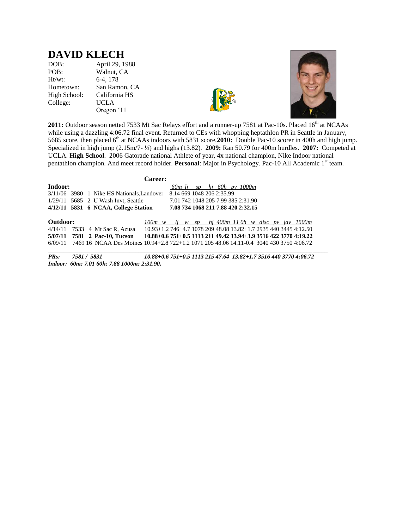### **DAVID KLECH**

DOB: April 29, 1988<br>POB: Walnut, CA Walnut, CA Ht/wt: 6-4, 178 Hometown: San Ramon, CA High School: California HS College: UCLA

Oregon '11





2011: Outdoor season netted 7533 Mt Sac Relays effort and a runner-up 7581 at Pac-10s. Placed 16<sup>th</sup> at NCAAs while using a dazzling 4:06.72 final event. Returned to CEs with whopping heptathlon PR in Seattle in January, 5685 score, then placed 6th at NCAAs indoors with 5831 score.**2010:** Double Pac-10 scorer in 400h and high jump. Specialized in high jump (2.15m/7- ½) and highs (13.82). **2009:** Ran 50.79 for 400m hurdles. **2007:** Competed at UCLA. **High School**. 2006 Gatorade national Athlete of year, 4x national champion, Nike Indoor national pentathlon champion. And meet record holder. **Personal**: Major in Psychology. Pac-10 All Academic 1<sup>st</sup> team.

|          |  |                                                                      | <b>Career:</b>                                                   |  |  |                                    |  |  |  |
|----------|--|----------------------------------------------------------------------|------------------------------------------------------------------|--|--|------------------------------------|--|--|--|
| Indoor:  |  |                                                                      |                                                                  |  |  | $60m$ li sp hi $60h$ pv $1000m$    |  |  |  |
|          |  | 3/11/06 3980 1 Nike HS Nationals, Landover 8.14 669 1048 206 2:35.99 |                                                                  |  |  |                                    |  |  |  |
|          |  | $1/29/11$ 5685 2 U Wash Invt, Seattle                                |                                                                  |  |  | 7.01 742 1048 205 7.99 385 2:31.90 |  |  |  |
|          |  | 4/12/11 5831 6 NCAA, College Station                                 |                                                                  |  |  | 7.08 734 1068 211 7.88 420 2:32.15 |  |  |  |
| Outdoor: |  |                                                                      | $100m$ w lj w sp hj $400m$ 11 0h w disc pv jav 1500m             |  |  |                                    |  |  |  |
|          |  | 4/14/11 7533 4 Mt Sac R, Azusa                                       | 10.93+1.2 746+4.7 1078 209 48.08 13.82+1.7 2935 440 3445 4:12.50 |  |  |                                    |  |  |  |

**5/07/11 7581 2 Pac-10, Tucson 10.88+0.6 751+0.5 1113 211 49.42 13.94+3.9 3516 422 3770 4:19.22**  6/09/11 7469 16 NCAA Des Moines 10.94+2.8 722+1.2 1071 205 48.06 14.11-0.4 3040 430 3750 4:06.72  $\Box$ 

*PRs: 7581 / 5831 10.88+0.6 751+0.5 1113 215 47.64 13.82+1.7 3516 440 3770 4:06.72 Indoor: 60m: 7.01 60h: 7.88 1000m: 2:31.90.*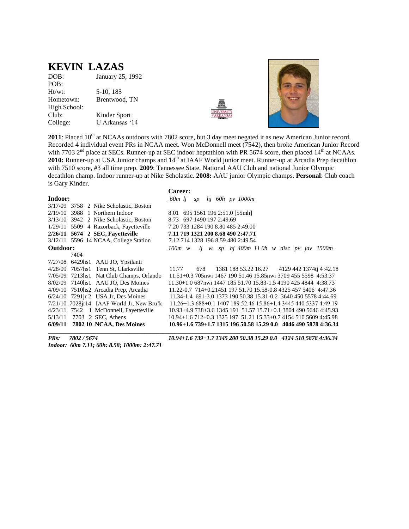### **KEVIN LAZAS**

DOB: January 25, 1992 POB: Ht/wt: 5-10, 185 Hometown: Brentwood, TN High School: Club: Kinder Sport College: U Arkansas '14





**2011**: Placed 10<sup>th</sup> at NCAAs outdoors with 7802 score, but 3 day meet negated it as new American Junior record. Recorded 4 individual event PRs in NCAA meet. Won McDonnell meet (7542), then broke American Junior Record with 7703  $2<sup>nd</sup>$  place at SECs. Runner-up at SEC indoor heptathlon with PR 5674 score, then placed 14<sup>th</sup> at NCAAs. 2010: Runner-up at USA Junior champs and 14<sup>th</sup> at IAAF World junior meet. Runner-up at Arcadia Prep decathlon with 7510 score, #3 all time prep. **2009**: Tennessee State, National AAU Club and national Junior Olympic decathlon champ. Indoor runner-up at Nike Scholastic. **2008:** AAU junior Olympic champs. **Personal**: Club coach is Gary Kinder.

|          |                                                | <b>Career:</b>                                                   |
|----------|------------------------------------------------|------------------------------------------------------------------|
| Indoor:  |                                                | 60 <sub>m</sub> li<br>hi 60h py 1000m<br>$\mathfrak{S}D$         |
|          | 3/17/09 3758 2 Nike Scholastic, Boston         |                                                                  |
| 2/19/10  | 3988 1 Northern Indoor                         | 8.01 695 1561 196 2:51.0 [55mh]                                  |
| 3/13/10  | 3942 2 Nike Scholastic, Boston                 | 8.73 697 1490 197 2:49.69                                        |
|          | 1/29/11 5509 4 Razorback, Fayetteville         | 7.20 733 1284 190 8.80 485 2:49.00                               |
|          | $2/26/11$ 5674 2 SEC, Fayetteville             | 7.11 719 1321 200 8.68 490 2:47.71                               |
|          | 3/12/11 5596 14 NCAA, College Station          | 7.12 714 1328 196 8.59 480 2:49.54                               |
| Outdoor: |                                                | $1j$ w sp $hj$ 400m 110h w disc pv jav 1500m<br>$100m$ w         |
|          | 7404                                           |                                                                  |
|          | 7/27/08 6429hs1 AAU JO, Ypsilanti              |                                                                  |
|          | 4/28/09 7057hs1 Tenn St, Clarksville           | 1381 188 53.22 16.27 4129 442 1374tj 4:42.18<br>11.77<br>678     |
|          | 7/05/09 7213hs1 Nat Club Champs, Orlando       | 11.51+0.3 705nwi 1467 190 51.46 15.85nwi 3709 455 5598 4:53.37   |
|          | 8/02/09 7140hs1 AAU JO, Des Moines             | 11.30+1.0 687nwi 1447 185 51.70 15.83-1.5 4190 425 4844 4:38.73  |
| 4/09/10  | 7510hs2 Arcadia Prep, Arcadia                  | 11.22-0.7 714+0.21451 197 51.70 15.58-0.8 4325 457 5406 4:47.36  |
| 6/24/10  | 7291 jr 2 USA Jr, Des Moines                   | 11.34-1.4 691-3.0 1373 190 50.38 15.31-0.2 3640 450 5578 4:44.69 |
|          | $7/21/10$ $7028$ jr14 IAAF World Jr, New Bru'k | $11.26+1.368+0.1140718952.4615.86+1.4344544053374.4919$          |
|          | 4/23/11 7542 1 McDonnell, Fayetteville         | 10.93+4.9 738+3.6 1345 191 51.57 15.71+0.1 3804 490 5646 4:45.93 |
| 5/13/11  | 7703 2 SEC, Athens                             | 10.94+1.6 712+0.3 1325 197 51.21 15.33+0.7 4154 510 5609 4:45.98 |
| 6/09/11  | 7802 10 NCAA, Des Moines                       | 10.96+1.6 739+1.7 1315 196 50.58 15.29 0.0 4046 490 5878 4:36.34 |

*Indoor: 60m 7.11; 60h: 8.58; 1000m: 2:47.71*

*PRs: 7802 / 5674 10.94+1.6 739+1.7 1345 200 50.38 15.29 0.0 4124 510 5878 4:36.34*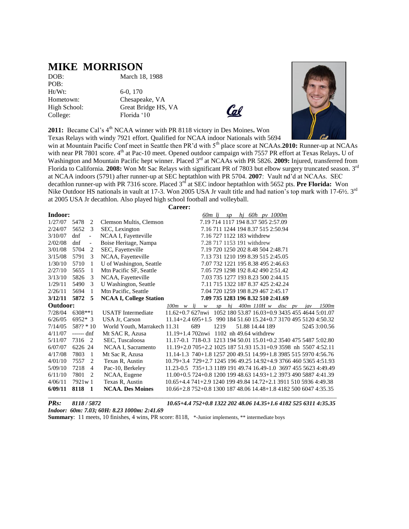### **MIKE MORRISON**

POB: Ht/Wt: 6-0, 170

DOB: March 18, 1988

Hometown: Chesapeake, VA High School: Great Bridge HS, VA College: Florida '10



**2011:** Became Cal's 4th NCAA winner with PR 8118 victory in Des Moines**.** Won Texas Relays with windy 7921 effort. Qualified for NCAA indoor Nationals with 5694

win at Mountain Pacific Conf meet in Seattle then PR'd with 5<sup>th</sup> place score at NCAAs.2010: Runner-up at NCAAs with near PR 7801 score. 4<sup>th</sup> at Pac-10 meet. Opened outdoor campaign with 7557 PR effort at Texas Relays. U of Washington and Mountain Pacific hept winner. Placed 3<sup>rd</sup> at NCAAs with PR 5826. **2009:** Injured, transferred from Florida to California. 2008: Won Mt Sac Relays with significant PR of 7803 but elbow surgery truncated season. 3<sup>rd</sup> at NCAA indoors (5791) after runner-up at SEC heptathlon with PR 5704. **2007**: Vault nd'd at NCAAs. SEC decathlon runner-up with PR 7316 score. Placed 3<sup>rd</sup> at SEC indoor heptathlon with 5652 pts. **Pre Florida:** Won Nike Outdoor HS nationals in vault at 17-3. Won 2005 USA Jr vault title and had nation's top mark with 17-6½. 3<sup>rd</sup> at 2005 USA Jr decathlon. Also played high school football and volleyball.

**Career:**

| Indoor:  |             |                          |                                | $sp$ hi 60h pv 1000m<br>60m li                                                    |
|----------|-------------|--------------------------|--------------------------------|-----------------------------------------------------------------------------------|
| 1/27/07  | 5478        | 2                        | Clemson Multis, Clemson        | 7.19 714 1117 194 8.37 505 2:57.09                                                |
| 2/24/07  | 5652        | 3                        | SEC, Lexington                 | 7.16 711 1244 194 8.37 515 2:50.94                                                |
| 3/10/07  | dnf         | $\overline{\phantom{0}}$ | NCAA I, Fayetteville           | 7.16 727 1122 183 withdrew                                                        |
| 2/02/08  | dnf         | $\blacksquare$           | Boise Heritage, Nampa          | 7.28 717 1153 191 withdrew                                                        |
| 3/01/08  | 5704        | 2                        | SEC, Fayetteville              | 7.19 720 1250 202 8.48 504 2:48.71                                                |
| 3/15/08  | 5791        | 3                        | NCAA, Fayetteville             | 7.13 731 1210 199 8.39 515 2:45.05                                                |
| 1/30/10  | 5710        | 1                        | U of Washington, Seattle       | 7.07 732 1221 195 8.38 495 2:46.63                                                |
| 2/27/10  | 5655        | 1                        | Mtn Pacific SF, Seattle        | 7.05 729 1298 192 8.42 490 2:51.42                                                |
| 3/13/10  | 5826        | 3                        | NCAA, Fayetteville             | 7.03 735 1277 193 8.23 500 2:44.15                                                |
| 1/29/11  | 5490        | 3                        | U Washington, Seattle          | 7.11 715 1322 187 8.37 425 2:42.24                                                |
| 2/26/11  | 5694        | 1                        | Mtn Pacific, Seattle           | 7.04 720 1259 198 8.29 467 2:45.17                                                |
| 3/12/11  | 5872        | 5                        | <b>NCAA I, College Station</b> | 7.09 735 1283 196 8.32 510 2:41.69                                                |
| Outdoor: |             |                          |                                | $400m$ 110H w disc pv<br>hj<br>1500m<br>$100m \quad w \quad li$<br>iav<br>W<br>sp |
| 7/28/04  | $6308**1$   |                          | <b>USATF</b> Intermediate      | $11.62 + 0.7627$ nwi<br>1052 180 53.87 16.03+0.9 3435 455 4644 5:01.07            |
| 6/26/05  | $6952*3$    |                          | USA Jr, Carson                 | 11.14+2.4 695+1.5 990 184 51.60 15.24+0.7 3170 495 5120 4:50.32                   |
| 7/14/05  | $58?? * 10$ |                          | World Youth, Marrakech 11.31   | 689<br>1219<br>51.88 14.44 189<br>5245 3:00.56                                    |
| 4/11/07  | $---$       |                          | Mt SAC R, Azusa                | $11.19 + 1.4702$ nwi 1102 nh 49.64 withdrew                                       |
| 5/11/07  | 7316        | 2                        | SEC, Tuscaloosa                | 11.17-0.1 718-0.3 1213 194 50.01 15.01+0.2 3540 475 5487 5:02.80                  |
| 6/07/07  | 6226 24     |                          | NCAA I, Sacramento             | 11.19+2.0 705+2.2 1025 187 51.93 15.31+0.9 3598 nh 5507 4:52.11                   |
| 4/17/08  | 7803        | -1                       | Mt Sac R, Azusa                | 11.14-1.3 740+1.8 1257 200 49.51 14.99+1.8 3985 515 5970 4:56.76                  |
| 4/01/10  | 7557        | 2                        | Texas R, Austin                | 10.79+3.4 729+2.7 1245 196 49.25 14.92+4.9 3766 460 5365 4:51.93                  |
| 5/09/10  | 7218        | $\overline{4}$           | Pac-10, Berkeley               | 11.23-0.5 735+1.3 1189 191 49.74 16.49-1.0 3697 455 5623 4:49.49                  |
| 6/11/10  | 7801        | 2                        | NCAA, Eugene                   | 11.00+0.5 724+0.8 1200 199 48.63 14.93+1.2 3973 490 5887 4:41.39                  |
| 4/06/11  | 7921w 1     |                          | Texas R, Austin                | 10.65+4.4 741+2.9 1240 199 49.84 14.72+2.1 3911 510 5936 4:49.38                  |
| 6/09/11  | 8118 1      |                          | <b>NCAA. Des Moines</b>        | 10.66+2.8 752+0.8 1300 187 48.06 14.48+1.8 4182 500 6047 4:35.35                  |

*PRs: 8118 / 5872 10.65+4.4 752+0.8 1322 202 48.06 14.35+1.6 4182 525 6311 4:35.35*

*Indoor: 60m: 7.03; 60H: 8.23 1000m: 2:41.69*

**Summary**: 11 meets, 10 finishes, 4 wins, PR score: 8118, \*-Junior implements, \*\* intermediate boys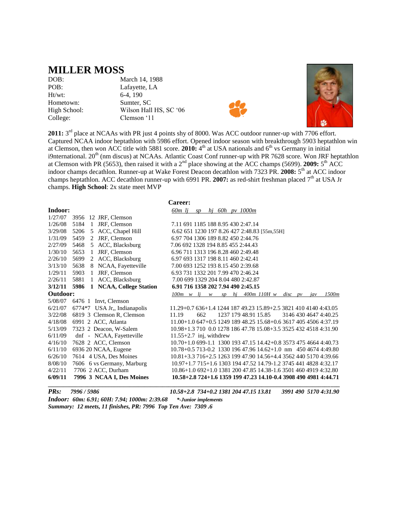### **MILLER MOSS**

Ht/wt: 6-4, 190

DOB: March 14, 1988 POB: Lafayette, LA Hometown: Sumter, SC High School: Wilson Hall HS, SC '06 College: Clemson '11





2011: 3<sup>rd</sup> place at NCAAs with PR just 4 points shy of 8000. Was ACC outdoor runner-up with 7706 effort. Captured NCAA indoor heptathlon with 5986 effort. Opened indoor season with breakthrough 5903 heptathlon win at Clemson, then won ACC title with 5881 score. 2010: 4<sup>th</sup> at USA nationals and 6<sup>th</sup> vs Germany in initial i9nternational. 20<sup>th</sup> (nm discus) at NCAAs. Atlantic Coast Conf runner-up with PR 7628 score. Won JRF heptathlon at Clemson with PR (5653), then raised it with a  $2<sup>nd</sup>$  place showing at the ACC champs (5699). **2009:**  $5<sup>th</sup>$  ACC indoor champs decathlon. Runner-up at Wake Forest Deacon decathlon with 7323 PR. 2008: 5<sup>th</sup> at ACC indoor champs heptathlon. ACC decathlon runner-up with 6991 PR. 2007: as red-shirt freshman placed 7<sup>th</sup> at USA Jr champs. **High School**: 2x state meet MVP

|          |                                 | Career:                                                                           |
|----------|---------------------------------|-----------------------------------------------------------------------------------|
| Indoor:  |                                 | 60 <sub>m</sub> lj<br>hj 60h pv $1000m$<br>SD                                     |
| 1/27/07  | 12 JRF, Clemson<br>3956         |                                                                                   |
| 1/26/08  | 5184<br>1<br>JRF, Clemson       | 7.11 691 1185 188 8.95 430 2:47.14                                                |
| 3/29/08  | 5 ACC, Chapel Hill<br>5206      | 6.62 651 1230 197 8.26 427 2:48.83 [55m,55H]                                      |
| 1/31/09  | JRF, Clemson<br>5459<br>2       | 6.97 704 1306 189 8.82 450 2:44.76                                                |
| 2/27/09  | 5 ACC, Blacksburg<br>5468       | 7.06 692 1328 194 8.85 455 2:44.43                                                |
| 1/30/10  | JRF, Clemson<br>5653<br>-1      | 6.96 711 1313 196 8.28 460 2:49.48                                                |
| 2/26/10  | 2 ACC, Blacksburg<br>5699       | 6.97 693 1317 198 8.11 460 2:42.41                                                |
| 3/13/10  | 8 NCAA, Fayetteville<br>5638    | 7.00 693 1252 193 8.15 450 2:39.68                                                |
| 1/29/11  | JRF, Clemson<br>5903<br>1       | 6.93 731 1332 201 7.99 470 2:46.24                                                |
| 2/26/11  | ACC, Blacksburg<br>5881<br>1    | 7.00 699 1329 204 8.04 480 2:42.87                                                |
| 3/12/11  | 1 NCAA, College Station<br>5986 | 6.91 716 1358 202 7.94 490 2:45.15                                                |
| Outdoor: |                                 | hj 400m 110H w<br>1500m<br>$100m \quad w \quad li$<br>$disc$ pv<br>sp<br>iav<br>W |
| 5/08/07  | 6476 1 Invt, Clemson            |                                                                                   |
| 6/21/07  | 6774*7 USA Jr., Indianapolis    | 11.29+0.7 636+1.4 1244 187 49.23 15.89+2.5 3821 410 4140 4:43.05                  |
| 3/22/08  | 6819 3 Clemson R, Clemson       | 662<br>1237 179 48.91 15.85<br>3146 430 4647 4:40.25<br>11.19                     |
| 4/18/08  | 6991 2 ACC, Atlanta             | $11.00+1.0647+0.5124918948.2515.68+0.6361740545064.37.19$                         |
| 5/13/09  | 7323 2 Deacon, W-Salem          | 10.98+1.3 710 0.0 1278 186 47.78 15.08+3.5 3525 432 4518 4:31.90                  |
| 6/11/09  | dnf - NCAA, Fayetteville        | $11.55+2.7$ inj, withdrew                                                         |
| 4/16/10  | 7628 2 ACC, Clemson             | 10.70+1.0 699-1.1 1300 193 47.15 14.42+0.8 3573 475 4664 4:40.73                  |
| 6/11/10  | 6936 20 NCAA, Eugene            | $10.78 + 0.5713 - 0.2133019647.9614.62 + 1.0nm$ 450 4674 4:49.80                  |
| 6/26/10  | 7614 4 USA, Des Moines          | 10.81+3.3 716+2.5 1263 199 47.90 14.56+4.4 3562 440 5170 4:39.66                  |
| 8/08/10  | 7606 6 vs Germany, Marburg      | 10.97+1.7 715+1.6 1303 194 47.52 14.79-1.2 3745 441 4828 4:32.17                  |
| 4/22/11  | 7706 2 ACC, Durham              | 10.86+1.0 692+1.0 1381 200 47.85 14.38-1.6 3501 460 4919 4:32.80                  |
| 6/09/11  | 7996 3 NCAA I, Des Moines       | 10.58+2.8 724+1.6 1359 199 47.23 14.10-0.4 3908 490 4981 4:44.71                  |
|          |                                 |                                                                                   |

*PRs: 7996 / 5986 10.58+2.8 734+0.2 1381 204 47.15 13.81 3991 490 5170 4:31.90 Indoor: 60m: 6.91; 60H: 7.94; 1000m: 2:39.68 \*-Junior implements Summary: 12 meets, 11 finishes, PR: 7996 Top Ten Ave: 7309 .6*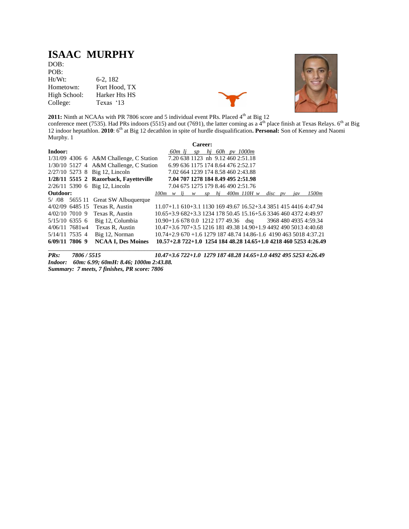## **ISAAC MURPHY**

DOB: POB: Ht/Wt: 6-2, 182 Hometown: Fort Hood, TX High School: Harker Hts HS College: Texas '13





**2011:** Ninth at NCAAs with PR 7806 score and 5 individual event PRs. Placed 4<sup>th</sup> at Big 12 conference meet (7535). Had PRs indoors (5515) and out (7691), the latter coming as a  $4<sup>th</sup>$  place finish at Texas Relays. 6<sup>th</sup> at Big 12 indoor heptathlon. **2010**: 6th at Big 12 decathlon in spite of hurdle disqualification**. Personal:** Son of Kenney and Naomi Murphy. 1

|          |                  |                                           |                                                                  |        | Career: |  |                                    |             |     |                                                                   |
|----------|------------------|-------------------------------------------|------------------------------------------------------------------|--------|---------|--|------------------------------------|-------------|-----|-------------------------------------------------------------------|
| Indoor:  |                  |                                           |                                                                  | 60m li |         |  | $sp$ hi 60h pv 1000m               |             |     |                                                                   |
|          |                  | $1/31/09$ 4306 6 A&M Challenge, C Station |                                                                  |        |         |  | 7.20 638 1123 nh 9.12 460 2:51.18  |             |     |                                                                   |
|          |                  | 1/30/10 5127 4 A&M Challenge, C Station   |                                                                  |        |         |  | 6.99 636 1175 174 8.64 476 2:52.17 |             |     |                                                                   |
|          |                  | $2/27/10$ 5273 8 Big 12, Lincoln          |                                                                  |        |         |  | 7.02 664 1239 174 8.58 460 2:43.88 |             |     |                                                                   |
|          |                  | 1/28/11 5515 2 Razorback, Favetteville    |                                                                  |        |         |  | 7.04 707 1278 184 8.49 495 2:51.98 |             |     |                                                                   |
|          |                  | $2/26/11$ 5390 6 Big 12, Lincoln          |                                                                  |        |         |  | 7.04 675 1275 179 8.46 490 2:51.76 |             |     |                                                                   |
| Outdoor: |                  |                                           | $100m \quad w \quad li$                                          |        |         |  | w sp hj 400m 110H w                | $disc$ $pv$ | iav | 1500m                                                             |
|          |                  | $5/$ /08 $565511$ Great SW Albuquerque    |                                                                  |        |         |  |                                    |             |     |                                                                   |
|          |                  | 4/02/09 6485 15 Texas R. Austin           | 11.07+1.1 610+3.1 1130 169 49.67 16.52+3.4 3851 415 4416 4:47.94 |        |         |  |                                    |             |     |                                                                   |
|          |                  | $4/02/10$ 7010 9 Texas R. Austin          | 10.65+3.9 682+3.3 1234 178 50.45 15.16+5.6 3346 460 4372 4:49.97 |        |         |  |                                    |             |     |                                                                   |
|          | $5/15/10$ 6355 6 | Big 12, Columbia                          | $10.90 + 1.66780.0121217749.36$ dsq 3968 480 4935 4:59.34        |        |         |  |                                    |             |     |                                                                   |
|          |                  | $4/06/11$ 7681w4 Texas R, Austin          | 10.47+3.6 707+3.5 1216 181 49.38 14.90+1.9 4492 490 5013 4:40.68 |        |         |  |                                    |             |     |                                                                   |
|          | 5/14/11 7535 4   | Big 12, Norman                            |                                                                  |        |         |  |                                    |             |     | $10.74+2.9670+1.6127918748.7414.86-1.6419046350184.37.21$         |
|          | $6/09/11$ 7806 9 | <b>NCAA I. Des Moines</b>                 |                                                                  |        |         |  |                                    |             |     | $10.57+2.8722+1.0$ 1254 184 48.28 14.65+1.0 4218 460 5253 4:26.49 |

*PRs: 7806 / 5515 10.47+3.6 722+1.0 1279 187 48.28 14.65+1.0 4492 495 5253 4:26.49 Indoor: 60m: 6.99; 60mH: 8.46; 1000m 2:43.88. Summary: 7 meets, 7 finishes, PR score: 7806*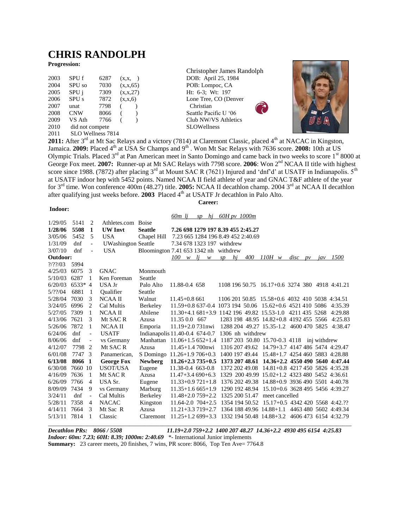### **CHRIS RANDOLPH**

#### **Progression:**

| 2003 | SPU f             | 6287 | (x,x,     |            |
|------|-------------------|------|-----------|------------|
| 2004 | SPU <sub>so</sub> | 7030 |           | (x, x, 65) |
| 2005 | SPU j             | 7309 |           | (x,x,27)   |
| 2006 | SPU <sub>s</sub>  | 7872 | (x, x, 6) |            |
| 2007 | unat              | 7798 |           |            |
| 2008 | <b>CNW</b>        | 8066 |           |            |
| 2009 | VS Ath            | 7766 |           | $\lambda$  |
| 2010 | did not compete   |      |           |            |
|      |                   |      |           |            |

2011 SLO Wellness 7814

Christopher James Randolph DOB: April 25, 1984 POB: Lompoc, CA Ht: 6-3; Wt: 197 Lone Tree, CO (Denver Christian Seattle Pacific U '06 Club NW/VS Athletics SLOWellness



2011: After 3<sup>rd</sup> at Mt Sac Relays and a victory (7814) at Claremont Classic, placed 4<sup>th</sup> at NACAC in Kingston, Jamaica. **2009:** Placed 4<sup>th</sup> at USA Sr Champs and 9<sup>th</sup>. Won Mt Sac Relays with 7636 score. **2008:** 10th at US Olympic Trials. Placed 3<sup>rd</sup> at Pan American meet in Santo Domingo and came back in two weeks to score 1<sup>st</sup> 8000 at George Fox meet. **2007:** Runner-up at Mt SAC Relays with 7798 score. **2006**: Won 2<sup>nd</sup> NCAA II title with highest score since 1988. (7872) after placing  $3^{rd}$  at Mount SAC R (7621) Injured and 'dnf'd' at USATF in Indianapolis.  $5^{th}$ at USATF indoor hep with 5452 points. Named NCAA II field athlete of year and GNAC T&F athlete of the year for 3rd time. Won conference 400m (48.27) title. **2005:** NCAA II decathlon champ. 2004 3rd at NCAA II decathlon after qualifying just weeks before. 2003 Placed 4<sup>th</sup> at USATF Jr decathlon in Palo Alto.

**Career:**

#### **Indoor:**

|               |          |                          |                            |                                                | 60m li                    |        | $sp$ hi 60H pv 1000m       |                                                          |        |           |     |                                                                         |
|---------------|----------|--------------------------|----------------------------|------------------------------------------------|---------------------------|--------|----------------------------|----------------------------------------------------------|--------|-----------|-----|-------------------------------------------------------------------------|
| 1/29/05       | 5141     | 2                        | Athletes.com Boise         |                                                |                           |        |                            |                                                          |        |           |     |                                                                         |
| 1/28/06       | 5508     | 1                        | <b>UW</b> Invt             | <b>Seattle</b>                                 |                           |        |                            | 7.26 698 1279 197 8.39 455 2:45.27                       |        |           |     |                                                                         |
| 3/05/06       | 5452     | 5                        | <b>USA</b>                 | Chapel Hill 7.23 665 1284 196 8.49 452 2:40.69 |                           |        |                            |                                                          |        |           |     |                                                                         |
| 1/31/09       | dnf      | $\equiv$                 | <b>UWashington Seattle</b> |                                                |                           |        | 7.34 678 1323 197 withdrew |                                                          |        |           |     |                                                                         |
| 3/07/10       | dnf      |                          | <b>USA</b>                 | Bloomington 7.41 653 1342 nh withdrew          |                           |        |                            |                                                          |        |           |     |                                                                         |
| Outdoor:      |          |                          |                            |                                                | 100                       | w li w | $sp$ hi                    | 400                                                      | 110H w | $disc$ pv | jav | 1500                                                                    |
| $\frac{2}{2}$ | 5994     |                          |                            |                                                |                           |        |                            |                                                          |        |           |     |                                                                         |
| 4/25/03       | 6075     | -3                       | <b>GNAC</b>                | Monmouth                                       |                           |        |                            |                                                          |        |           |     |                                                                         |
| 5/10/03       | 6287     | 1                        | Ken Foreman                | Seattle                                        |                           |        |                            |                                                          |        |           |     |                                                                         |
| 6/20/03       | $6533*4$ |                          | USA Jr                     | Palo Alto                                      | 11.88-0.4 658             |        |                            |                                                          |        |           |     | 1108 196 50.75 16.17+0.6 3274 380 4918 4:41.21                          |
| 5/??/04       | 6881     | -1                       | Oualifier                  | Seattle                                        |                           |        |                            |                                                          |        |           |     |                                                                         |
| 5/28/04       | 7030     | 3                        | NCAA II                    | Walnut                                         | $11.45 + 0.861$           |        |                            |                                                          |        |           |     | 1106 201 50.85 15.58+0.6 4032 410 5038 4:34.51                          |
| 3/24/05       | 6996     | 2                        | Cal Multis                 | Berkeley                                       |                           |        |                            | 11.59+0.8 637-0.4 1073 194 50.06 15.62+0.6 4521 410 5086 |        |           |     | 4:35.39                                                                 |
| 5/27/05       | 7309     | 1                        | <b>NCAA II</b>             | Abilene                                        |                           |        |                            | 11.30+4.1 681+3.9 1142 196 49.82 15.53-1.0 4211 435 5268 |        |           |     | 4:29.88                                                                 |
| 4/13/06       | 7621     | 3                        | Mt SAC R                   | Azusa                                          | 11.35 0.0 667             |        |                            | 1283 198 48.95 14.82+0.8 4192 455 5566                   |        |           |     | 4:25.83                                                                 |
| 5/26/06       | 7872     | -1                       | <b>NCAAII</b>              | Emporia                                        | $11.19 + 2.0731$ nwi      |        |                            | 1288 204 49.27 15.35-1.2 4600 470 5825                   |        |           |     | 4:38.47                                                                 |
| 6/24/06       | dnf      | $\overline{\phantom{a}}$ | <b>USATF</b>               | Indianapolis 11.40-0.4 674-0.7                 |                           |        |                            | 1306 nh withdrew                                         |        |           |     |                                                                         |
| 8/06/06       | dnf      | $\overline{\phantom{a}}$ | vs Germany                 | Manhattan 11.06+1.5 652+1.4                    |                           |        |                            | 1187 203 50.80 15.70-0.3 4118 inj withdrew               |        |           |     |                                                                         |
| 4/12/07       | 7798 2   |                          | Mt SAC R                   | Azusa                                          | $11.45 + 1.4700$ nwi      |        |                            |                                                          |        |           |     | 1316 207 49.62 14.79+3.7 4147 486 5474 4:29.47                          |
| 6/01/08       | 7747 3   |                          | Panamerican,               | S Domingo 11.26+1.9 706+0.3                    |                           |        |                            |                                                          |        |           |     | 1400 197 49.44 15.48+1.7 4254 460 5883 4:28.88                          |
| 6/13/08       | 8066 1   |                          | <b>George Fox</b>          | <b>Newberg</b>                                 | $11.26 + 2.3735 + 0.5$    |        |                            |                                                          |        |           |     | 1373 207 48.61 14.36+2.2 4550 490 5640 4:47.44                          |
| 6/30/08       | 7660 10  |                          | USOT/USA                   | Eugene                                         | 11.38-0.4 663-0.8         |        |                            |                                                          |        |           |     | 1372 202 49.08 14.81+0.8 4217 450 5826 4:35.28                          |
| 4/16/09       | 7636     | $\overline{1}$           | Mt SAC R                   | Azusa                                          | $11.47 + 3.4690 + 6.3$    |        |                            |                                                          |        |           |     | 1329 200 49.99 15.02+1.2 4323 480 5452 4:36.61                          |
| 6/26/09       | 7766     | $\overline{4}$           | USA Sr.                    | Eugene                                         |                           |        |                            |                                                          |        |           |     | 11.33+0.9 721+1.8 1376 202 49.38 14.88+0.9 3936 490 5501 4:40.78        |
| 8/09/09       | 7434     | 9                        | vs Germany                 | Marburg                                        |                           |        |                            |                                                          |        |           |     | $11.35+1.6665+1.9$ 1290 192 48.94 15.10+0.6 3628 495 5456 4:39.27       |
| 3/24/11       | dnf      | $\overline{\phantom{a}}$ | Cal Multis                 | Berkeley                                       | $11.48 + 2.0759 + 2.2$    |        |                            | 1325 200 51.47 meet cancelled                            |        |           |     |                                                                         |
| 5/28/11       | 7358     | $\overline{4}$           | <b>NACAC</b>               | Kingston                                       | $11.64 - 2.0$ $704 + 2.5$ |        |                            |                                                          |        |           |     | 1354 194 50.52 15.17+0.5 4342 420 5568 4:42.??                          |
| 4/14/11       | 7664     | 3                        | Mt Sac R                   | Azusa                                          |                           |        |                            |                                                          |        |           |     | $11.21 + 3.3719 + 2.7$ 1364 188 49.96 14.88 + 1.1 4463 480 5602 4:49.34 |
| 5/13/11       | 7814     | 1                        | Classic                    | Claremont                                      |                           |        |                            |                                                          |        |           |     | 11.25+1.2 699+3.3 1332 194 50.48 14.88+3.2 4606 473 6154 4:32.79        |
|               |          |                          |                            |                                                |                           |        |                            |                                                          |        |           |     |                                                                         |

*Decathlon PRs: 8066 / 5508 11.19+2.0 759+2.2 1400 207 48.27 14.36+2.2 4930 495 6154 4:25.83 Indoor: 60m: 7.23; 60H: 8.39; 1000m: 2:40.69* \*- International Junior implements **Summary:** 23 career meets, 20 finishes, 7 wins, PR score: 8066, Top Ten Ave= 7764.8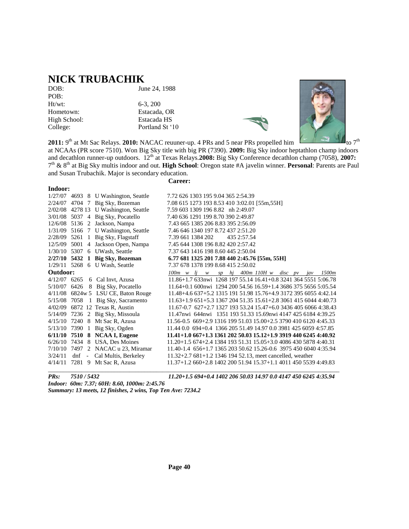# **NICK TRUBACHIK**<br>DOB:

POB: Ht/wt: 6-3, 200 College: Portland St '10

June 24, 1988

Hometown: Estacada, OR High School: Estacada HS





**2011:** 9<sup>th</sup> at Mt Sac Relays. **2010:** NACAC reuuner-up. 4 PRs and 5 near PRs propelled him at NCAAs (PR score 7510). Won Big Sky title with big PR (7390). **2009:** Big Sky indoor heptathlon champ indoors and decathlon runner-up outdoors. 12th at Texas Relays.**2008:** Big Sky Conference decathlon champ (7058), **2007:** 7 th & 8th at Big Sky multis indoor and out. **High School**: Oregon state #A javelin winner. **Personal**: Parents are Paul

**Career:**

and Susan Trubachik. Major is secondary education.

| Indoor:        |      |                                        |                                                                                       |
|----------------|------|----------------------------------------|---------------------------------------------------------------------------------------|
|                |      | $1/27/07$ 4693 8 U Washington, Seattle | 7.72 626 1303 195 9.04 365 2:54.39                                                    |
|                |      | 2/24/07 4704 7 Big Sky, Bozeman        | 7.08 615 1273 193 8.53 410 3:02.01 [55m, 55H]                                         |
|                |      | 2/02/08 4278 13 U Washington, Seattle  | 7.59 603 1309 196 8.82 nh 2:49.07                                                     |
| 3/01/08        |      | 5037 4 Big Sky, Pocatello              | 7.40 636 1291 199 8.70 390 2:49.87                                                    |
|                |      | 12/6/08 5136 2 Jackson, Nampa          | 7.43 665 1385 206 8.83 395 2:56.09                                                    |
| 1/31/09        |      | 5166 7 U Washington, Seattle           | 7.46 646 1340 197 8.72 437 2:51.20                                                    |
| 2/28/09 5261 1 |      | Big Sky, Flagstaff                     | 7.39 661 1384 202<br>435 2:57.54                                                      |
| 12/5/09        | 5001 | 4 Jackson Open, Nampa                  | 7.45 644 1308 196 8.82 420 2:57.42                                                    |
| 1/30/10        |      | 5307 6 UWash, Seattle                  | 7.37 643 1416 198 8.60 445 2:50.04                                                    |
|                |      | $2/27/10$ 5432 1 Big Sky, Bozeman      | 6.77 681 1325 201 7.88 440 2:45.76 [55m, 55H]                                         |
|                |      | 1/29/11 5268 6 U Wash, Seattle         | 7.37 678 1378 199 8.68 415 2:50.02                                                    |
| Outdoor:       |      |                                        | $100m \t w \t lj \t w \t sp \t hj \t 400m \t 110H \t w \t disc \t pv \t jav$<br>1500m |
| 4/12/07 6265   |      | 6 Cal Invt, Azusa                      | 11.86+1.7 633nwi 1268 197 55.14 16.41+0.8 3241 364 5551 5:06.78                       |
| 5/10/07 6426   |      | 8 Big Sky, Pocatello                   | 11.64+0.1 600nwi 1294 200 54.56 16.59+1.4 3686 375 5656 5:05.54                       |
|                |      | $4/11/08$ 6824w 5 LSU CE, Baton Rouge  | 11.48+4.6 637+5.2 1315 191 51.98 15.76+4.9 3172 395 6055 4:42.14                      |
| 5/15/08        | 7058 | 1 Big Sky, Sacramento                  | $11.63+1.9651+5.3136720451.3515.61+2.8306141560444:40.73$                             |
|                |      | 4/02/09 6872 12 Texas R, Austin        | $11.67 - 0.7$ 627 + 2.7 1327 193 53.24 15.47 + 6.0 3436 405 6066 4:38.43              |
|                |      | 5/14/09 7236 2 Big Sky, Missoula       | 11.47 hwi 644 hwi 1351 193 51.33 15.69 hwi 4147 425 6184 4:39.25                      |
| 4/15/10        |      | 7240 8 Mt Sac R, Azusa                 | 11.56-0.5 669+2.9 1316 199 51.03 15.00+2.5 3790 410 6120 4:45.33                      |
| 5/13/10        |      | 7390 1 Big Sky, Ogden                  | 11.44 0.0 694+0.4 1366 205 51.49 14.97 0.0 3981 425 6059 4:57.85                      |
| 6/11/10        |      | 7510 8 NCAA I, Eugene                  | $11.41+1.0667+1.3136120250.0315.12+1.9391944062454:40.92$                             |
| 6/26/10        |      | 7434 8 USA, Des Moines                 | $11.20+1.5674+2.4138419351.3115.05+3.0408643058784:40.31$                             |
| 7/10/10        |      | 7497 2 NACAC u 23, Miramar             | 11.40-1.4 656+1.7 1365 203 50.62 15.26-0.6 3975 450 6040 4:35.94                      |
| 3/24/11        |      | dnf - Cal Multis, Berkeley             | 11.32+2.7 681+1.2 1346 194 52.13, meet cancelled, weather                             |
| 4/14/11        |      | 7281 9 Mt Sac R, Azusa                 | $11.37+1.2660+2.8140220051.9415.37+1.1401145055394:49.83$                             |

*PRs: 7510 / 5432 11.20+1.5 694+0.4 1402 206 50.03 14.97 0.0 4147 450 6245 4:35.94*

*Indoor: 60m: 7.37; 60H: 8.60, 1000m: 2:45.76 Summary: 13 meets, 12 finishes, 2 wins, Top Ten Ave: 7234.2*